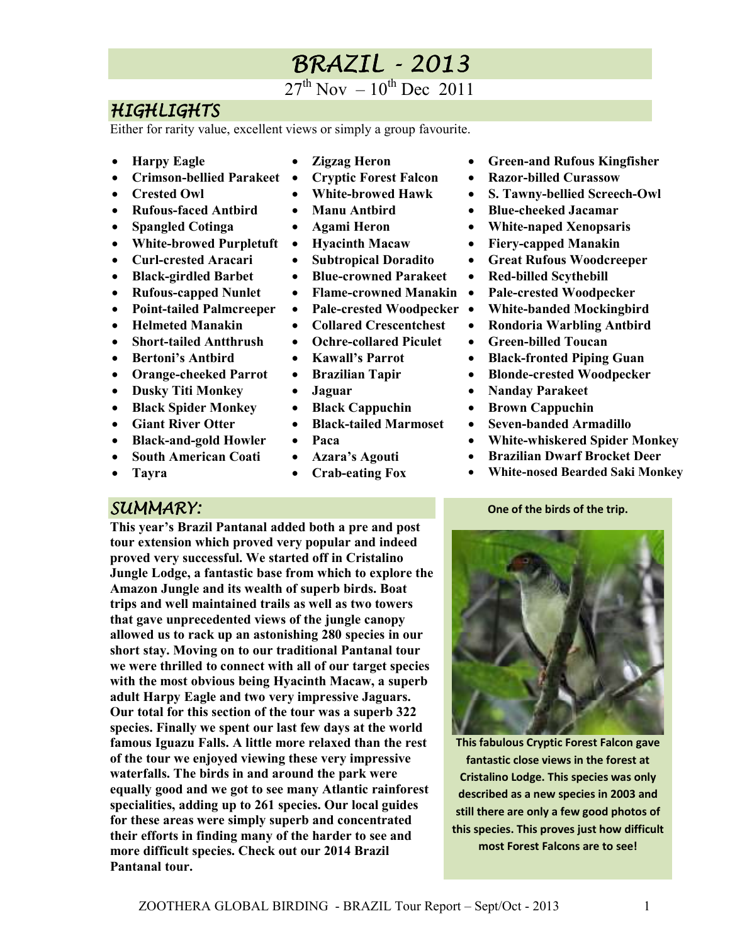# **BRAZIL - 2013**

 $27^{th}$  Nov  $-10^{th}$  Dec 2011

### HIGHLIGHTS

Either for rarity value, excellent views or simply a group favourite.

- **Harpy Eagle**
- **Crimson-bellied Parakeet**
- **Crested Owl**
- **Rufous-faced Antbird**
- **Spangled Cotinga**
- **White-browed Purpletuft**
- **Curl-crested Aracari**
- **Black-girdled Barbet**
- **Rufous-capped Nunlet**
- **Point-tailed Palmcreeper**
- **Helmeted Manakin**
- **Short-tailed Antthrush**
- Bertoni's Antbird
- **Orange-cheeked Parrot**
- **Dusky Titi Monkey**
- **Black Spider Monkey**
- **Giant River Otter**
- **Black-and-gold Howler**
- **South American Coati**
- **Tayra**
- **Zigzag Heron**
- **Cryptic Forest Falcon**
- **White-browed Hawk**
- **Manu Antbird**
- **Agami Heron**
- **Hyacinth Macaw**
- **Subtropical Doradito**
- **Blue-crowned Parakeet**
- **Flame-crowned Manakin**
- **Pale-crested Woodpecker**
- **Collared Crescentchest**
- **Ochre-collared Piculet**
- **Kawall's Parrot**
- **Brazilian Tapir**
- **Jaguar**
- **Black Cappuchin**
- **Black-tailed Marmoset**
- **Paca**
- **Azara's Agouti**
- **Crab-eating Fox**
- **Green-and Rufous Kingfisher**
- **Razor-billed Curassow**
- **S. Tawny-bellied Screech-Owl**
- **Blue-cheeked Jacamar**
- **White-naped Xenopsaris**
- **Fiery-capped Manakin**
- **Great Rufous Woodcreeper**
- **Red-billed Scythebill**
- **Pale-crested Woodpecker**
- **White-banded Mockingbird**
- **Rondoria Warbling Antbird**
- **Green-billed Toucan**
- **Black-fronted Piping Guan**
- **Blonde-crested Woodpecker**
- **Nanday Parakeet**
- **Brown Cappuchin**
- **Seven-banded Armadillo**
- **White-whiskered Spider Monkey**
- **Brazilian Dwarf Brocket Deer**
- **White-nosed Bearded Saki Monkey**

#### **One of the birds of the trip.**

#### SUMMARY:

**This year's Brazil Pantanal added both a pre and post tour extension which proved very popular and indeed proved very successful. We started off in Cristalino Jungle Lodge, a fantastic base from which to explore the Amazon Jungle and its wealth of superb birds. Boat trips and well maintained trails as well as two towers that gave unprecedented views of the jungle canopy allowed us to rack up an astonishing 280 species in our short stay. Moving on to our traditional Pantanal tour we were thrilled to connect with all of our target species with the most obvious being Hyacinth Macaw, a superb adult Harpy Eagle and two very impressive Jaguars. Our total for this section of the tour was a superb 322 species. Finally we spent our last few days at the world famous Iguazu Falls. A little more relaxed than the rest of the tour we enjoyed viewing these very impressive waterfalls. The birds in and around the park were equally good and we got to see many Atlantic rainforest specialities, adding up to 261 species. Our local guides for these areas were simply superb and concentrated their efforts in finding many of the harder to see and more difficult species. Check out our 2014 Brazil Pantanal tour.** 



**This fabulous Cryptic Forest Falcon gave fantastic close views in the forest at Cristalino Lodge. This species was only described as a new species in 2003 and still there are only a few good photos of this species. This proves just how difficult most Forest Falcons are to see!**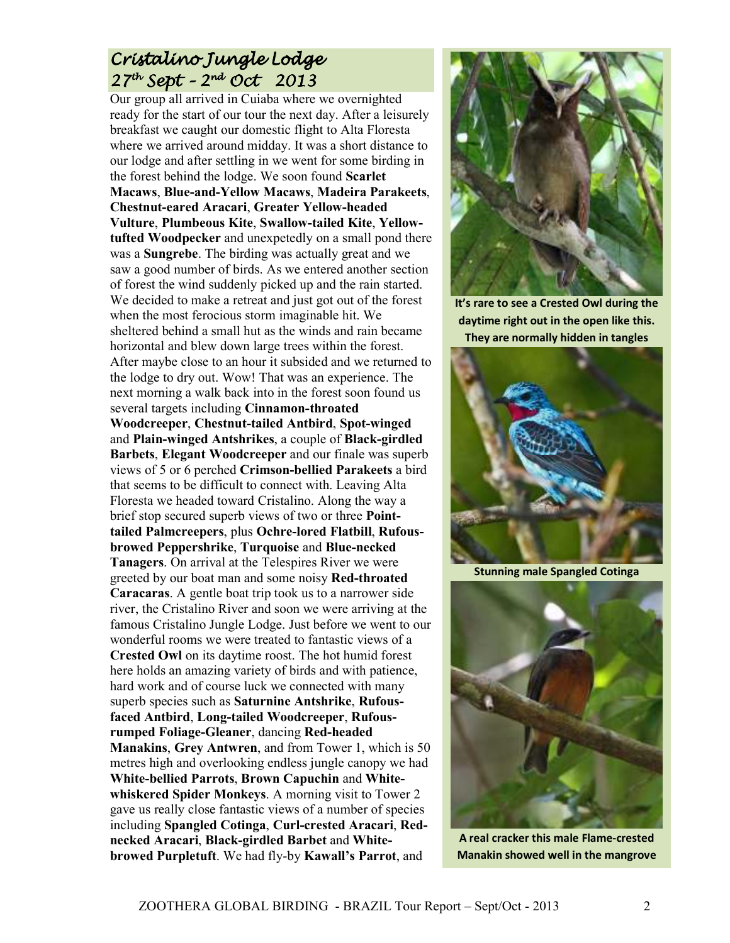## Cristalino Jungle Lodge  $27<sup>th</sup>$  Sept – 2nd Oct 2013

Our group all arrived in Cuiaba where we overnighted ready for the start of our tour the next day. After a leisurely breakfast we caught our domestic flight to Alta Floresta where we arrived around midday. It was a short distance to our lodge and after settling in we went for some birding in the forest behind the lodge. We soon found **Scarlet Macaws**, **Blue-and-Yellow Macaws**, **Madeira Parakeets**, **Chestnut-eared Aracari**, **Greater Yellow-headed Vulture**, **Plumbeous Kite**, **Swallow-tailed Kite**, **Yellowtufted Woodpecker** and unexpetedly on a small pond there was a **Sungrebe**. The birding was actually great and we saw a good number of birds. As we entered another section of forest the wind suddenly picked up and the rain started. We decided to make a retreat and just got out of the forest when the most ferocious storm imaginable hit. We sheltered behind a small hut as the winds and rain became horizontal and blew down large trees within the forest. After maybe close to an hour it subsided and we returned to the lodge to dry out. Wow! That was an experience. The next morning a walk back into in the forest soon found us several targets including **Cinnamon-throated Woodcreeper**, **Chestnut-tailed Antbird**, **Spot-winged** and **Plain-winged Antshrikes**, a couple of **Black-girdled Barbets**, **Elegant Woodcreeper** and our finale was superb views of 5 or 6 perched **Crimson-bellied Parakeets** a bird that seems to be difficult to connect with. Leaving Alta Floresta we headed toward Cristalino. Along the way a brief stop secured superb views of two or three **Pointtailed Palmcreepers**, plus **Ochre-lored Flatbill**, **Rufousbrowed Peppershrike**, **Turquoise** and **Blue-necked Tanagers**. On arrival at the Telespires River we were greeted by our boat man and some noisy **Red-throated Caracaras**. A gentle boat trip took us to a narrower side river, the Cristalino River and soon we were arriving at the famous Cristalino Jungle Lodge. Just before we went to our wonderful rooms we were treated to fantastic views of a **Crested Owl** on its daytime roost. The hot humid forest here holds an amazing variety of birds and with patience, hard work and of course luck we connected with many superb species such as **Saturnine Antshrike**, **Rufousfaced Antbird**, **Long-tailed Woodcreeper**, **Rufousrumped Foliage-Gleaner**, dancing **Red-headed Manakins**, **Grey Antwren**, and from Tower 1, which is 50 metres high and overlooking endless jungle canopy we had **White-bellied Parrots**, **Brown Capuchin** and **Whitewhiskered Spider Monkeys**. A morning visit to Tower 2 gave us really close fantastic views of a number of species including **Spangled Cotinga**, **Curl-crested Aracari**, **Rednecked Aracari**, **Black-girdled Barbet** and **Whitebrowed Purpletuft**. We had fly-by **Kawall's Parrot**, and



**It's rare to see a Crested Owl during the daytime right out in the open like this. They are normally hidden in tangles** 



**Stunning male Spangled Cotinga**



**A real cracker this male Flame-crested Manakin showed well in the mangrove**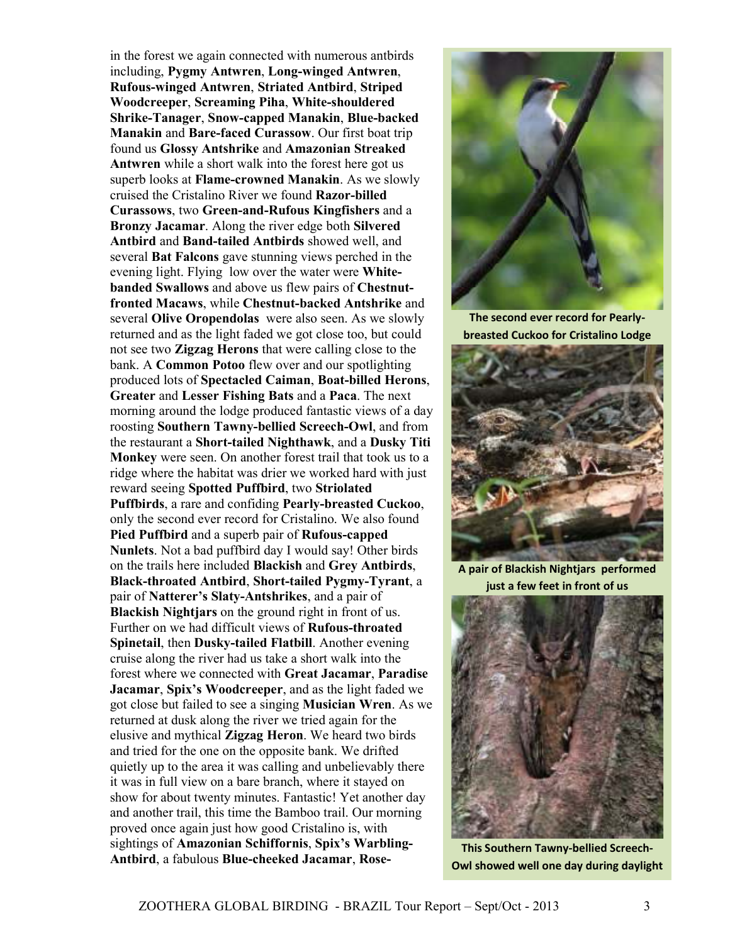in the forest we again connected with numerous antbirds including, **Pygmy Antwren**, **Long-winged Antwren**, **Rufous-winged Antwren**, **Striated Antbird**, **Striped Woodcreeper**, **Screaming Piha**, **White-shouldered Shrike-Tanager**, **Snow-capped Manakin**, **Blue-backed Manakin** and **Bare-faced Curassow**. Our first boat trip found us **Glossy Antshrike** and **Amazonian Streaked Antwren** while a short walk into the forest here got us superb looks at **Flame-crowned Manakin**. As we slowly cruised the Cristalino River we found **Razor-billed Curassows**, two **Green-and-Rufous Kingfishers** and a **Bronzy Jacamar**. Along the river edge both **Silvered Antbird** and **Band-tailed Antbirds** showed well, and several **Bat Falcons** gave stunning views perched in the evening light. Flying low over the water were **Whitebanded Swallows** and above us flew pairs of **Chestnutfronted Macaws**, while **Chestnut-backed Antshrike** and several **Olive Oropendolas** were also seen. As we slowly returned and as the light faded we got close too, but could not see two **Zigzag Herons** that were calling close to the bank. A **Common Potoo** flew over and our spotlighting produced lots of **Spectacled Caiman**, **Boat-billed Herons**, **Greater** and **Lesser Fishing Bats** and a **Paca**. The next morning around the lodge produced fantastic views of a day roosting **Southern Tawny-bellied Screech-Owl**, and from the restaurant a **Short-tailed Nighthawk**, and a **Dusky Titi Monkey** were seen. On another forest trail that took us to a ridge where the habitat was drier we worked hard with just reward seeing **Spotted Puffbird**, two **Striolated Puffbirds**, a rare and confiding **Pearly-breasted Cuckoo**, only the second ever record for Cristalino. We also found **Pied Puffbird** and a superb pair of **Rufous-capped Nunlets**. Not a bad puffbird day I would say! Other birds on the trails here included **Blackish** and **Grey Antbirds**, **Black-throated Antbird**, **Short-tailed Pygmy-Tyrant**, a pair of **Natterer's Slaty-Antshrikes**, and a pair of **Blackish Nightjars** on the ground right in front of us. Further on we had difficult views of **Rufous-throated Spinetail**, then **Dusky-tailed Flatbill**. Another evening cruise along the river had us take a short walk into the forest where we connected with **Great Jacamar**, **Paradise Jacamar**, **Spix's Woodcreeper**, and as the light faded we got close but failed to see a singing **Musician Wren**. As we returned at dusk along the river we tried again for the elusive and mythical **Zigzag Heron**. We heard two birds and tried for the one on the opposite bank. We drifted quietly up to the area it was calling and unbelievably there it was in full view on a bare branch, where it stayed on show for about twenty minutes. Fantastic! Yet another day and another trail, this time the Bamboo trail. Our morning proved once again just how good Cristalino is, with sightings of **Amazonian Schiffornis**, **Spix's Warbling-Antbird**, a fabulous **Blue-cheeked Jacamar**, **Rose-**



**The second ever record for Pearlybreasted Cuckoo for Cristalino Lodge** 



**A pair of Blackish Nightjars performed just a few feet in front of us** 



**This Southern Tawny-bellied Screech-Owl showed well one day during daylight**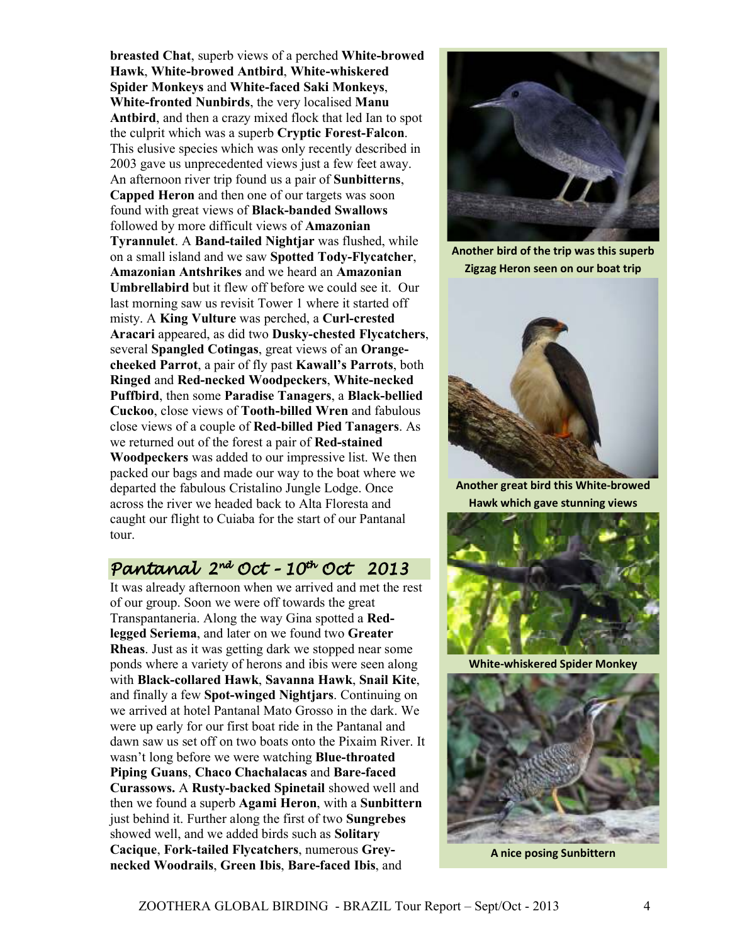**breasted Chat**, superb views of a perched **White-browed Hawk**, **White-browed Antbird**, **White-whiskered Spider Monkeys** and **White-faced Saki Monkeys**, **White-fronted Nunbirds**, the very localised **Manu Antbird**, and then a crazy mixed flock that led Ian to spot the culprit which was a superb **Cryptic Forest-Falcon**. This elusive species which was only recently described in 2003 gave us unprecedented views just a few feet away. An afternoon river trip found us a pair of **Sunbitterns**, **Capped Heron** and then one of our targets was soon found with great views of **Black-banded Swallows**  followed by more difficult views of **Amazonian Tyrannulet**. A **Band-tailed Nightjar** was flushed, while on a small island and we saw **Spotted Tody-Flycatcher**, **Amazonian Antshrikes** and we heard an **Amazonian Umbrellabird** but it flew off before we could see it. Our last morning saw us revisit Tower 1 where it started off misty. A **King Vulture** was perched, a **Curl-crested Aracari** appeared, as did two **Dusky-chested Flycatchers**, several **Spangled Cotingas**, great views of an **Orangecheeked Parrot**, a pair of fly past **Kawall's Parrots**, both **Ringed** and **Red-necked Woodpeckers**, **White-necked Puffbird**, then some **Paradise Tanagers**, a **Black-bellied Cuckoo**, close views of **Tooth-billed Wren** and fabulous close views of a couple of **Red-billed Pied Tanagers**. As we returned out of the forest a pair of **Red-stained Woodpeckers** was added to our impressive list. We then packed our bags and made our way to the boat where we departed the fabulous Cristalino Jungle Lodge. Once across the river we headed back to Alta Floresta and caught our flight to Cuiaba for the start of our Pantanal tour.

### Pantanal Pantanal 2nd Oct–10th Oct 2013

It was already afternoon when we arrived and met the rest of our group. Soon we were off towards the great Transpantaneria. Along the way Gina spotted a **Redlegged Seriema**, and later on we found two **Greater Rheas**. Just as it was getting dark we stopped near some ponds where a variety of herons and ibis were seen along with **Black-collared Hawk**, **Savanna Hawk**, **Snail Kite**, and finally a few **Spot-winged Nightjars**. Continuing on we arrived at hotel Pantanal Mato Grosso in the dark. We were up early for our first boat ride in the Pantanal and dawn saw us set off on two boats onto the Pixaim River. It wasn't long before we were watching **Blue-throated Piping Guans**, **Chaco Chachalacas** and **Bare-faced Curassows.** A **Rusty-backed Spinetail** showed well and then we found a superb **Agami Heron**, with a **Sunbittern** just behind it. Further along the first of two **Sungrebes** showed well, and we added birds such as **Solitary Cacique**, **Fork-tailed Flycatchers**, numerous **Greynecked Woodrails**, **Green Ibis**, **Bare-faced Ibis**, and



**Another bird of the trip was this superb Zigzag Heron seen on our boat trip**



**Another great bird this White-browed Hawk which gave stunning views**



**White-whiskered Spider Monkey** 



**A nice posing Sunbittern**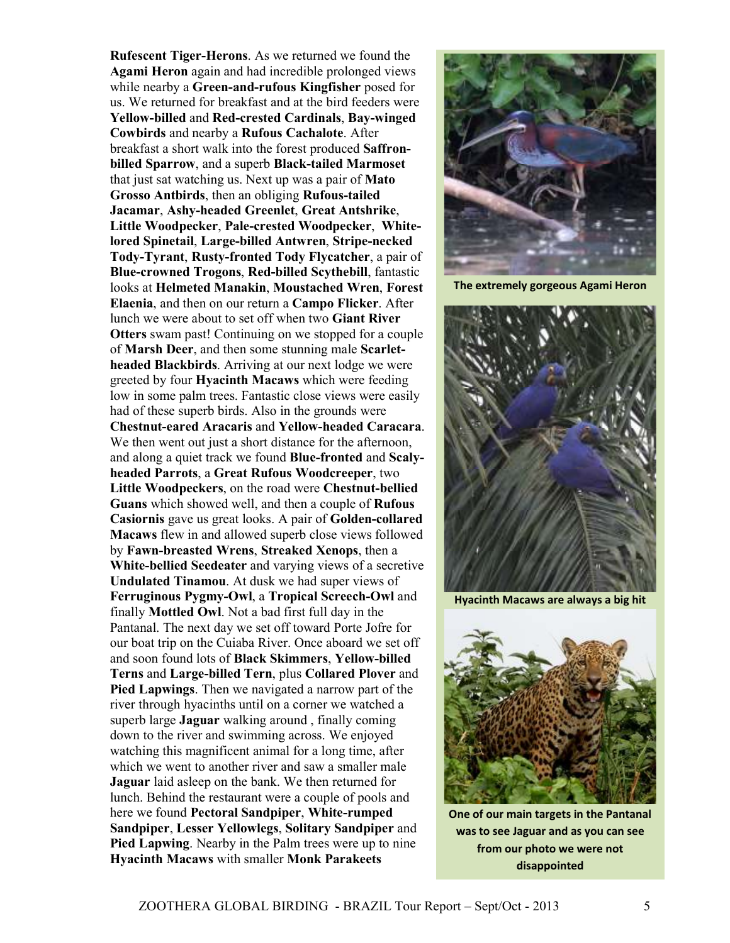**Rufescent Tiger-Herons**. As we returned we found the **Agami Heron** again and had incredible prolonged views while nearby a **Green-and-rufous Kingfisher** posed for us. We returned for breakfast and at the bird feeders were **Yellow-billed** and **Red-crested Cardinals**, **Bay-winged Cowbirds** and nearby a **Rufous Cachalote**. After breakfast a short walk into the forest produced **Saffronbilled Sparrow**, and a superb **Black-tailed Marmoset** that just sat watching us. Next up was a pair of **Mato Grosso Antbirds**, then an obliging **Rufous-tailed Jacamar**, **Ashy-headed Greenlet**, **Great Antshrike**, **Little Woodpecker**, **Pale-crested Woodpecker**, **Whitelored Spinetail**, **Large-billed Antwren**, **Stripe-necked Tody-Tyrant**, **Rusty-fronted Tody Flycatcher**, a pair of **Blue-crowned Trogons**, **Red-billed Scythebill**, fantastic looks at **Helmeted Manakin**, **Moustached Wren**, **Forest Elaenia**, and then on our return a **Campo Flicker**. After lunch we were about to set off when two **Giant River Otters** swam past! Continuing on we stopped for a couple of **Marsh Deer**, and then some stunning male **Scarletheaded Blackbirds**. Arriving at our next lodge we were greeted by four **Hyacinth Macaws** which were feeding low in some palm trees. Fantastic close views were easily had of these superb birds. Also in the grounds were **Chestnut-eared Aracaris** and **Yellow-headed Caracara**. We then went out just a short distance for the afternoon, and along a quiet track we found **Blue-fronted** and **Scalyheaded Parrots**, a **Great Rufous Woodcreeper**, two **Little Woodpeckers**, on the road were **Chestnut-bellied Guans** which showed well, and then a couple of **Rufous Casiornis** gave us great looks. A pair of **Golden-collared Macaws** flew in and allowed superb close views followed by **Fawn-breasted Wrens**, **Streaked Xenops**, then a **White-bellied Seedeater** and varying views of a secretive **Undulated Tinamou**. At dusk we had super views of **Ferruginous Pygmy-Owl**, a **Tropical Screech-Owl** and finally **Mottled Owl**. Not a bad first full day in the Pantanal. The next day we set off toward Porte Jofre for our boat trip on the Cuiaba River. Once aboard we set off and soon found lots of **Black Skimmers**, **Yellow-billed Terns** and **Large-billed Tern**, plus **Collared Plover** and **Pied Lapwings**. Then we navigated a narrow part of the river through hyacinths until on a corner we watched a superb large **Jaguar** walking around , finally coming down to the river and swimming across. We enjoyed watching this magnificent animal for a long time, after which we went to another river and saw a smaller male **Jaguar** laid asleep on the bank. We then returned for lunch. Behind the restaurant were a couple of pools and here we found **Pectoral Sandpiper**, **White-rumped Sandpiper**, **Lesser Yellowlegs**, **Solitary Sandpiper** and **Pied Lapwing**. Nearby in the Palm trees were up to nine **Hyacinth Macaws** with smaller **Monk Parakeets**



**The extremely gorgeous Agami Heron** 



**Hyacinth Macaws are always a big hit** 



**One of our main targets in the Pantanal was to see Jaguar and as you can see from our photo we were not disappointed**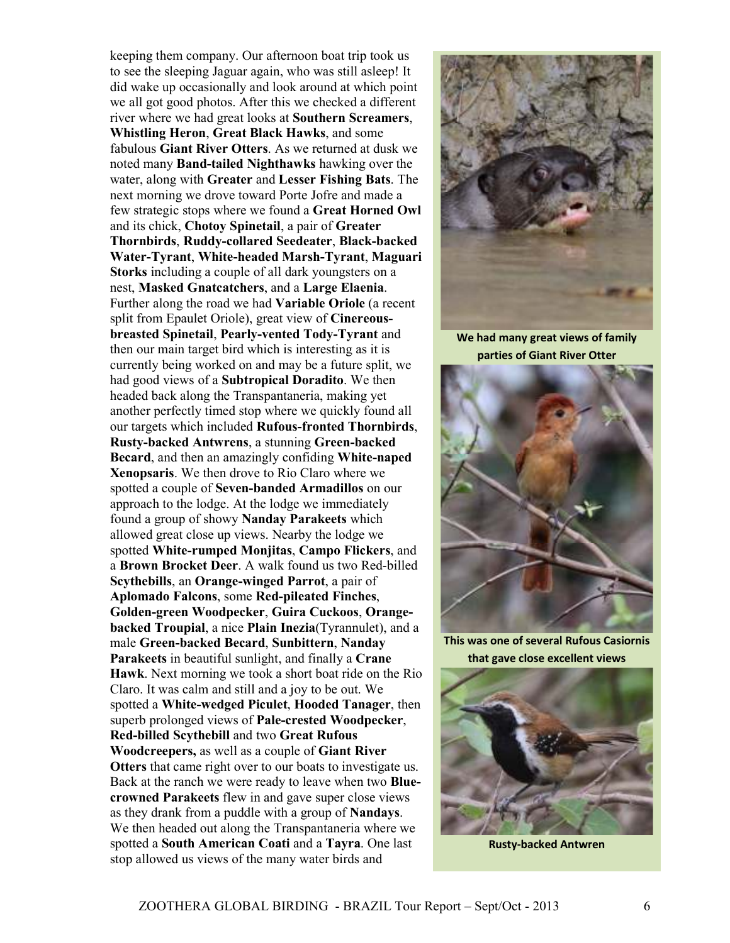keeping them company. Our afternoon boat trip took us to see the sleeping Jaguar again, who was still asleep! It did wake up occasionally and look around at which point we all got good photos. After this we checked a different river where we had great looks at **Southern Screamers**, **Whistling Heron**, **Great Black Hawks**, and some fabulous **Giant River Otters**. As we returned at dusk we noted many **Band-tailed Nighthawks** hawking over the water, along with **Greater** and **Lesser Fishing Bats**. The next morning we drove toward Porte Jofre and made a few strategic stops where we found a **Great Horned Owl** and its chick, **Chotoy Spinetail**, a pair of **Greater Thornbirds**, **Ruddy-collared Seedeater**, **Black-backed Water-Tyrant**, **White-headed Marsh-Tyrant**, **Maguari Storks** including a couple of all dark youngsters on a nest, **Masked Gnatcatchers**, and a **Large Elaenia**. Further along the road we had **Variable Oriole** (a recent split from Epaulet Oriole), great view of **Cinereousbreasted Spinetail**, **Pearly-vented Tody-Tyrant** and then our main target bird which is interesting as it is currently being worked on and may be a future split, we had good views of a **Subtropical Doradito**. We then headed back along the Transpantaneria, making yet another perfectly timed stop where we quickly found all our targets which included **Rufous-fronted Thornbirds**, **Rusty-backed Antwrens**, a stunning **Green-backed Becard**, and then an amazingly confiding **White-naped Xenopsaris**. We then drove to Rio Claro where we spotted a couple of **Seven-banded Armadillos** on our approach to the lodge. At the lodge we immediately found a group of showy **Nanday Parakeets** which allowed great close up views. Nearby the lodge we spotted **White-rumped Monjitas**, **Campo Flickers**, and a **Brown Brocket Deer**. A walk found us two Red-billed **Scythebills**, an **Orange-winged Parrot**, a pair of **Aplomado Falcons**, some **Red-pileated Finches**, **Golden-green Woodpecker**, **Guira Cuckoos**, **Orangebacked Troupial**, a nice **Plain Inezia**(Tyrannulet), and a male **Green-backed Becard**, **Sunbittern**, **Nanday Parakeets** in beautiful sunlight, and finally a **Crane Hawk**. Next morning we took a short boat ride on the Rio Claro. It was calm and still and a joy to be out. We spotted a **White-wedged Piculet**, **Hooded Tanager**, then superb prolonged views of **Pale-crested Woodpecker**, **Red-billed Scythebill** and two **Great Rufous Woodcreepers,** as well as a couple of **Giant River Otters** that came right over to our boats to investigate us. Back at the ranch we were ready to leave when two **Bluecrowned Parakeets** flew in and gave super close views as they drank from a puddle with a group of **Nandays**. We then headed out along the Transpantaneria where we spotted a **South American Coati** and a **Tayra**. One last stop allowed us views of the many water birds and



**We had many great views of family parties of Giant River Otter** 



**This was one of several Rufous Casiornis that gave close excellent views** 



**Rusty-backed Antwren**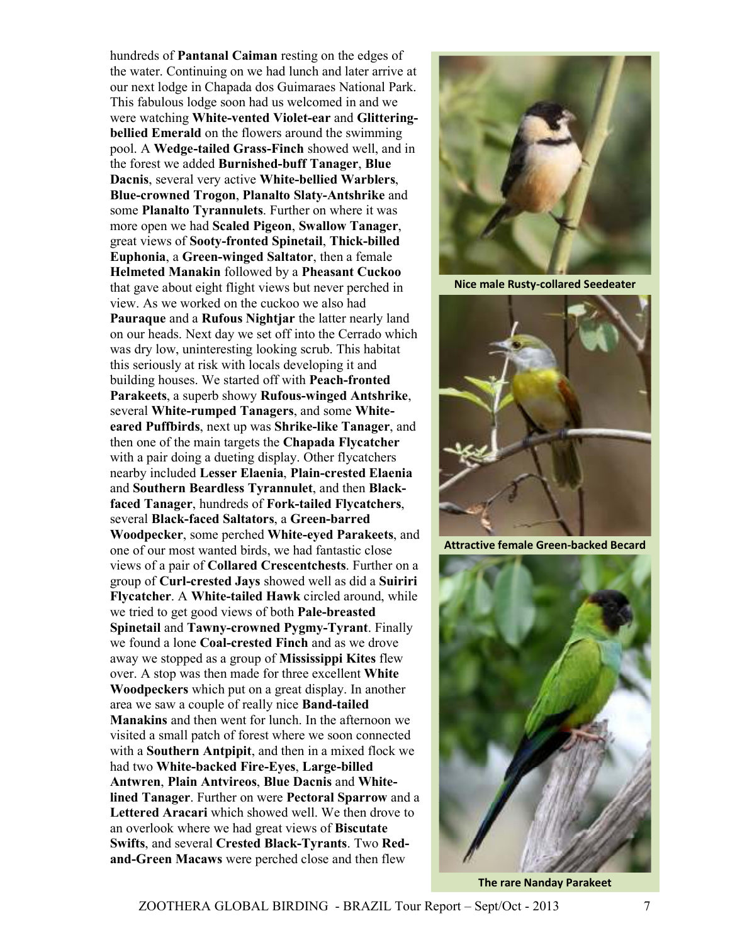hundreds of **Pantanal Caiman** resting on the edges of the water. Continuing on we had lunch and later arrive at our next lodge in Chapada dos Guimaraes National Park. This fabulous lodge soon had us welcomed in and we were watching **White-vented Violet-ear** and **Glitteringbellied Emerald** on the flowers around the swimming pool. A **Wedge-tailed Grass-Finch** showed well, and in the forest we added **Burnished-buff Tanager**, **Blue Dacnis**, several very active **White-bellied Warblers**, **Blue-crowned Trogon**, **Planalto Slaty-Antshrike** and some **Planalto Tyrannulets**. Further on where it was more open we had **Scaled Pigeon**, **Swallow Tanager**, great views of **Sooty-fronted Spinetail**, **Thick-billed Euphonia**, a **Green-winged Saltator**, then a female **Helmeted Manakin** followed by a **Pheasant Cuckoo** that gave about eight flight views but never perched in view. As we worked on the cuckoo we also had **Pauraque** and a **Rufous Nightjar** the latter nearly land on our heads. Next day we set off into the Cerrado which was dry low, uninteresting looking scrub. This habitat this seriously at risk with locals developing it and building houses. We started off with **Peach-fronted Parakeets**, a superb showy **Rufous-winged Antshrike**, several **White-rumped Tanagers**, and some **Whiteeared Puffbirds**, next up was **Shrike-like Tanager**, and then one of the main targets the **Chapada Flycatcher**  with a pair doing a dueting display. Other flycatchers nearby included **Lesser Elaenia**, **Plain-crested Elaenia** and **Southern Beardless Tyrannulet**, and then **Blackfaced Tanager**, hundreds of **Fork-tailed Flycatchers**, several **Black-faced Saltators**, a **Green-barred Woodpecker**, some perched **White-eyed Parakeets**, and one of our most wanted birds, we had fantastic close views of a pair of **Collared Crescentchests**. Further on a group of **Curl-crested Jays** showed well as did a **Suiriri Flycatcher**. A **White-tailed Hawk** circled around, while we tried to get good views of both **Pale-breasted Spinetail** and **Tawny-crowned Pygmy-Tyrant**. Finally we found a lone **Coal-crested Finch** and as we drove away we stopped as a group of **Mississippi Kites** flew over. A stop was then made for three excellent **White Woodpeckers** which put on a great display. In another area we saw a couple of really nice **Band-tailed Manakins** and then went for lunch. In the afternoon we visited a small patch of forest where we soon connected with a **Southern Antpipit**, and then in a mixed flock we had two **White-backed Fire-Eyes**, **Large-billed Antwren**, **Plain Antvireos**, **Blue Dacnis** and **Whitelined Tanager**. Further on were **Pectoral Sparrow** and a **Lettered Aracari** which showed well. We then drove to an overlook where we had great views of **Biscutate Swifts**, and several **Crested Black-Tyrants**. Two **Redand-Green Macaws** were perched close and then flew



**Nice male Rusty-collared Seedeater**



**Attractive female Green-backed Becard** 



**The rare Nanday Parakeet**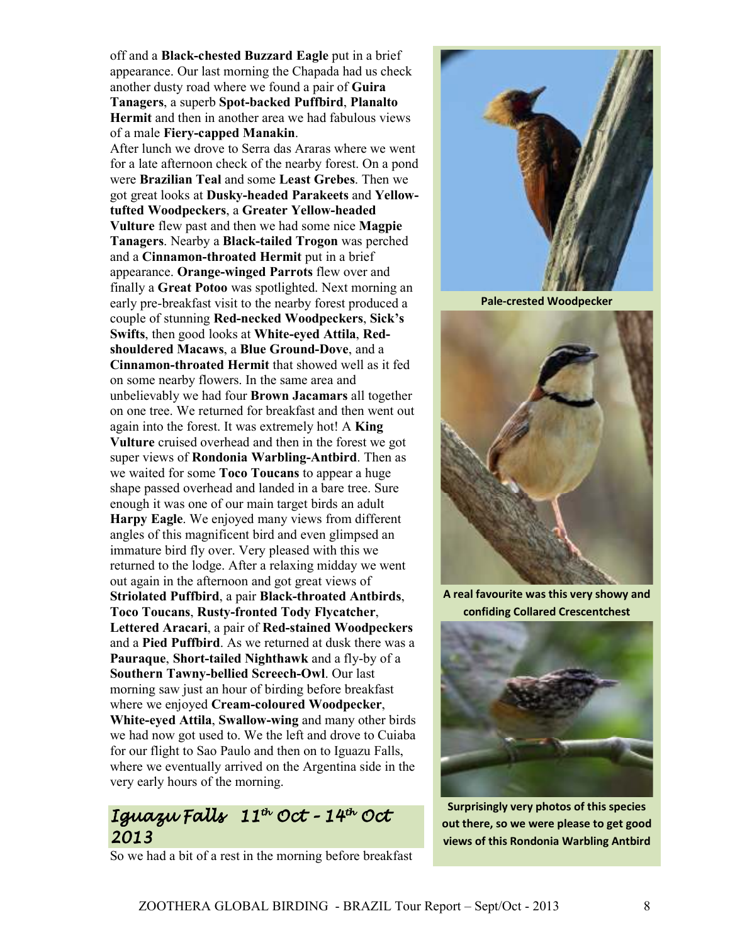off and a **Black-chested Buzzard Eagle** put in a brief appearance. Our last morning the Chapada had us check another dusty road where we found a pair of **Guira Tanagers**, a superb **Spot-backed Puffbird**, **Planalto Hermit** and then in another area we had fabulous views of a male **Fiery-capped Manakin**.

After lunch we drove to Serra das Araras where we went for a late afternoon check of the nearby forest. On a pond were **Brazilian Teal** and some **Least Grebes**. Then we got great looks at **Dusky-headed Parakeets** and **Yellowtufted Woodpeckers**, a **Greater Yellow-headed Vulture** flew past and then we had some nice **Magpie Tanagers**. Nearby a **Black-tailed Trogon** was perched and a **Cinnamon-throated Hermit** put in a brief appearance. **Orange-winged Parrots** flew over and finally a **Great Potoo** was spotlighted. Next morning an early pre-breakfast visit to the nearby forest produced a couple of stunning **Red-necked Woodpeckers**, **Sick's Swifts**, then good looks at **White-eyed Attila**, **Redshouldered Macaws**, a **Blue Ground-Dove**, and a **Cinnamon-throated Hermit** that showed well as it fed on some nearby flowers. In the same area and unbelievably we had four **Brown Jacamars** all together on one tree. We returned for breakfast and then went out again into the forest. It was extremely hot! A **King Vulture** cruised overhead and then in the forest we got super views of **Rondonia Warbling-Antbird**. Then as we waited for some **Toco Toucans** to appear a huge shape passed overhead and landed in a bare tree. Sure enough it was one of our main target birds an adult **Harpy Eagle**. We enjoyed many views from different angles of this magnificent bird and even glimpsed an immature bird fly over. Very pleased with this we returned to the lodge. After a relaxing midday we went out again in the afternoon and got great views of **Striolated Puffbird**, a pair **Black-throated Antbirds**, **Toco Toucans**, **Rusty-fronted Tody Flycatcher**, **Lettered Aracari**, a pair of **Red-stained Woodpeckers** and a **Pied Puffbird**. As we returned at dusk there was a **Pauraque**, **Short-tailed Nighthawk** and a fly-by of a **Southern Tawny-bellied Screech-Owl**. Our last morning saw just an hour of birding before breakfast where we enjoyed **Cream-coloured Woodpecker**, **White-eyed Attila**, **Swallow-wing** and many other birds we had now got used to. We the left and drove to Cuiaba for our flight to Sao Paulo and then on to Iguazu Falls, where we eventually arrived on the Argentina side in the very early hours of the morning.

### Iguazu Falls 11th Oct - 14th Oct 2013





**Pale-crested Woodpecker** 



**A real favourite was this very showy and confiding Collared Crescentchest** 



**Surprisingly very photos of this species out there, so we were please to get good views of this Rondonia Warbling Antbird**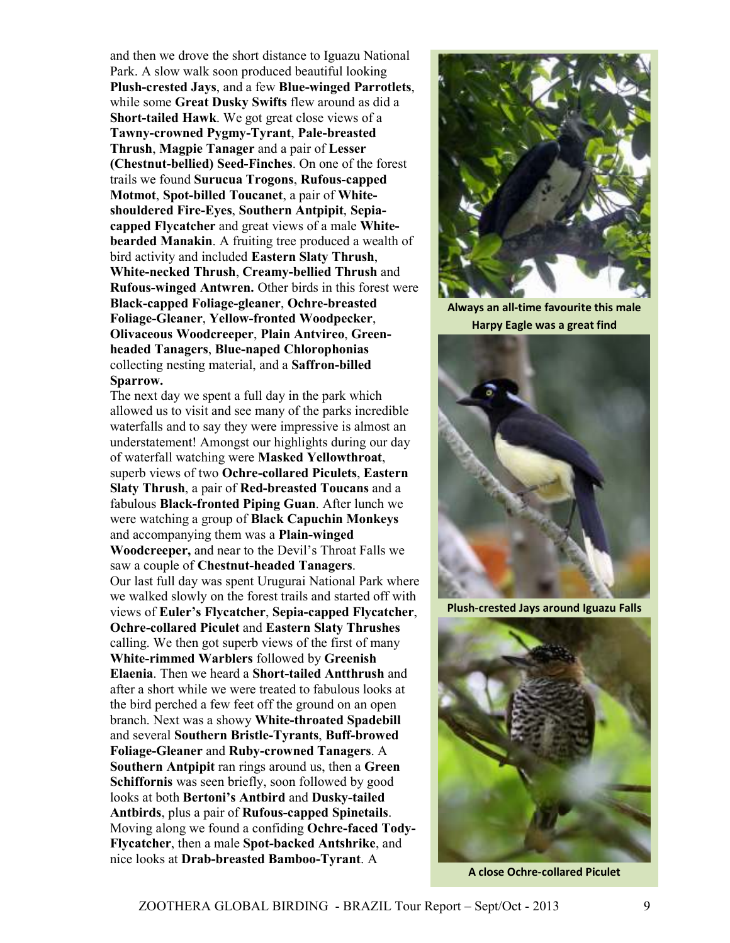and then we drove the short distance to Iguazu National Park. A slow walk soon produced beautiful looking **Plush-crested Jays**, and a few **Blue-winged Parrotlets**, while some **Great Dusky Swifts** flew around as did a **Short-tailed Hawk**. We got great close views of a **Tawny-crowned Pygmy-Tyrant**, **Pale-breasted Thrush**, **Magpie Tanager** and a pair of **Lesser (Chestnut-bellied) Seed-Finches**. On one of the forest trails we found **Surucua Trogons**, **Rufous-capped Motmot**, **Spot-billed Toucanet**, a pair of **Whiteshouldered Fire-Eyes**, **Southern Antpipit**, **Sepiacapped Flycatcher** and great views of a male **Whitebearded Manakin**. A fruiting tree produced a wealth of bird activity and included **Eastern Slaty Thrush**, **White-necked Thrush**, **Creamy-bellied Thrush** and **Rufous-winged Antwren.** Other birds in this forest were **Black-capped Foliage-gleaner**, **Ochre-breasted Foliage-Gleaner**, **Yellow-fronted Woodpecker**, **Olivaceous Woodcreeper**, **Plain Antvireo**, **Greenheaded Tanagers**, **Blue-naped Chlorophonias** collecting nesting material, and a **Saffron-billed Sparrow.**

The next day we spent a full day in the park which allowed us to visit and see many of the parks incredible waterfalls and to say they were impressive is almost an understatement! Amongst our highlights during our day of waterfall watching were **Masked Yellowthroat**, superb views of two **Ochre-collared Piculets**, **Eastern Slaty Thrush**, a pair of **Red-breasted Toucans** and a fabulous **Black-fronted Piping Guan**. After lunch we were watching a group of **Black Capuchin Monkeys** and accompanying them was a **Plain-winged Woodcreeper,** and near to the Devil's Throat Falls we saw a couple of **Chestnut-headed Tanagers**. Our last full day was spent Urugurai National Park where we walked slowly on the forest trails and started off with views of **Euler's Flycatcher**, **Sepia-capped Flycatcher**, **Ochre-collared Piculet** and **Eastern Slaty Thrushes** calling. We then got superb views of the first of many **White-rimmed Warblers** followed by **Greenish Elaenia**. Then we heard a **Short-tailed Antthrush** and after a short while we were treated to fabulous looks at the bird perched a few feet off the ground on an open branch. Next was a showy **White-throated Spadebill** and several **Southern Bristle-Tyrants**, **Buff-browed Foliage-Gleaner** and **Ruby-crowned Tanagers**. A **Southern Antpipit** ran rings around us, then a **Green Schiffornis** was seen briefly, soon followed by good looks at both **Bertoni's Antbird** and **Dusky-tailed Antbirds**, plus a pair of **Rufous-capped Spinetails**. Moving along we found a confiding **Ochre-faced Tody-Flycatcher**, then a male **Spot-backed Antshrike**, and nice looks at **Drab-breasted Bamboo-Tyrant**. A



**Always an all-time favourite this male Harpy Eagle was a great find** 



**Plush-crested Jays around Iguazu Falls** 



**A close Ochre-collared Piculet**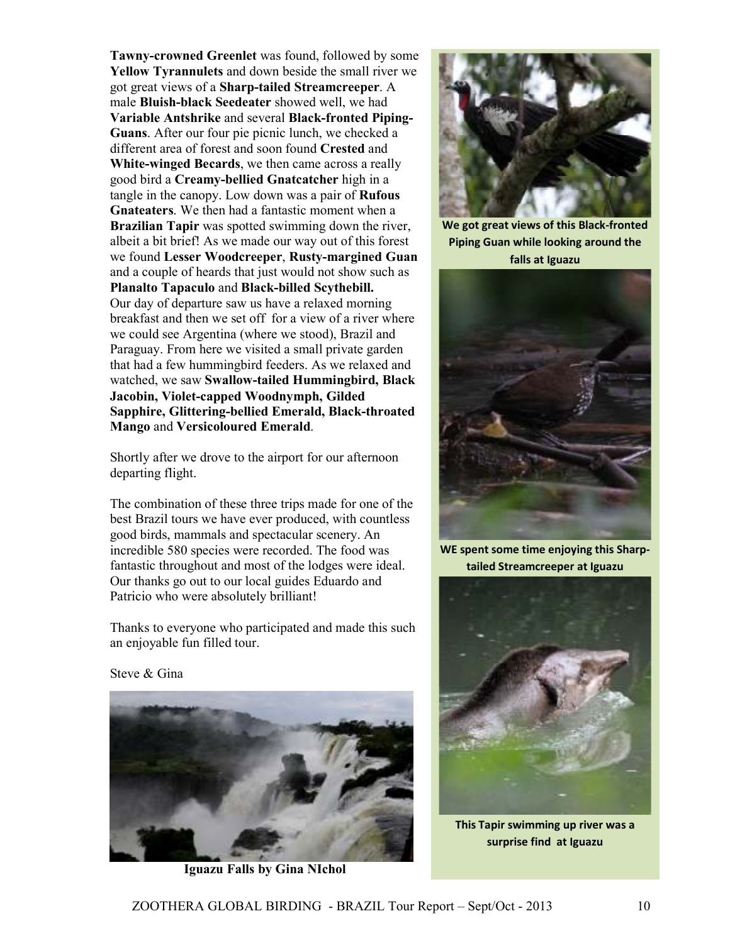**Tawny-crowned Greenlet** was found, followed by some **Yellow Tyrannulets** and down beside the small river we got great views of a **Sharp-tailed Streamcreeper**. A male **Bluish-black Seedeater** showed well, we had **Variable Antshrike** and several **Black-fronted Piping-Guans**. After our four pie picnic lunch, we checked a different area of forest and soon found **Crested** and **White-winged Becards**, we then came across a really good bird a **Creamy-bellied Gnatcatcher** high in a tangle in the canopy. Low down was a pair of **Rufous Gnateaters**. We then had a fantastic moment when a **Brazilian Tapir** was spotted swimming down the river, albeit a bit brief! As we made our way out of this forest we found **Lesser Woodcreeper**, **Rusty-margined Guan** and a couple of heards that just would not show such as **Planalto Tapaculo** and **Black-billed Scythebill.**  Our day of departure saw us have a relaxed morning breakfast and then we set off for a view of a river where we could see Argentina (where we stood), Brazil and Paraguay. From here we visited a small private garden that had a few hummingbird feeders. As we relaxed and watched, we saw **Swallow-tailed Hummingbird, Black Jacobin, Violet-capped Woodnymph, Gilded Sapphire, Glittering-bellied Emerald, Black-throated Mango** and **Versicoloured Emerald**.

Shortly after we drove to the airport for our afternoon departing flight.

The combination of these three trips made for one of the best Brazil tours we have ever produced, with countless good birds, mammals and spectacular scenery. An incredible 580 species were recorded. The food was fantastic throughout and most of the lodges were ideal. Our thanks go out to our local guides Eduardo and Patricio who were absolutely brilliant!

Thanks to everyone who participated and made this such an enjoyable fun filled tour.



 **Iguazu Falls by Gina NIchol** 



**We got great views of this Black-fronted Piping Guan while looking around the falls at Iguazu** 



**WE spent some time enjoying this Sharptailed Streamcreeper at Iguazu** 



**This Tapir swimming up river was a surprise find at Iguazu**

Steve & Gina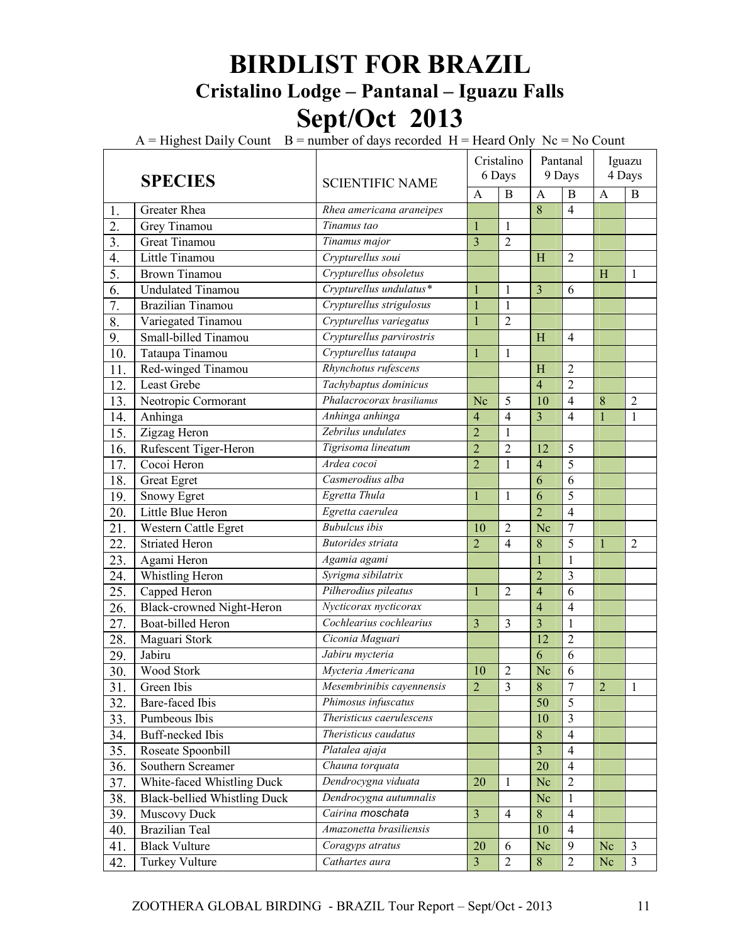## **BIRDLIST FOR BRAZIL Cristalino Lodge – Pantanal – Iguazu Falls Sept/Oct 2013**

 $A =$  Highest Daily Count  $B =$  number of days recorded  $H =$  Heard Only Nc = No Count

|                  | <b>SPECIES</b>                      | <b>SCIENTIFIC NAME</b>    |                         | Cristalino<br>6 Days |                         | Pantanal<br>9 Days       | Iguazu<br>4 Days |                |
|------------------|-------------------------------------|---------------------------|-------------------------|----------------------|-------------------------|--------------------------|------------------|----------------|
|                  |                                     |                           | $\mathbf{A}$            | $\overline{B}$       | $\mathbf{A}$            | $\mathbf B$              | $\overline{A}$   | B              |
| 1.               | Greater Rhea                        | Rhea americana araneipes  |                         |                      | $\overline{8}$          | $\overline{4}$           |                  |                |
| $\overline{2}$ . | Grey Tinamou                        | Tinamus tao               | $\mathbf{1}$            | 1                    |                         |                          |                  |                |
| $\overline{3}$ . | Great Tinamou                       | Tinamus major             | 3                       | $\overline{2}$       |                         |                          |                  |                |
| 4.               | Little Tinamou                      | Crypturellus soui         |                         |                      | H                       | $\overline{c}$           |                  |                |
| $\overline{5}$ . | <b>Brown Tinamou</b>                | Crypturellus obsoletus    |                         |                      |                         |                          | H                | $\mathbf{1}$   |
| 6.               | <b>Undulated Tinamou</b>            | Crypturellus undulatus*   | $\mathbf{1}$            | $\mathbf{1}$         | 3                       | 6                        |                  |                |
| $\overline{7}$ . | <b>Brazilian Tinamou</b>            | Crypturellus strigulosus  | $\mathbf{1}$            | $\mathbf{1}$         |                         |                          |                  |                |
| 8.               | Variegated Tinamou                  | Crypturellus variegatus   | 1                       | $\overline{c}$       |                         |                          |                  |                |
| 9.               | Small-billed Tinamou                | Crypturellus parvirostris |                         |                      | H                       | 4                        |                  |                |
| 10.              | Tataupa Tinamou                     | Crypturellus tataupa      | 1                       | 1                    |                         |                          |                  |                |
| 11.              | Red-winged Tinamou                  | Rhynchotus rufescens      |                         |                      | H                       | $\overline{2}$           |                  |                |
| 12.              | Least Grebe                         | Tachybaptus dominicus     |                         |                      | $\overline{4}$          | $\overline{2}$           |                  |                |
| 13.              | Neotropic Cormorant                 | Phalacrocorax brasilianus | Nc                      | 5                    | 10                      | $\overline{4}$           | 8                | $\overline{2}$ |
| 14.              | Anhinga                             | Anhinga anhinga           | 4                       | 4                    | $\overline{3}$          | $\overline{4}$           | $\mathbf{1}$     | 1              |
| 15.              | Zigzag Heron                        | Zebrilus undulates        | $\overline{2}$          | $\mathbf{1}$         |                         |                          |                  |                |
| 16.              | Rufescent Tiger-Heron               | Tigrisoma lineatum        | $\overline{2}$          | $\overline{2}$       | 12                      | 5                        |                  |                |
| 17.              | Cocoi Heron                         | Ardea cocoi               | $\overline{2}$          | $\mathbf{1}$         | $\overline{4}$          | 5                        |                  |                |
| 18.              | Great Egret                         | Casmerodius alba          |                         |                      | 6                       | $\overline{6}$           |                  |                |
| 19.              | <b>Snowy Egret</b>                  | Egretta Thula             | 1                       | 1                    | 6                       | 5                        |                  |                |
| 20.              | Little Blue Heron                   | Egretta caerulea          |                         |                      | $\overline{2}$          | $\overline{4}$           |                  |                |
| 21.              | Western Cattle Egret                | <b>Bubulcus</b> ibis      | 10                      | $\overline{2}$       | Nc                      | $\overline{7}$           |                  |                |
| 22.              | <b>Striated Heron</b>               | <b>Butorides</b> striata  | $\overline{2}$          | 4                    | 8                       | 5                        | 1                | $\overline{2}$ |
| 23.              | Agami Heron                         | Agamia agami              |                         |                      | 1                       | 1                        |                  |                |
| 24.              | Whistling Heron                     | Syrigma sibilatrix        |                         |                      | $\overline{2}$          | 3                        |                  |                |
| 25.              | Capped Heron                        | Pilherodius pileatus      | $\mathbf{1}$            | $\overline{2}$       | $\overline{4}$          | 6                        |                  |                |
| 26.              | Black-crowned Night-Heron           | Nycticorax nycticorax     |                         |                      | $\overline{4}$          | $\overline{4}$           |                  |                |
| 27.              | <b>Boat-billed Heron</b>            | Cochlearius cochlearius   | $\overline{3}$          | 3                    | $\overline{\mathbf{3}}$ | $\mathbf{1}$             |                  |                |
| 28.              | Maguari Stork                       | Ciconia Maguari           |                         |                      | 12                      | $\overline{2}$           |                  |                |
| 29.              | Jabiru                              | Jabiru mycteria           |                         |                      | $\overline{6}$          | 6                        |                  |                |
| 30.              | Wood Stork                          | Mycteria Americana        | 10                      | $\overline{2}$       | Nc                      | 6                        |                  |                |
| 31.              | Green Ibis                          | Mesembrinibis cayennensis | $\overline{2}$          | 3                    | 8                       | $\prime$                 | 2                | 1              |
| 32.              | Bare-faced Ibis                     | Phimosus infuscatus       |                         |                      | $\overline{50}$         | $\overline{5}$           |                  |                |
| 33.              | Pumbeous Ibis                       | Theristicus caerulescens  |                         |                      | 10                      | 3                        |                  |                |
| 34.              | <b>Buff-necked Ibis</b>             | Theristicus caudatus      |                         |                      | $\overline{8}$          | $\overline{4}$           |                  |                |
| 35.              | Roseate Spoonbill                   | Platalea ajaja            |                         |                      | $\overline{\mathbf{3}}$ | $\overline{\mathcal{A}}$ |                  |                |
| 36.              | Southern Screamer                   | Chauna torquata           |                         |                      | 20                      | $\overline{4}$           |                  |                |
| 37.              | White-faced Whistling Duck          | Dendrocygna viduata       | 20                      | 1                    | Nc                      | $\overline{2}$           |                  |                |
| 38.              | <b>Black-bellied Whistling Duck</b> | Dendrocygna autumnalis    |                         |                      | Nc                      | $\mathbf{1}$             |                  |                |
| 39.              | Muscovy Duck                        | Cairina moschata          | $\overline{\mathbf{3}}$ | $\overline{4}$       | 8                       | $\overline{4}$           |                  |                |
| 40.              | <b>Brazilian Teal</b>               | Amazonetta brasiliensis   |                         |                      | 10                      | $\overline{4}$           |                  |                |
| 41.              | <b>Black Vulture</b>                | Coragyps atratus          | 20                      | 6                    | Nc                      | 9                        | Nc               | $\overline{3}$ |
| 42.              | <b>Turkey Vulture</b>               | Cathartes aura            | $\overline{\mathbf{3}}$ | $\overline{2}$       | $\overline{8}$          | $\overline{2}$           | Nc               | $\overline{3}$ |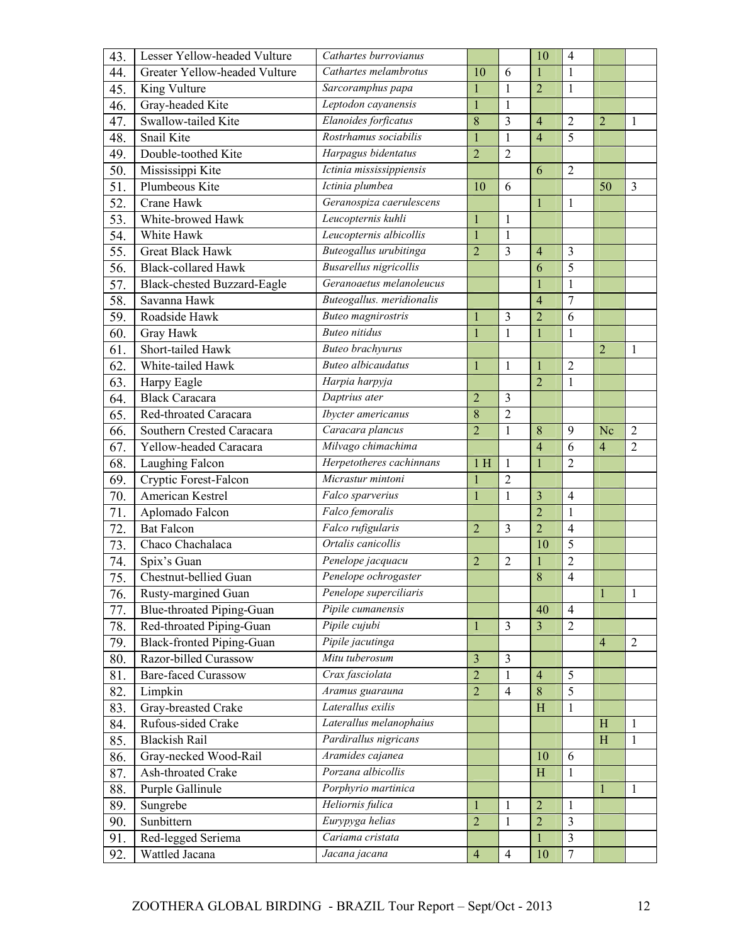| 43.               | Lesser Yellow-headed Vulture         | Cathartes burrovianus             |                |                | 10                 | $\overline{4}$ |                |                |
|-------------------|--------------------------------------|-----------------------------------|----------------|----------------|--------------------|----------------|----------------|----------------|
| 44.               | Greater Yellow-headed Vulture        | Cathartes melambrotus             | 10             | 6              | 1                  | $\mathbf{1}$   |                |                |
| 45.               | King Vulture                         | Sarcoramphus papa                 | $\mathbf{1}$   | $\mathbf{1}$   | $\overline{2}$     | $\mathbf{1}$   |                |                |
| 46.               | Gray-headed Kite                     | Leptodon cayanensis               | $\mathbf{1}$   | $\mathbf{1}$   |                    |                |                |                |
| 47.               | Swallow-tailed Kite                  | Elanoides forficatus              | 8              | 3              | $\overline{4}$     | $\overline{2}$ | $\overline{2}$ | $\overline{1}$ |
| 48.               | Snail Kite                           | Rostrhamus sociabilis             | $\mathbf{1}$   | $\mathbf{1}$   | $\overline{4}$     | 5              |                |                |
| 49.               | Double-toothed Kite                  | Harpagus bidentatus               | $\overline{2}$ | $\overline{2}$ |                    |                |                |                |
| 50.               | Mississippi Kite                     | Ictinia mississippiensis          |                |                | 6                  | $\overline{2}$ |                |                |
| 51.               | Plumbeous Kite                       | Ictinia plumbea                   | 10             | 6              |                    |                | 50             | $\overline{3}$ |
| $\overline{52}$ . | Crane Hawk                           | Geranospiza caerulescens          |                |                | $\mathbf{1}$       | 1              |                |                |
| 53.               | White-browed Hawk                    | Leucopternis kuhli                | $\mathbf{1}$   | $\mathbf{1}$   |                    |                |                |                |
| 54.               | White Hawk                           | Leucopternis albicollis           | $\mathbf{1}$   | $\mathbf{1}$   |                    |                |                |                |
| 55.               | <b>Great Black Hawk</b>              | Buteogallus urubitinga            | $\overline{2}$ | $\overline{3}$ | $\overline{4}$     | 3              |                |                |
| 56.               | <b>Black-collared Hawk</b>           | <b>Busarellus</b> nigricollis     |                |                | 6                  | 5              |                |                |
| 57.               | Black-chested Buzzard-Eagle          | Geranoaetus melanoleucus          |                |                |                    | 1              |                |                |
| 58.               | Savanna Hawk                         | Buteogallus. meridionalis         |                |                | 4                  | 7              |                |                |
| 59.               | Roadside Hawk                        | <b>Buteo</b> magnirostris         | $\mathbf{1}$   | 3              | $\overline{2}$     | 6              |                |                |
| 60.               | Gray Hawk                            | <b>Buteo</b> nitidus              | $\mathbf{1}$   | $\mathbf{1}$   | $\mathbf{1}$       | $\mathbf{1}$   |                |                |
| 61.               | Short-tailed Hawk                    | <b>Buteo</b> brachyurus           |                |                |                    |                | $\overline{2}$ | 1              |
| 62.               | White-tailed Hawk                    | <b>Buteo</b> albicaudatus         | $\mathbf{1}$   | $\mathbf{1}$   | 1                  | $\overline{2}$ |                |                |
| $\overline{63}$ . | Harpy Eagle                          | Harpia harpyja                    |                |                | $\overline{2}$     | $\mathbf{1}$   |                |                |
| 64.               | <b>Black Caracara</b>                | Daptrius ater                     | $\overline{2}$ | $\overline{3}$ |                    |                |                |                |
| 65.               | Red-throated Caracara                | Ibycter americanus                | 8              | $\overline{2}$ |                    |                |                |                |
| 66.               | Southern Crested Caracara            | Caracara plancus                  | $\overline{2}$ | $\mathbf{1}$   | 8                  | 9              | Nc             | $\overline{2}$ |
| 67.               | Yellow-headed Caracara               | Milvago chimachima                |                |                | $\overline{4}$     | 6              | $\overline{4}$ | $\overline{2}$ |
|                   |                                      | Herpetotheres cachinnans          |                |                |                    |                |                |                |
| 68.               | Laughing Falcon                      |                                   | 1H             | $\mathbf{1}$   | $\mathbf{1}$       | $\overline{2}$ |                |                |
| 69.               | Cryptic Forest-Falcon                | Micrastur mintoni                 | $\mathbf{1}$   | $\overline{2}$ |                    |                |                |                |
| 70.               | <b>American Kestrel</b>              | Falco sparverius                  | $\mathbf{1}$   | $\mathbf{1}$   | 3                  | $\overline{4}$ |                |                |
| 71.               | Aplomado Falcon                      | Falco femoralis                   |                |                | $\overline{2}$     | $\mathbf{1}$   |                |                |
| 72.               | <b>Bat Falcon</b>                    | Falco rufigularis                 | $\overline{2}$ | $\overline{3}$ | $\overline{2}$     | $\overline{4}$ |                |                |
| 73.               | Chaco Chachalaca                     | Ortalis canicollis                |                |                | 10                 | 5              |                |                |
| 74.               | Spix's Guan                          | Penelope jacquacu                 | $\overline{2}$ | $\overline{2}$ |                    | $\overline{c}$ |                |                |
| 75                | Chestnut-bellied Guan                | Penelope ochrogaster              |                |                | 8                  | $\overline{4}$ |                |                |
| 76.               | Rusty-margined Guan                  | Penelope superciliaris            |                |                |                    |                | $\mathbf{1}$   | $\mathbf{1}$   |
| 77.               | <b>Blue-throated Piping-Guan</b>     | Pipile cumanensis                 |                |                | 40                 | $\overline{4}$ |                |                |
| 78.               | Red-throated Piping-Guan             | Pipile cujubi                     | $\mathbf{1}$   | $\overline{3}$ | $\overline{3}$     | $\overline{2}$ |                |                |
| 79.               | <b>Black-fronted Piping-Guan</b>     | Pipile jacutinga                  |                |                |                    |                | $\overline{4}$ | $\overline{2}$ |
| 80.               | Razor-billed Curassow                | Mitu tuberosum                    | 3              | $\overline{3}$ |                    |                |                |                |
| 81.               | <b>Bare-faced Curassow</b>           | Crax fasciolata                   | $\overline{2}$ | $\mathbf{1}$   | $\overline{4}$     | 5              |                |                |
| 82.               | Limpkin                              | Aramus guarauna                   | $\overline{2}$ | $\overline{4}$ | 8                  | 5              |                |                |
| 83.               | Gray-breasted Crake                  | Laterallus exilis                 |                |                | H                  | 1              |                |                |
| 84.               | Rufous-sided Crake                   | Laterallus melanophaius           |                |                |                    |                | H              | $\mathbf{1}$   |
| 85.               | <b>Blackish Rail</b>                 | Pardirallus nigricans             |                |                |                    |                | H              | $\mathbf{1}$   |
| 86.               | Gray-necked Wood-Rail                | Aramides cajanea                  |                |                | 10                 | 6              |                |                |
| 87.               | Ash-throated Crake                   | Porzana albicollis                |                |                | H                  | 1              |                |                |
| 88.               | Purple Gallinule                     | Porphyrio martinica               |                |                |                    |                | $\mathbf{1}$   | $\mathbf{1}$   |
| 89.               | Sungrebe                             | Heliornis fulica                  | $\mathbf{1}$   | $\mathbf{1}$   | $\overline{2}$     | 1              |                |                |
| 90.               | Sunbittern                           | Eurypyga helias                   | $\overline{2}$ | $\mathbf{1}$   | $\overline{2}$     | 3              |                |                |
| 91.<br>92.        | Red-legged Seriema<br>Wattled Jacana | Cariama cristata<br>Jacana jacana | $\overline{4}$ | $\overline{4}$ | $\mathbf{1}$<br>10 | 3<br>7         |                |                |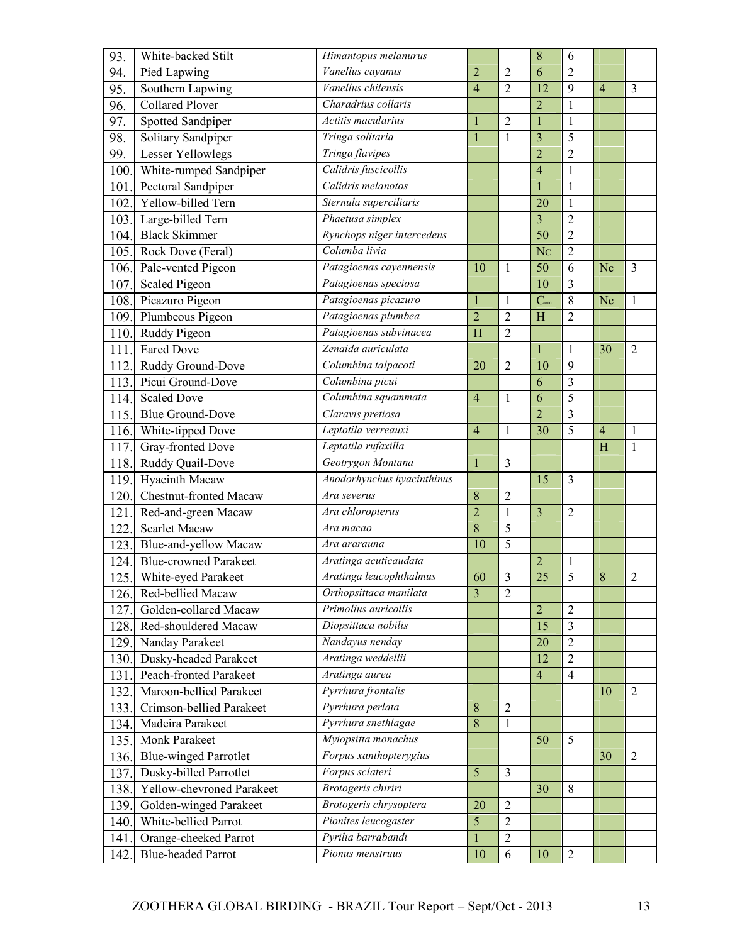| Vanellus cayanus<br>94.<br>6<br>Pied Lapwing<br>$\overline{2}$<br>$\overline{2}$<br>$\overline{2}$<br>Vanellus chilensis<br>$\overline{2}$<br>12<br>9<br>95.<br>Southern Lapwing<br>$\overline{4}$<br>$\overline{4}$<br>3<br><b>Collared Plover</b><br>Charadrius collaris<br>$\overline{2}$<br>96.<br>$\mathbf{1}$<br>Actitis macularius<br>Spotted Sandpiper<br>$\overline{2}$<br>97.<br>$\mathbf{1}$<br>$\mathbf{1}$<br>$\mathbf{1}$<br>98.<br>Solitary Sandpiper<br>Tringa solitaria<br>$\overline{3}$<br>5<br>$\mathbf{1}$<br>$\mathbf{1}$<br>Tringa flavipes<br><b>Lesser Yellowlegs</b><br>$\overline{2}$<br>$\overline{2}$<br>99.<br>Calidris fuscicollis<br>$\overline{4}$<br>White-rumped Sandpiper<br>100<br>1<br>Calidris melanotos<br>Pectoral Sandpiper<br>101<br>$\mathbf{1}$<br>1<br>Sternula superciliaris<br>Yellow-billed Tern<br>20<br>$\mathbf{1}$<br>102.<br>Phaetusa simplex<br>$\overline{\mathbf{3}}$<br>$\overline{c}$<br>Large-billed Tern<br>103.<br>$\overline{50}$<br>Rynchops niger intercedens<br>$\overline{2}$<br><b>Black Skimmer</b><br>104.<br>Columba livia<br>105. Rock Dove (Feral)<br>Nc<br>$\overline{2}$<br>$\overline{50}$<br>Pale-vented Pigeon<br>Patagioenas cayennensis<br>$\mathbf{1}$<br>6<br>$\overline{3}$<br>106.<br>10<br>Nc<br>Patagioenas speciosa<br><b>Scaled Pigeon</b><br>10<br>3<br>107.<br>Picazuro Pigeon<br>Patagioenas picazuro<br>$C_{\text{om}}$<br>8<br>108.<br>Nc<br>1<br>1<br>1<br>Patagioenas plumbea<br>$\overline{2}$<br>Plumbeous Pigeon<br>$\overline{2}$<br>$\overline{2}$<br>H<br>109.<br>Patagioenas subvinacea<br>$\overline{2}$<br>Ruddy Pigeon<br>H<br>110.<br><b>Eared Dove</b><br>Zenaida auriculata<br>30<br>111.<br>$\overline{2}$<br>$\mathbf{1}$<br>1<br>Columbina talpacoti<br>Ruddy Ground-Dove<br>112.<br>$\overline{2}$<br>10<br>9<br>20<br>Picui Ground-Dove<br>Columbina picui<br>113.<br>6<br>3<br>Columbina squammata<br>5<br><b>Scaled Dove</b><br>114.<br>6<br>$\overline{4}$<br>$\mathbf{1}$<br>Claravis pretiosa<br>$\overline{2}$<br>3<br><b>Blue Ground-Dove</b><br>115.<br>Leptotila verreauxi<br>White-tipped Dove<br>5<br>30<br>116.<br>$\overline{4}$<br>$\mathbf{1}$<br>$\overline{4}$<br>1<br>Leptotila rufaxilla<br>Gray-fronted Dove<br>117.<br>H<br>1<br>Geotrygon Montana<br>Ruddy Quail-Dove<br>$\mathbf{1}$<br>$\overline{3}$<br>118.<br>Anodorhynchus hyacinthinus<br>Hyacinth Macaw<br>15<br>119.<br>3<br><b>Chestnut-fronted Macaw</b><br>Ara severus<br>$\overline{2}$<br>8<br>120.<br>$\overline{2}$<br>Red-and-green Macaw<br>Ara chloropterus<br>$\mathbf{1}$<br>3<br>$\overline{c}$<br>121<br>8<br>5<br><b>Scarlet Macaw</b><br>Ara macao<br>122<br>Blue-and-yellow Macaw<br>5<br>123.<br>10<br>Ara ararauna<br><b>Blue-crowned Parakeet</b><br>Aratinga acuticaudata<br>$\overline{2}$<br>124.<br>1<br>5<br>125.<br>White-eyed Parakeet<br>Aratinga leucophthalmus<br>3<br>60<br>25<br>8<br>$\overline{c}$<br>Orthopsittaca manilata<br>$\overline{2}$<br>$\overline{3}$<br>126. Red-bellied Macaw<br>Primolius auricollis<br>$\overline{2}$<br>Golden-collared Macaw<br>$\overline{2}$<br>127.<br>$\overline{3}$<br>Diopsittaca nobilis<br>15<br>128. Red-shouldered Macaw<br>Nandayus nenday<br>$\overline{2}$<br>20<br>Nanday Parakeet<br>129.<br>Aratinga weddellii<br>$\overline{2}$<br>Dusky-headed Parakeet<br>12<br>130.<br>Peach-fronted Parakeet<br>Aratinga aurea<br>$\overline{4}$<br>$\overline{4}$<br>131.<br>Pyrrhura frontalis<br>Maroon-bellied Parakeet<br>132.<br>10<br>$\overline{2}$<br>Pyrrhura perlata<br>Crimson-bellied Parakeet<br>$\overline{c}$<br>133.<br>8<br>Pyrrhura snethlagae<br>Madeira Parakeet<br>134.<br>8<br>$\mathbf{1}$<br>Myiopsitta monachus<br><b>Monk Parakeet</b><br>5<br>135.<br>50<br>$\overline{2}$<br><b>Blue-winged Parrotlet</b><br>Forpus xanthopterygius<br>30<br>136.<br>Forpus sclateri<br>Dusky-billed Parrotlet<br>5<br>137.<br>$\overline{3}$<br>Brotogeris chiriri<br>Yellow-chevroned Parakeet<br>30<br>8<br>138.<br>Brotogeris chrysoptera<br>139.<br>Golden-winged Parakeet<br>20<br>$\overline{2}$<br>Pionites leucogaster<br>5<br>White-bellied Parrot<br>$\overline{2}$<br>140.<br>Pyrilia barrabandi<br>$\overline{2}$<br>Orange-cheeked Parrot<br>141<br>$\mathbf{1}$<br>Pionus menstruus<br><b>Blue-headed Parrot</b><br>6<br>$\overline{c}$<br>142.<br>10<br>10 | 93. | White-backed Stilt | Himantopus melanurus |  | 8 | 6 |  |
|-----------------------------------------------------------------------------------------------------------------------------------------------------------------------------------------------------------------------------------------------------------------------------------------------------------------------------------------------------------------------------------------------------------------------------------------------------------------------------------------------------------------------------------------------------------------------------------------------------------------------------------------------------------------------------------------------------------------------------------------------------------------------------------------------------------------------------------------------------------------------------------------------------------------------------------------------------------------------------------------------------------------------------------------------------------------------------------------------------------------------------------------------------------------------------------------------------------------------------------------------------------------------------------------------------------------------------------------------------------------------------------------------------------------------------------------------------------------------------------------------------------------------------------------------------------------------------------------------------------------------------------------------------------------------------------------------------------------------------------------------------------------------------------------------------------------------------------------------------------------------------------------------------------------------------------------------------------------------------------------------------------------------------------------------------------------------------------------------------------------------------------------------------------------------------------------------------------------------------------------------------------------------------------------------------------------------------------------------------------------------------------------------------------------------------------------------------------------------------------------------------------------------------------------------------------------------------------------------------------------------------------------------------------------------------------------------------------------------------------------------------------------------------------------------------------------------------------------------------------------------------------------------------------------------------------------------------------------------------------------------------------------------------------------------------------------------------------------------------------------------------------------------------------------------------------------------------------------------------------------------------------------------------------------------------------------------------------------------------------------------------------------------------------------------------------------------------------------------------------------------------------------------------------------------------------------------------------------------------------------------------------------------------------------------------------------------------------------------------------------------------------------------------------------------------------------------------------------------------------------------------------------------------------------------------------------------------------------------------------------------------------------------------------------------------------------------------------------------------------------------------------------------------------------------------------------------------------------------------------------------------------------------------------------------------------------------------------------------------------------|-----|--------------------|----------------------|--|---|---|--|
|                                                                                                                                                                                                                                                                                                                                                                                                                                                                                                                                                                                                                                                                                                                                                                                                                                                                                                                                                                                                                                                                                                                                                                                                                                                                                                                                                                                                                                                                                                                                                                                                                                                                                                                                                                                                                                                                                                                                                                                                                                                                                                                                                                                                                                                                                                                                                                                                                                                                                                                                                                                                                                                                                                                                                                                                                                                                                                                                                                                                                                                                                                                                                                                                                                                                                                                                                                                                                                                                                                                                                                                                                                                                                                                                                                                                                                                                                                                                                                                                                                                                                                                                                                                                                                                                                                                                                                 |     |                    |                      |  |   |   |  |
|                                                                                                                                                                                                                                                                                                                                                                                                                                                                                                                                                                                                                                                                                                                                                                                                                                                                                                                                                                                                                                                                                                                                                                                                                                                                                                                                                                                                                                                                                                                                                                                                                                                                                                                                                                                                                                                                                                                                                                                                                                                                                                                                                                                                                                                                                                                                                                                                                                                                                                                                                                                                                                                                                                                                                                                                                                                                                                                                                                                                                                                                                                                                                                                                                                                                                                                                                                                                                                                                                                                                                                                                                                                                                                                                                                                                                                                                                                                                                                                                                                                                                                                                                                                                                                                                                                                                                                 |     |                    |                      |  |   |   |  |
|                                                                                                                                                                                                                                                                                                                                                                                                                                                                                                                                                                                                                                                                                                                                                                                                                                                                                                                                                                                                                                                                                                                                                                                                                                                                                                                                                                                                                                                                                                                                                                                                                                                                                                                                                                                                                                                                                                                                                                                                                                                                                                                                                                                                                                                                                                                                                                                                                                                                                                                                                                                                                                                                                                                                                                                                                                                                                                                                                                                                                                                                                                                                                                                                                                                                                                                                                                                                                                                                                                                                                                                                                                                                                                                                                                                                                                                                                                                                                                                                                                                                                                                                                                                                                                                                                                                                                                 |     |                    |                      |  |   |   |  |
|                                                                                                                                                                                                                                                                                                                                                                                                                                                                                                                                                                                                                                                                                                                                                                                                                                                                                                                                                                                                                                                                                                                                                                                                                                                                                                                                                                                                                                                                                                                                                                                                                                                                                                                                                                                                                                                                                                                                                                                                                                                                                                                                                                                                                                                                                                                                                                                                                                                                                                                                                                                                                                                                                                                                                                                                                                                                                                                                                                                                                                                                                                                                                                                                                                                                                                                                                                                                                                                                                                                                                                                                                                                                                                                                                                                                                                                                                                                                                                                                                                                                                                                                                                                                                                                                                                                                                                 |     |                    |                      |  |   |   |  |
|                                                                                                                                                                                                                                                                                                                                                                                                                                                                                                                                                                                                                                                                                                                                                                                                                                                                                                                                                                                                                                                                                                                                                                                                                                                                                                                                                                                                                                                                                                                                                                                                                                                                                                                                                                                                                                                                                                                                                                                                                                                                                                                                                                                                                                                                                                                                                                                                                                                                                                                                                                                                                                                                                                                                                                                                                                                                                                                                                                                                                                                                                                                                                                                                                                                                                                                                                                                                                                                                                                                                                                                                                                                                                                                                                                                                                                                                                                                                                                                                                                                                                                                                                                                                                                                                                                                                                                 |     |                    |                      |  |   |   |  |
|                                                                                                                                                                                                                                                                                                                                                                                                                                                                                                                                                                                                                                                                                                                                                                                                                                                                                                                                                                                                                                                                                                                                                                                                                                                                                                                                                                                                                                                                                                                                                                                                                                                                                                                                                                                                                                                                                                                                                                                                                                                                                                                                                                                                                                                                                                                                                                                                                                                                                                                                                                                                                                                                                                                                                                                                                                                                                                                                                                                                                                                                                                                                                                                                                                                                                                                                                                                                                                                                                                                                                                                                                                                                                                                                                                                                                                                                                                                                                                                                                                                                                                                                                                                                                                                                                                                                                                 |     |                    |                      |  |   |   |  |
|                                                                                                                                                                                                                                                                                                                                                                                                                                                                                                                                                                                                                                                                                                                                                                                                                                                                                                                                                                                                                                                                                                                                                                                                                                                                                                                                                                                                                                                                                                                                                                                                                                                                                                                                                                                                                                                                                                                                                                                                                                                                                                                                                                                                                                                                                                                                                                                                                                                                                                                                                                                                                                                                                                                                                                                                                                                                                                                                                                                                                                                                                                                                                                                                                                                                                                                                                                                                                                                                                                                                                                                                                                                                                                                                                                                                                                                                                                                                                                                                                                                                                                                                                                                                                                                                                                                                                                 |     |                    |                      |  |   |   |  |
|                                                                                                                                                                                                                                                                                                                                                                                                                                                                                                                                                                                                                                                                                                                                                                                                                                                                                                                                                                                                                                                                                                                                                                                                                                                                                                                                                                                                                                                                                                                                                                                                                                                                                                                                                                                                                                                                                                                                                                                                                                                                                                                                                                                                                                                                                                                                                                                                                                                                                                                                                                                                                                                                                                                                                                                                                                                                                                                                                                                                                                                                                                                                                                                                                                                                                                                                                                                                                                                                                                                                                                                                                                                                                                                                                                                                                                                                                                                                                                                                                                                                                                                                                                                                                                                                                                                                                                 |     |                    |                      |  |   |   |  |
|                                                                                                                                                                                                                                                                                                                                                                                                                                                                                                                                                                                                                                                                                                                                                                                                                                                                                                                                                                                                                                                                                                                                                                                                                                                                                                                                                                                                                                                                                                                                                                                                                                                                                                                                                                                                                                                                                                                                                                                                                                                                                                                                                                                                                                                                                                                                                                                                                                                                                                                                                                                                                                                                                                                                                                                                                                                                                                                                                                                                                                                                                                                                                                                                                                                                                                                                                                                                                                                                                                                                                                                                                                                                                                                                                                                                                                                                                                                                                                                                                                                                                                                                                                                                                                                                                                                                                                 |     |                    |                      |  |   |   |  |
|                                                                                                                                                                                                                                                                                                                                                                                                                                                                                                                                                                                                                                                                                                                                                                                                                                                                                                                                                                                                                                                                                                                                                                                                                                                                                                                                                                                                                                                                                                                                                                                                                                                                                                                                                                                                                                                                                                                                                                                                                                                                                                                                                                                                                                                                                                                                                                                                                                                                                                                                                                                                                                                                                                                                                                                                                                                                                                                                                                                                                                                                                                                                                                                                                                                                                                                                                                                                                                                                                                                                                                                                                                                                                                                                                                                                                                                                                                                                                                                                                                                                                                                                                                                                                                                                                                                                                                 |     |                    |                      |  |   |   |  |
|                                                                                                                                                                                                                                                                                                                                                                                                                                                                                                                                                                                                                                                                                                                                                                                                                                                                                                                                                                                                                                                                                                                                                                                                                                                                                                                                                                                                                                                                                                                                                                                                                                                                                                                                                                                                                                                                                                                                                                                                                                                                                                                                                                                                                                                                                                                                                                                                                                                                                                                                                                                                                                                                                                                                                                                                                                                                                                                                                                                                                                                                                                                                                                                                                                                                                                                                                                                                                                                                                                                                                                                                                                                                                                                                                                                                                                                                                                                                                                                                                                                                                                                                                                                                                                                                                                                                                                 |     |                    |                      |  |   |   |  |
|                                                                                                                                                                                                                                                                                                                                                                                                                                                                                                                                                                                                                                                                                                                                                                                                                                                                                                                                                                                                                                                                                                                                                                                                                                                                                                                                                                                                                                                                                                                                                                                                                                                                                                                                                                                                                                                                                                                                                                                                                                                                                                                                                                                                                                                                                                                                                                                                                                                                                                                                                                                                                                                                                                                                                                                                                                                                                                                                                                                                                                                                                                                                                                                                                                                                                                                                                                                                                                                                                                                                                                                                                                                                                                                                                                                                                                                                                                                                                                                                                                                                                                                                                                                                                                                                                                                                                                 |     |                    |                      |  |   |   |  |
|                                                                                                                                                                                                                                                                                                                                                                                                                                                                                                                                                                                                                                                                                                                                                                                                                                                                                                                                                                                                                                                                                                                                                                                                                                                                                                                                                                                                                                                                                                                                                                                                                                                                                                                                                                                                                                                                                                                                                                                                                                                                                                                                                                                                                                                                                                                                                                                                                                                                                                                                                                                                                                                                                                                                                                                                                                                                                                                                                                                                                                                                                                                                                                                                                                                                                                                                                                                                                                                                                                                                                                                                                                                                                                                                                                                                                                                                                                                                                                                                                                                                                                                                                                                                                                                                                                                                                                 |     |                    |                      |  |   |   |  |
|                                                                                                                                                                                                                                                                                                                                                                                                                                                                                                                                                                                                                                                                                                                                                                                                                                                                                                                                                                                                                                                                                                                                                                                                                                                                                                                                                                                                                                                                                                                                                                                                                                                                                                                                                                                                                                                                                                                                                                                                                                                                                                                                                                                                                                                                                                                                                                                                                                                                                                                                                                                                                                                                                                                                                                                                                                                                                                                                                                                                                                                                                                                                                                                                                                                                                                                                                                                                                                                                                                                                                                                                                                                                                                                                                                                                                                                                                                                                                                                                                                                                                                                                                                                                                                                                                                                                                                 |     |                    |                      |  |   |   |  |
|                                                                                                                                                                                                                                                                                                                                                                                                                                                                                                                                                                                                                                                                                                                                                                                                                                                                                                                                                                                                                                                                                                                                                                                                                                                                                                                                                                                                                                                                                                                                                                                                                                                                                                                                                                                                                                                                                                                                                                                                                                                                                                                                                                                                                                                                                                                                                                                                                                                                                                                                                                                                                                                                                                                                                                                                                                                                                                                                                                                                                                                                                                                                                                                                                                                                                                                                                                                                                                                                                                                                                                                                                                                                                                                                                                                                                                                                                                                                                                                                                                                                                                                                                                                                                                                                                                                                                                 |     |                    |                      |  |   |   |  |
|                                                                                                                                                                                                                                                                                                                                                                                                                                                                                                                                                                                                                                                                                                                                                                                                                                                                                                                                                                                                                                                                                                                                                                                                                                                                                                                                                                                                                                                                                                                                                                                                                                                                                                                                                                                                                                                                                                                                                                                                                                                                                                                                                                                                                                                                                                                                                                                                                                                                                                                                                                                                                                                                                                                                                                                                                                                                                                                                                                                                                                                                                                                                                                                                                                                                                                                                                                                                                                                                                                                                                                                                                                                                                                                                                                                                                                                                                                                                                                                                                                                                                                                                                                                                                                                                                                                                                                 |     |                    |                      |  |   |   |  |
|                                                                                                                                                                                                                                                                                                                                                                                                                                                                                                                                                                                                                                                                                                                                                                                                                                                                                                                                                                                                                                                                                                                                                                                                                                                                                                                                                                                                                                                                                                                                                                                                                                                                                                                                                                                                                                                                                                                                                                                                                                                                                                                                                                                                                                                                                                                                                                                                                                                                                                                                                                                                                                                                                                                                                                                                                                                                                                                                                                                                                                                                                                                                                                                                                                                                                                                                                                                                                                                                                                                                                                                                                                                                                                                                                                                                                                                                                                                                                                                                                                                                                                                                                                                                                                                                                                                                                                 |     |                    |                      |  |   |   |  |
|                                                                                                                                                                                                                                                                                                                                                                                                                                                                                                                                                                                                                                                                                                                                                                                                                                                                                                                                                                                                                                                                                                                                                                                                                                                                                                                                                                                                                                                                                                                                                                                                                                                                                                                                                                                                                                                                                                                                                                                                                                                                                                                                                                                                                                                                                                                                                                                                                                                                                                                                                                                                                                                                                                                                                                                                                                                                                                                                                                                                                                                                                                                                                                                                                                                                                                                                                                                                                                                                                                                                                                                                                                                                                                                                                                                                                                                                                                                                                                                                                                                                                                                                                                                                                                                                                                                                                                 |     |                    |                      |  |   |   |  |
|                                                                                                                                                                                                                                                                                                                                                                                                                                                                                                                                                                                                                                                                                                                                                                                                                                                                                                                                                                                                                                                                                                                                                                                                                                                                                                                                                                                                                                                                                                                                                                                                                                                                                                                                                                                                                                                                                                                                                                                                                                                                                                                                                                                                                                                                                                                                                                                                                                                                                                                                                                                                                                                                                                                                                                                                                                                                                                                                                                                                                                                                                                                                                                                                                                                                                                                                                                                                                                                                                                                                                                                                                                                                                                                                                                                                                                                                                                                                                                                                                                                                                                                                                                                                                                                                                                                                                                 |     |                    |                      |  |   |   |  |
|                                                                                                                                                                                                                                                                                                                                                                                                                                                                                                                                                                                                                                                                                                                                                                                                                                                                                                                                                                                                                                                                                                                                                                                                                                                                                                                                                                                                                                                                                                                                                                                                                                                                                                                                                                                                                                                                                                                                                                                                                                                                                                                                                                                                                                                                                                                                                                                                                                                                                                                                                                                                                                                                                                                                                                                                                                                                                                                                                                                                                                                                                                                                                                                                                                                                                                                                                                                                                                                                                                                                                                                                                                                                                                                                                                                                                                                                                                                                                                                                                                                                                                                                                                                                                                                                                                                                                                 |     |                    |                      |  |   |   |  |
|                                                                                                                                                                                                                                                                                                                                                                                                                                                                                                                                                                                                                                                                                                                                                                                                                                                                                                                                                                                                                                                                                                                                                                                                                                                                                                                                                                                                                                                                                                                                                                                                                                                                                                                                                                                                                                                                                                                                                                                                                                                                                                                                                                                                                                                                                                                                                                                                                                                                                                                                                                                                                                                                                                                                                                                                                                                                                                                                                                                                                                                                                                                                                                                                                                                                                                                                                                                                                                                                                                                                                                                                                                                                                                                                                                                                                                                                                                                                                                                                                                                                                                                                                                                                                                                                                                                                                                 |     |                    |                      |  |   |   |  |
|                                                                                                                                                                                                                                                                                                                                                                                                                                                                                                                                                                                                                                                                                                                                                                                                                                                                                                                                                                                                                                                                                                                                                                                                                                                                                                                                                                                                                                                                                                                                                                                                                                                                                                                                                                                                                                                                                                                                                                                                                                                                                                                                                                                                                                                                                                                                                                                                                                                                                                                                                                                                                                                                                                                                                                                                                                                                                                                                                                                                                                                                                                                                                                                                                                                                                                                                                                                                                                                                                                                                                                                                                                                                                                                                                                                                                                                                                                                                                                                                                                                                                                                                                                                                                                                                                                                                                                 |     |                    |                      |  |   |   |  |
|                                                                                                                                                                                                                                                                                                                                                                                                                                                                                                                                                                                                                                                                                                                                                                                                                                                                                                                                                                                                                                                                                                                                                                                                                                                                                                                                                                                                                                                                                                                                                                                                                                                                                                                                                                                                                                                                                                                                                                                                                                                                                                                                                                                                                                                                                                                                                                                                                                                                                                                                                                                                                                                                                                                                                                                                                                                                                                                                                                                                                                                                                                                                                                                                                                                                                                                                                                                                                                                                                                                                                                                                                                                                                                                                                                                                                                                                                                                                                                                                                                                                                                                                                                                                                                                                                                                                                                 |     |                    |                      |  |   |   |  |
|                                                                                                                                                                                                                                                                                                                                                                                                                                                                                                                                                                                                                                                                                                                                                                                                                                                                                                                                                                                                                                                                                                                                                                                                                                                                                                                                                                                                                                                                                                                                                                                                                                                                                                                                                                                                                                                                                                                                                                                                                                                                                                                                                                                                                                                                                                                                                                                                                                                                                                                                                                                                                                                                                                                                                                                                                                                                                                                                                                                                                                                                                                                                                                                                                                                                                                                                                                                                                                                                                                                                                                                                                                                                                                                                                                                                                                                                                                                                                                                                                                                                                                                                                                                                                                                                                                                                                                 |     |                    |                      |  |   |   |  |
|                                                                                                                                                                                                                                                                                                                                                                                                                                                                                                                                                                                                                                                                                                                                                                                                                                                                                                                                                                                                                                                                                                                                                                                                                                                                                                                                                                                                                                                                                                                                                                                                                                                                                                                                                                                                                                                                                                                                                                                                                                                                                                                                                                                                                                                                                                                                                                                                                                                                                                                                                                                                                                                                                                                                                                                                                                                                                                                                                                                                                                                                                                                                                                                                                                                                                                                                                                                                                                                                                                                                                                                                                                                                                                                                                                                                                                                                                                                                                                                                                                                                                                                                                                                                                                                                                                                                                                 |     |                    |                      |  |   |   |  |
|                                                                                                                                                                                                                                                                                                                                                                                                                                                                                                                                                                                                                                                                                                                                                                                                                                                                                                                                                                                                                                                                                                                                                                                                                                                                                                                                                                                                                                                                                                                                                                                                                                                                                                                                                                                                                                                                                                                                                                                                                                                                                                                                                                                                                                                                                                                                                                                                                                                                                                                                                                                                                                                                                                                                                                                                                                                                                                                                                                                                                                                                                                                                                                                                                                                                                                                                                                                                                                                                                                                                                                                                                                                                                                                                                                                                                                                                                                                                                                                                                                                                                                                                                                                                                                                                                                                                                                 |     |                    |                      |  |   |   |  |
|                                                                                                                                                                                                                                                                                                                                                                                                                                                                                                                                                                                                                                                                                                                                                                                                                                                                                                                                                                                                                                                                                                                                                                                                                                                                                                                                                                                                                                                                                                                                                                                                                                                                                                                                                                                                                                                                                                                                                                                                                                                                                                                                                                                                                                                                                                                                                                                                                                                                                                                                                                                                                                                                                                                                                                                                                                                                                                                                                                                                                                                                                                                                                                                                                                                                                                                                                                                                                                                                                                                                                                                                                                                                                                                                                                                                                                                                                                                                                                                                                                                                                                                                                                                                                                                                                                                                                                 |     |                    |                      |  |   |   |  |
|                                                                                                                                                                                                                                                                                                                                                                                                                                                                                                                                                                                                                                                                                                                                                                                                                                                                                                                                                                                                                                                                                                                                                                                                                                                                                                                                                                                                                                                                                                                                                                                                                                                                                                                                                                                                                                                                                                                                                                                                                                                                                                                                                                                                                                                                                                                                                                                                                                                                                                                                                                                                                                                                                                                                                                                                                                                                                                                                                                                                                                                                                                                                                                                                                                                                                                                                                                                                                                                                                                                                                                                                                                                                                                                                                                                                                                                                                                                                                                                                                                                                                                                                                                                                                                                                                                                                                                 |     |                    |                      |  |   |   |  |
|                                                                                                                                                                                                                                                                                                                                                                                                                                                                                                                                                                                                                                                                                                                                                                                                                                                                                                                                                                                                                                                                                                                                                                                                                                                                                                                                                                                                                                                                                                                                                                                                                                                                                                                                                                                                                                                                                                                                                                                                                                                                                                                                                                                                                                                                                                                                                                                                                                                                                                                                                                                                                                                                                                                                                                                                                                                                                                                                                                                                                                                                                                                                                                                                                                                                                                                                                                                                                                                                                                                                                                                                                                                                                                                                                                                                                                                                                                                                                                                                                                                                                                                                                                                                                                                                                                                                                                 |     |                    |                      |  |   |   |  |
|                                                                                                                                                                                                                                                                                                                                                                                                                                                                                                                                                                                                                                                                                                                                                                                                                                                                                                                                                                                                                                                                                                                                                                                                                                                                                                                                                                                                                                                                                                                                                                                                                                                                                                                                                                                                                                                                                                                                                                                                                                                                                                                                                                                                                                                                                                                                                                                                                                                                                                                                                                                                                                                                                                                                                                                                                                                                                                                                                                                                                                                                                                                                                                                                                                                                                                                                                                                                                                                                                                                                                                                                                                                                                                                                                                                                                                                                                                                                                                                                                                                                                                                                                                                                                                                                                                                                                                 |     |                    |                      |  |   |   |  |
|                                                                                                                                                                                                                                                                                                                                                                                                                                                                                                                                                                                                                                                                                                                                                                                                                                                                                                                                                                                                                                                                                                                                                                                                                                                                                                                                                                                                                                                                                                                                                                                                                                                                                                                                                                                                                                                                                                                                                                                                                                                                                                                                                                                                                                                                                                                                                                                                                                                                                                                                                                                                                                                                                                                                                                                                                                                                                                                                                                                                                                                                                                                                                                                                                                                                                                                                                                                                                                                                                                                                                                                                                                                                                                                                                                                                                                                                                                                                                                                                                                                                                                                                                                                                                                                                                                                                                                 |     |                    |                      |  |   |   |  |
|                                                                                                                                                                                                                                                                                                                                                                                                                                                                                                                                                                                                                                                                                                                                                                                                                                                                                                                                                                                                                                                                                                                                                                                                                                                                                                                                                                                                                                                                                                                                                                                                                                                                                                                                                                                                                                                                                                                                                                                                                                                                                                                                                                                                                                                                                                                                                                                                                                                                                                                                                                                                                                                                                                                                                                                                                                                                                                                                                                                                                                                                                                                                                                                                                                                                                                                                                                                                                                                                                                                                                                                                                                                                                                                                                                                                                                                                                                                                                                                                                                                                                                                                                                                                                                                                                                                                                                 |     |                    |                      |  |   |   |  |
|                                                                                                                                                                                                                                                                                                                                                                                                                                                                                                                                                                                                                                                                                                                                                                                                                                                                                                                                                                                                                                                                                                                                                                                                                                                                                                                                                                                                                                                                                                                                                                                                                                                                                                                                                                                                                                                                                                                                                                                                                                                                                                                                                                                                                                                                                                                                                                                                                                                                                                                                                                                                                                                                                                                                                                                                                                                                                                                                                                                                                                                                                                                                                                                                                                                                                                                                                                                                                                                                                                                                                                                                                                                                                                                                                                                                                                                                                                                                                                                                                                                                                                                                                                                                                                                                                                                                                                 |     |                    |                      |  |   |   |  |
|                                                                                                                                                                                                                                                                                                                                                                                                                                                                                                                                                                                                                                                                                                                                                                                                                                                                                                                                                                                                                                                                                                                                                                                                                                                                                                                                                                                                                                                                                                                                                                                                                                                                                                                                                                                                                                                                                                                                                                                                                                                                                                                                                                                                                                                                                                                                                                                                                                                                                                                                                                                                                                                                                                                                                                                                                                                                                                                                                                                                                                                                                                                                                                                                                                                                                                                                                                                                                                                                                                                                                                                                                                                                                                                                                                                                                                                                                                                                                                                                                                                                                                                                                                                                                                                                                                                                                                 |     |                    |                      |  |   |   |  |
|                                                                                                                                                                                                                                                                                                                                                                                                                                                                                                                                                                                                                                                                                                                                                                                                                                                                                                                                                                                                                                                                                                                                                                                                                                                                                                                                                                                                                                                                                                                                                                                                                                                                                                                                                                                                                                                                                                                                                                                                                                                                                                                                                                                                                                                                                                                                                                                                                                                                                                                                                                                                                                                                                                                                                                                                                                                                                                                                                                                                                                                                                                                                                                                                                                                                                                                                                                                                                                                                                                                                                                                                                                                                                                                                                                                                                                                                                                                                                                                                                                                                                                                                                                                                                                                                                                                                                                 |     |                    |                      |  |   |   |  |
|                                                                                                                                                                                                                                                                                                                                                                                                                                                                                                                                                                                                                                                                                                                                                                                                                                                                                                                                                                                                                                                                                                                                                                                                                                                                                                                                                                                                                                                                                                                                                                                                                                                                                                                                                                                                                                                                                                                                                                                                                                                                                                                                                                                                                                                                                                                                                                                                                                                                                                                                                                                                                                                                                                                                                                                                                                                                                                                                                                                                                                                                                                                                                                                                                                                                                                                                                                                                                                                                                                                                                                                                                                                                                                                                                                                                                                                                                                                                                                                                                                                                                                                                                                                                                                                                                                                                                                 |     |                    |                      |  |   |   |  |
|                                                                                                                                                                                                                                                                                                                                                                                                                                                                                                                                                                                                                                                                                                                                                                                                                                                                                                                                                                                                                                                                                                                                                                                                                                                                                                                                                                                                                                                                                                                                                                                                                                                                                                                                                                                                                                                                                                                                                                                                                                                                                                                                                                                                                                                                                                                                                                                                                                                                                                                                                                                                                                                                                                                                                                                                                                                                                                                                                                                                                                                                                                                                                                                                                                                                                                                                                                                                                                                                                                                                                                                                                                                                                                                                                                                                                                                                                                                                                                                                                                                                                                                                                                                                                                                                                                                                                                 |     |                    |                      |  |   |   |  |
|                                                                                                                                                                                                                                                                                                                                                                                                                                                                                                                                                                                                                                                                                                                                                                                                                                                                                                                                                                                                                                                                                                                                                                                                                                                                                                                                                                                                                                                                                                                                                                                                                                                                                                                                                                                                                                                                                                                                                                                                                                                                                                                                                                                                                                                                                                                                                                                                                                                                                                                                                                                                                                                                                                                                                                                                                                                                                                                                                                                                                                                                                                                                                                                                                                                                                                                                                                                                                                                                                                                                                                                                                                                                                                                                                                                                                                                                                                                                                                                                                                                                                                                                                                                                                                                                                                                                                                 |     |                    |                      |  |   |   |  |
|                                                                                                                                                                                                                                                                                                                                                                                                                                                                                                                                                                                                                                                                                                                                                                                                                                                                                                                                                                                                                                                                                                                                                                                                                                                                                                                                                                                                                                                                                                                                                                                                                                                                                                                                                                                                                                                                                                                                                                                                                                                                                                                                                                                                                                                                                                                                                                                                                                                                                                                                                                                                                                                                                                                                                                                                                                                                                                                                                                                                                                                                                                                                                                                                                                                                                                                                                                                                                                                                                                                                                                                                                                                                                                                                                                                                                                                                                                                                                                                                                                                                                                                                                                                                                                                                                                                                                                 |     |                    |                      |  |   |   |  |
|                                                                                                                                                                                                                                                                                                                                                                                                                                                                                                                                                                                                                                                                                                                                                                                                                                                                                                                                                                                                                                                                                                                                                                                                                                                                                                                                                                                                                                                                                                                                                                                                                                                                                                                                                                                                                                                                                                                                                                                                                                                                                                                                                                                                                                                                                                                                                                                                                                                                                                                                                                                                                                                                                                                                                                                                                                                                                                                                                                                                                                                                                                                                                                                                                                                                                                                                                                                                                                                                                                                                                                                                                                                                                                                                                                                                                                                                                                                                                                                                                                                                                                                                                                                                                                                                                                                                                                 |     |                    |                      |  |   |   |  |
|                                                                                                                                                                                                                                                                                                                                                                                                                                                                                                                                                                                                                                                                                                                                                                                                                                                                                                                                                                                                                                                                                                                                                                                                                                                                                                                                                                                                                                                                                                                                                                                                                                                                                                                                                                                                                                                                                                                                                                                                                                                                                                                                                                                                                                                                                                                                                                                                                                                                                                                                                                                                                                                                                                                                                                                                                                                                                                                                                                                                                                                                                                                                                                                                                                                                                                                                                                                                                                                                                                                                                                                                                                                                                                                                                                                                                                                                                                                                                                                                                                                                                                                                                                                                                                                                                                                                                                 |     |                    |                      |  |   |   |  |
|                                                                                                                                                                                                                                                                                                                                                                                                                                                                                                                                                                                                                                                                                                                                                                                                                                                                                                                                                                                                                                                                                                                                                                                                                                                                                                                                                                                                                                                                                                                                                                                                                                                                                                                                                                                                                                                                                                                                                                                                                                                                                                                                                                                                                                                                                                                                                                                                                                                                                                                                                                                                                                                                                                                                                                                                                                                                                                                                                                                                                                                                                                                                                                                                                                                                                                                                                                                                                                                                                                                                                                                                                                                                                                                                                                                                                                                                                                                                                                                                                                                                                                                                                                                                                                                                                                                                                                 |     |                    |                      |  |   |   |  |
|                                                                                                                                                                                                                                                                                                                                                                                                                                                                                                                                                                                                                                                                                                                                                                                                                                                                                                                                                                                                                                                                                                                                                                                                                                                                                                                                                                                                                                                                                                                                                                                                                                                                                                                                                                                                                                                                                                                                                                                                                                                                                                                                                                                                                                                                                                                                                                                                                                                                                                                                                                                                                                                                                                                                                                                                                                                                                                                                                                                                                                                                                                                                                                                                                                                                                                                                                                                                                                                                                                                                                                                                                                                                                                                                                                                                                                                                                                                                                                                                                                                                                                                                                                                                                                                                                                                                                                 |     |                    |                      |  |   |   |  |
|                                                                                                                                                                                                                                                                                                                                                                                                                                                                                                                                                                                                                                                                                                                                                                                                                                                                                                                                                                                                                                                                                                                                                                                                                                                                                                                                                                                                                                                                                                                                                                                                                                                                                                                                                                                                                                                                                                                                                                                                                                                                                                                                                                                                                                                                                                                                                                                                                                                                                                                                                                                                                                                                                                                                                                                                                                                                                                                                                                                                                                                                                                                                                                                                                                                                                                                                                                                                                                                                                                                                                                                                                                                                                                                                                                                                                                                                                                                                                                                                                                                                                                                                                                                                                                                                                                                                                                 |     |                    |                      |  |   |   |  |
|                                                                                                                                                                                                                                                                                                                                                                                                                                                                                                                                                                                                                                                                                                                                                                                                                                                                                                                                                                                                                                                                                                                                                                                                                                                                                                                                                                                                                                                                                                                                                                                                                                                                                                                                                                                                                                                                                                                                                                                                                                                                                                                                                                                                                                                                                                                                                                                                                                                                                                                                                                                                                                                                                                                                                                                                                                                                                                                                                                                                                                                                                                                                                                                                                                                                                                                                                                                                                                                                                                                                                                                                                                                                                                                                                                                                                                                                                                                                                                                                                                                                                                                                                                                                                                                                                                                                                                 |     |                    |                      |  |   |   |  |
|                                                                                                                                                                                                                                                                                                                                                                                                                                                                                                                                                                                                                                                                                                                                                                                                                                                                                                                                                                                                                                                                                                                                                                                                                                                                                                                                                                                                                                                                                                                                                                                                                                                                                                                                                                                                                                                                                                                                                                                                                                                                                                                                                                                                                                                                                                                                                                                                                                                                                                                                                                                                                                                                                                                                                                                                                                                                                                                                                                                                                                                                                                                                                                                                                                                                                                                                                                                                                                                                                                                                                                                                                                                                                                                                                                                                                                                                                                                                                                                                                                                                                                                                                                                                                                                                                                                                                                 |     |                    |                      |  |   |   |  |
|                                                                                                                                                                                                                                                                                                                                                                                                                                                                                                                                                                                                                                                                                                                                                                                                                                                                                                                                                                                                                                                                                                                                                                                                                                                                                                                                                                                                                                                                                                                                                                                                                                                                                                                                                                                                                                                                                                                                                                                                                                                                                                                                                                                                                                                                                                                                                                                                                                                                                                                                                                                                                                                                                                                                                                                                                                                                                                                                                                                                                                                                                                                                                                                                                                                                                                                                                                                                                                                                                                                                                                                                                                                                                                                                                                                                                                                                                                                                                                                                                                                                                                                                                                                                                                                                                                                                                                 |     |                    |                      |  |   |   |  |
|                                                                                                                                                                                                                                                                                                                                                                                                                                                                                                                                                                                                                                                                                                                                                                                                                                                                                                                                                                                                                                                                                                                                                                                                                                                                                                                                                                                                                                                                                                                                                                                                                                                                                                                                                                                                                                                                                                                                                                                                                                                                                                                                                                                                                                                                                                                                                                                                                                                                                                                                                                                                                                                                                                                                                                                                                                                                                                                                                                                                                                                                                                                                                                                                                                                                                                                                                                                                                                                                                                                                                                                                                                                                                                                                                                                                                                                                                                                                                                                                                                                                                                                                                                                                                                                                                                                                                                 |     |                    |                      |  |   |   |  |
|                                                                                                                                                                                                                                                                                                                                                                                                                                                                                                                                                                                                                                                                                                                                                                                                                                                                                                                                                                                                                                                                                                                                                                                                                                                                                                                                                                                                                                                                                                                                                                                                                                                                                                                                                                                                                                                                                                                                                                                                                                                                                                                                                                                                                                                                                                                                                                                                                                                                                                                                                                                                                                                                                                                                                                                                                                                                                                                                                                                                                                                                                                                                                                                                                                                                                                                                                                                                                                                                                                                                                                                                                                                                                                                                                                                                                                                                                                                                                                                                                                                                                                                                                                                                                                                                                                                                                                 |     |                    |                      |  |   |   |  |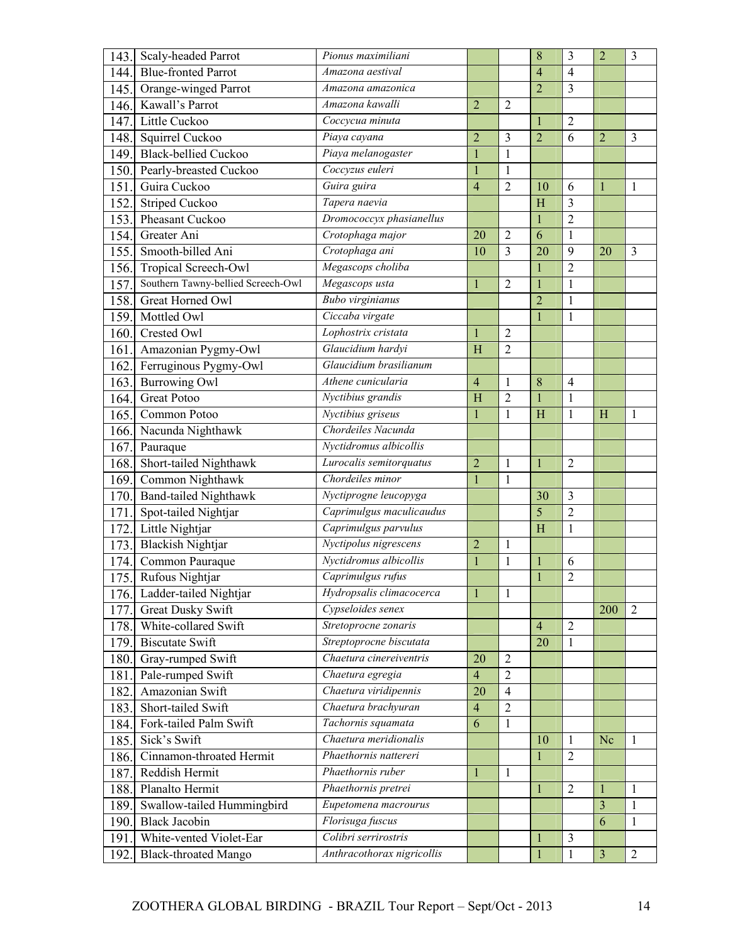| <b>Blue-fronted Parrot</b><br>144.<br>Amazona aestival<br>$\overline{4}$<br>$\overline{4}$<br>$\overline{2}$<br>$\overline{3}$<br>Orange-winged Parrot<br>Amazona amazonica<br>145.<br>Kawall's Parrot<br>Amazona kawalli<br>$\overline{2}$<br>$\overline{2}$<br>146.<br>Little Cuckoo<br>Coccycua minuta<br>$\overline{2}$<br>147.<br>$\overline{2}$<br>Squirrel Cuckoo<br>Piaya cayana<br>$\overline{2}$<br>$\overline{3}$<br>6<br>148.<br>$\overline{2}$<br>$\overline{3}$<br><b>Black-bellied Cuckoo</b><br>Piaya melanogaster<br>$\mathbf{1}$<br>$\mathbf{1}$<br>149.<br>Pearly-breasted Cuckoo<br>Coccyzus euleri<br>$\mathbf{1}$<br>$\mathbf{1}$<br>150.<br>Guira guira<br>151<br>Guira Cuckoo<br>$\overline{4}$<br>$\overline{2}$<br>10<br>6<br>1<br>1<br>Striped Cuckoo<br>Tapera naevia<br>$\overline{3}$<br>H<br>152<br>Dromococcyx phasianellus<br>$\overline{2}$<br>Pheasant Cuckoo<br>153.<br>1<br>6<br>154.<br>Greater Ani<br>Crotophaga major<br>20<br>$\overline{2}$<br>$\mathbf{1}$<br>Crotophaga ani<br>155.<br>Smooth-billed Ani<br>3<br>20<br>9<br>10<br>20<br>$\overline{3}$<br>Megascops choliba<br>Tropical Screech-Owl<br>$\overline{2}$<br>156.<br>Southern Tawny-bellied Screech-Owl<br>Megascops usta<br>157.<br>$\overline{2}$<br>$\mathbf 1$<br>$\mathbf{1}$<br>$\mathbf{1}$<br>Bubo virginianus<br>Great Horned Owl<br>$\overline{2}$<br>158.<br>$\mathbf{1}$<br>Ciccaba virgate<br>159.<br>Mottled Owl<br>$\mathbf{1}$<br>$\mathbf{1}$<br>Lophostrix cristata<br>160.<br>Crested Owl<br>$\overline{2}$<br>1<br>Glaucidium hardyi<br>$\overline{2}$<br>161<br>Amazonian Pygmy-Owl<br>H<br>Glaucidium brasilianum<br>Ferruginous Pygmy-Owl<br>162.<br>Burrowing Owl<br>Athene cunicularia<br>8<br>163.<br>$\overline{4}$<br>$\overline{4}$<br>1<br>Nyctibius grandis<br><b>Great Potoo</b><br>$\overline{H}$<br>$\overline{2}$<br>164.<br>1<br>Nyctibius griseus<br>Common Potoo<br>$\mathbf{1}$<br>H<br>$\mathbf{1}$<br>1<br>165.<br>H<br>1<br>Chordeiles Nacunda<br>Nacunda Nighthawk<br>166.<br>Nyctidromus albicollis<br>167.<br>Pauraque<br>Short-tailed Nighthawk<br>Lurocalis semitorquatus<br>$\overline{2}$<br>$\overline{2}$<br>168.<br>1<br>1<br>Chordeiles minor<br>Common Nighthawk<br>169.<br>$\mathbf{1}$<br>1<br>Band-tailed Nighthawk<br>Nyctiprogne leucopyga<br>3<br>30<br>170.<br>$\overline{5}$<br>$\overline{2}$<br>Caprimulgus maculicaudus<br>Spot-tailed Nightjar<br>171.<br>Caprimulgus parvulus<br>Little Nightjar<br>H<br>172.<br>1<br>Nyctipolus nigrescens<br><b>Blackish Nightjar</b><br>173.<br>$\overline{2}$<br>1<br>Nyctidromus albicollis<br>Common Pauraque<br>$\mathbf{1}$<br>$\mathbf{1}$<br>$\mathbf{1}$<br>6<br>174.<br>Rufous Nightjar<br>Caprimulgus rufus<br>$\overline{2}$<br>175.<br>$\mathbf{1}$<br>Hydropsalis climacocerca<br>Ladder-tailed Nightjar<br>176.<br>$\mathbf 1$<br>1<br>Cypseloides senex<br><b>Great Dusky Swift</b><br>2<br>177.<br>200<br>Stretoprocne zonaris<br>White-collared Swift<br>$\overline{2}$<br>178.<br>$\overline{4}$<br>Streptoprocne biscutata<br>20<br>179.<br><b>Biscutate Swift</b><br>1<br>Chaetura cinereiventris<br>Gray-rumped Swift<br>180.<br>20<br>$\overline{2}$<br>Chaetura egregia<br>$\overline{2}$<br>Pale-rumped Swift<br>$\overline{4}$<br>181<br>Amazonian Swift<br>Chaetura viridipennis<br>20<br>$\overline{4}$<br>182.<br>Short-tailed Swift<br>Chaetura brachyuran<br>$\overline{2}$<br>183.<br>$\overline{4}$<br>Fork-tailed Palm Swift<br>Tachornis squamata<br>6<br>$\mathbf{1}$<br>184.<br>Chaetura meridionalis<br>Sick's Swift<br>185.<br>10<br>Nc<br>1<br>1<br>Phaethornis nattereri<br>Cinnamon-throated Hermit<br>$\overline{2}$<br>186.<br>1<br>Phaethornis ruber<br>Reddish Hermit<br>187.<br>$\mathbf{1}$<br>1<br>Planalto Hermit<br>Phaethornis pretrei<br>$\overline{2}$<br>$\mathbf{1}$<br>188.<br>$\mathbf{1}$<br>$\mathbf{1}$<br>Swallow-tailed Hummingbird<br>Eupetomena macrourus<br>$\overline{\mathbf{3}}$<br>189.<br>1 | 143. | Scaly-headed Parrot  | Pionus maximiliani |  | 8 | 3 | $\overline{2}$ | 3 |
|---------------------------------------------------------------------------------------------------------------------------------------------------------------------------------------------------------------------------------------------------------------------------------------------------------------------------------------------------------------------------------------------------------------------------------------------------------------------------------------------------------------------------------------------------------------------------------------------------------------------------------------------------------------------------------------------------------------------------------------------------------------------------------------------------------------------------------------------------------------------------------------------------------------------------------------------------------------------------------------------------------------------------------------------------------------------------------------------------------------------------------------------------------------------------------------------------------------------------------------------------------------------------------------------------------------------------------------------------------------------------------------------------------------------------------------------------------------------------------------------------------------------------------------------------------------------------------------------------------------------------------------------------------------------------------------------------------------------------------------------------------------------------------------------------------------------------------------------------------------------------------------------------------------------------------------------------------------------------------------------------------------------------------------------------------------------------------------------------------------------------------------------------------------------------------------------------------------------------------------------------------------------------------------------------------------------------------------------------------------------------------------------------------------------------------------------------------------------------------------------------------------------------------------------------------------------------------------------------------------------------------------------------------------------------------------------------------------------------------------------------------------------------------------------------------------------------------------------------------------------------------------------------------------------------------------------------------------------------------------------------------------------------------------------------------------------------------------------------------------------------------------------------------------------------------------------------------------------------------------------------------------------------------------------------------------------------------------------------------------------------------------------------------------------------------------------------------------------------------------------------------------------------------------------------------------------------------------------------------------------------------------------------------------------------------------------------------------------------------------------------------------------------------------------------------------------------------------------------------------------------------------------------------------------------------------------------------------------------------|------|----------------------|--------------------|--|---|---|----------------|---|
|                                                                                                                                                                                                                                                                                                                                                                                                                                                                                                                                                                                                                                                                                                                                                                                                                                                                                                                                                                                                                                                                                                                                                                                                                                                                                                                                                                                                                                                                                                                                                                                                                                                                                                                                                                                                                                                                                                                                                                                                                                                                                                                                                                                                                                                                                                                                                                                                                                                                                                                                                                                                                                                                                                                                                                                                                                                                                                                                                                                                                                                                                                                                                                                                                                                                                                                                                                                                                                                                                                                                                                                                                                                                                                                                                                                                                                                                                                                                                                                 |      |                      |                    |  |   |   |                |   |
|                                                                                                                                                                                                                                                                                                                                                                                                                                                                                                                                                                                                                                                                                                                                                                                                                                                                                                                                                                                                                                                                                                                                                                                                                                                                                                                                                                                                                                                                                                                                                                                                                                                                                                                                                                                                                                                                                                                                                                                                                                                                                                                                                                                                                                                                                                                                                                                                                                                                                                                                                                                                                                                                                                                                                                                                                                                                                                                                                                                                                                                                                                                                                                                                                                                                                                                                                                                                                                                                                                                                                                                                                                                                                                                                                                                                                                                                                                                                                                                 |      |                      |                    |  |   |   |                |   |
|                                                                                                                                                                                                                                                                                                                                                                                                                                                                                                                                                                                                                                                                                                                                                                                                                                                                                                                                                                                                                                                                                                                                                                                                                                                                                                                                                                                                                                                                                                                                                                                                                                                                                                                                                                                                                                                                                                                                                                                                                                                                                                                                                                                                                                                                                                                                                                                                                                                                                                                                                                                                                                                                                                                                                                                                                                                                                                                                                                                                                                                                                                                                                                                                                                                                                                                                                                                                                                                                                                                                                                                                                                                                                                                                                                                                                                                                                                                                                                                 |      |                      |                    |  |   |   |                |   |
|                                                                                                                                                                                                                                                                                                                                                                                                                                                                                                                                                                                                                                                                                                                                                                                                                                                                                                                                                                                                                                                                                                                                                                                                                                                                                                                                                                                                                                                                                                                                                                                                                                                                                                                                                                                                                                                                                                                                                                                                                                                                                                                                                                                                                                                                                                                                                                                                                                                                                                                                                                                                                                                                                                                                                                                                                                                                                                                                                                                                                                                                                                                                                                                                                                                                                                                                                                                                                                                                                                                                                                                                                                                                                                                                                                                                                                                                                                                                                                                 |      |                      |                    |  |   |   |                |   |
|                                                                                                                                                                                                                                                                                                                                                                                                                                                                                                                                                                                                                                                                                                                                                                                                                                                                                                                                                                                                                                                                                                                                                                                                                                                                                                                                                                                                                                                                                                                                                                                                                                                                                                                                                                                                                                                                                                                                                                                                                                                                                                                                                                                                                                                                                                                                                                                                                                                                                                                                                                                                                                                                                                                                                                                                                                                                                                                                                                                                                                                                                                                                                                                                                                                                                                                                                                                                                                                                                                                                                                                                                                                                                                                                                                                                                                                                                                                                                                                 |      |                      |                    |  |   |   |                |   |
|                                                                                                                                                                                                                                                                                                                                                                                                                                                                                                                                                                                                                                                                                                                                                                                                                                                                                                                                                                                                                                                                                                                                                                                                                                                                                                                                                                                                                                                                                                                                                                                                                                                                                                                                                                                                                                                                                                                                                                                                                                                                                                                                                                                                                                                                                                                                                                                                                                                                                                                                                                                                                                                                                                                                                                                                                                                                                                                                                                                                                                                                                                                                                                                                                                                                                                                                                                                                                                                                                                                                                                                                                                                                                                                                                                                                                                                                                                                                                                                 |      |                      |                    |  |   |   |                |   |
|                                                                                                                                                                                                                                                                                                                                                                                                                                                                                                                                                                                                                                                                                                                                                                                                                                                                                                                                                                                                                                                                                                                                                                                                                                                                                                                                                                                                                                                                                                                                                                                                                                                                                                                                                                                                                                                                                                                                                                                                                                                                                                                                                                                                                                                                                                                                                                                                                                                                                                                                                                                                                                                                                                                                                                                                                                                                                                                                                                                                                                                                                                                                                                                                                                                                                                                                                                                                                                                                                                                                                                                                                                                                                                                                                                                                                                                                                                                                                                                 |      |                      |                    |  |   |   |                |   |
|                                                                                                                                                                                                                                                                                                                                                                                                                                                                                                                                                                                                                                                                                                                                                                                                                                                                                                                                                                                                                                                                                                                                                                                                                                                                                                                                                                                                                                                                                                                                                                                                                                                                                                                                                                                                                                                                                                                                                                                                                                                                                                                                                                                                                                                                                                                                                                                                                                                                                                                                                                                                                                                                                                                                                                                                                                                                                                                                                                                                                                                                                                                                                                                                                                                                                                                                                                                                                                                                                                                                                                                                                                                                                                                                                                                                                                                                                                                                                                                 |      |                      |                    |  |   |   |                |   |
|                                                                                                                                                                                                                                                                                                                                                                                                                                                                                                                                                                                                                                                                                                                                                                                                                                                                                                                                                                                                                                                                                                                                                                                                                                                                                                                                                                                                                                                                                                                                                                                                                                                                                                                                                                                                                                                                                                                                                                                                                                                                                                                                                                                                                                                                                                                                                                                                                                                                                                                                                                                                                                                                                                                                                                                                                                                                                                                                                                                                                                                                                                                                                                                                                                                                                                                                                                                                                                                                                                                                                                                                                                                                                                                                                                                                                                                                                                                                                                                 |      |                      |                    |  |   |   |                |   |
|                                                                                                                                                                                                                                                                                                                                                                                                                                                                                                                                                                                                                                                                                                                                                                                                                                                                                                                                                                                                                                                                                                                                                                                                                                                                                                                                                                                                                                                                                                                                                                                                                                                                                                                                                                                                                                                                                                                                                                                                                                                                                                                                                                                                                                                                                                                                                                                                                                                                                                                                                                                                                                                                                                                                                                                                                                                                                                                                                                                                                                                                                                                                                                                                                                                                                                                                                                                                                                                                                                                                                                                                                                                                                                                                                                                                                                                                                                                                                                                 |      |                      |                    |  |   |   |                |   |
|                                                                                                                                                                                                                                                                                                                                                                                                                                                                                                                                                                                                                                                                                                                                                                                                                                                                                                                                                                                                                                                                                                                                                                                                                                                                                                                                                                                                                                                                                                                                                                                                                                                                                                                                                                                                                                                                                                                                                                                                                                                                                                                                                                                                                                                                                                                                                                                                                                                                                                                                                                                                                                                                                                                                                                                                                                                                                                                                                                                                                                                                                                                                                                                                                                                                                                                                                                                                                                                                                                                                                                                                                                                                                                                                                                                                                                                                                                                                                                                 |      |                      |                    |  |   |   |                |   |
|                                                                                                                                                                                                                                                                                                                                                                                                                                                                                                                                                                                                                                                                                                                                                                                                                                                                                                                                                                                                                                                                                                                                                                                                                                                                                                                                                                                                                                                                                                                                                                                                                                                                                                                                                                                                                                                                                                                                                                                                                                                                                                                                                                                                                                                                                                                                                                                                                                                                                                                                                                                                                                                                                                                                                                                                                                                                                                                                                                                                                                                                                                                                                                                                                                                                                                                                                                                                                                                                                                                                                                                                                                                                                                                                                                                                                                                                                                                                                                                 |      |                      |                    |  |   |   |                |   |
|                                                                                                                                                                                                                                                                                                                                                                                                                                                                                                                                                                                                                                                                                                                                                                                                                                                                                                                                                                                                                                                                                                                                                                                                                                                                                                                                                                                                                                                                                                                                                                                                                                                                                                                                                                                                                                                                                                                                                                                                                                                                                                                                                                                                                                                                                                                                                                                                                                                                                                                                                                                                                                                                                                                                                                                                                                                                                                                                                                                                                                                                                                                                                                                                                                                                                                                                                                                                                                                                                                                                                                                                                                                                                                                                                                                                                                                                                                                                                                                 |      |                      |                    |  |   |   |                |   |
|                                                                                                                                                                                                                                                                                                                                                                                                                                                                                                                                                                                                                                                                                                                                                                                                                                                                                                                                                                                                                                                                                                                                                                                                                                                                                                                                                                                                                                                                                                                                                                                                                                                                                                                                                                                                                                                                                                                                                                                                                                                                                                                                                                                                                                                                                                                                                                                                                                                                                                                                                                                                                                                                                                                                                                                                                                                                                                                                                                                                                                                                                                                                                                                                                                                                                                                                                                                                                                                                                                                                                                                                                                                                                                                                                                                                                                                                                                                                                                                 |      |                      |                    |  |   |   |                |   |
|                                                                                                                                                                                                                                                                                                                                                                                                                                                                                                                                                                                                                                                                                                                                                                                                                                                                                                                                                                                                                                                                                                                                                                                                                                                                                                                                                                                                                                                                                                                                                                                                                                                                                                                                                                                                                                                                                                                                                                                                                                                                                                                                                                                                                                                                                                                                                                                                                                                                                                                                                                                                                                                                                                                                                                                                                                                                                                                                                                                                                                                                                                                                                                                                                                                                                                                                                                                                                                                                                                                                                                                                                                                                                                                                                                                                                                                                                                                                                                                 |      |                      |                    |  |   |   |                |   |
|                                                                                                                                                                                                                                                                                                                                                                                                                                                                                                                                                                                                                                                                                                                                                                                                                                                                                                                                                                                                                                                                                                                                                                                                                                                                                                                                                                                                                                                                                                                                                                                                                                                                                                                                                                                                                                                                                                                                                                                                                                                                                                                                                                                                                                                                                                                                                                                                                                                                                                                                                                                                                                                                                                                                                                                                                                                                                                                                                                                                                                                                                                                                                                                                                                                                                                                                                                                                                                                                                                                                                                                                                                                                                                                                                                                                                                                                                                                                                                                 |      |                      |                    |  |   |   |                |   |
|                                                                                                                                                                                                                                                                                                                                                                                                                                                                                                                                                                                                                                                                                                                                                                                                                                                                                                                                                                                                                                                                                                                                                                                                                                                                                                                                                                                                                                                                                                                                                                                                                                                                                                                                                                                                                                                                                                                                                                                                                                                                                                                                                                                                                                                                                                                                                                                                                                                                                                                                                                                                                                                                                                                                                                                                                                                                                                                                                                                                                                                                                                                                                                                                                                                                                                                                                                                                                                                                                                                                                                                                                                                                                                                                                                                                                                                                                                                                                                                 |      |                      |                    |  |   |   |                |   |
|                                                                                                                                                                                                                                                                                                                                                                                                                                                                                                                                                                                                                                                                                                                                                                                                                                                                                                                                                                                                                                                                                                                                                                                                                                                                                                                                                                                                                                                                                                                                                                                                                                                                                                                                                                                                                                                                                                                                                                                                                                                                                                                                                                                                                                                                                                                                                                                                                                                                                                                                                                                                                                                                                                                                                                                                                                                                                                                                                                                                                                                                                                                                                                                                                                                                                                                                                                                                                                                                                                                                                                                                                                                                                                                                                                                                                                                                                                                                                                                 |      |                      |                    |  |   |   |                |   |
|                                                                                                                                                                                                                                                                                                                                                                                                                                                                                                                                                                                                                                                                                                                                                                                                                                                                                                                                                                                                                                                                                                                                                                                                                                                                                                                                                                                                                                                                                                                                                                                                                                                                                                                                                                                                                                                                                                                                                                                                                                                                                                                                                                                                                                                                                                                                                                                                                                                                                                                                                                                                                                                                                                                                                                                                                                                                                                                                                                                                                                                                                                                                                                                                                                                                                                                                                                                                                                                                                                                                                                                                                                                                                                                                                                                                                                                                                                                                                                                 |      |                      |                    |  |   |   |                |   |
|                                                                                                                                                                                                                                                                                                                                                                                                                                                                                                                                                                                                                                                                                                                                                                                                                                                                                                                                                                                                                                                                                                                                                                                                                                                                                                                                                                                                                                                                                                                                                                                                                                                                                                                                                                                                                                                                                                                                                                                                                                                                                                                                                                                                                                                                                                                                                                                                                                                                                                                                                                                                                                                                                                                                                                                                                                                                                                                                                                                                                                                                                                                                                                                                                                                                                                                                                                                                                                                                                                                                                                                                                                                                                                                                                                                                                                                                                                                                                                                 |      |                      |                    |  |   |   |                |   |
|                                                                                                                                                                                                                                                                                                                                                                                                                                                                                                                                                                                                                                                                                                                                                                                                                                                                                                                                                                                                                                                                                                                                                                                                                                                                                                                                                                                                                                                                                                                                                                                                                                                                                                                                                                                                                                                                                                                                                                                                                                                                                                                                                                                                                                                                                                                                                                                                                                                                                                                                                                                                                                                                                                                                                                                                                                                                                                                                                                                                                                                                                                                                                                                                                                                                                                                                                                                                                                                                                                                                                                                                                                                                                                                                                                                                                                                                                                                                                                                 |      |                      |                    |  |   |   |                |   |
|                                                                                                                                                                                                                                                                                                                                                                                                                                                                                                                                                                                                                                                                                                                                                                                                                                                                                                                                                                                                                                                                                                                                                                                                                                                                                                                                                                                                                                                                                                                                                                                                                                                                                                                                                                                                                                                                                                                                                                                                                                                                                                                                                                                                                                                                                                                                                                                                                                                                                                                                                                                                                                                                                                                                                                                                                                                                                                                                                                                                                                                                                                                                                                                                                                                                                                                                                                                                                                                                                                                                                                                                                                                                                                                                                                                                                                                                                                                                                                                 |      |                      |                    |  |   |   |                |   |
|                                                                                                                                                                                                                                                                                                                                                                                                                                                                                                                                                                                                                                                                                                                                                                                                                                                                                                                                                                                                                                                                                                                                                                                                                                                                                                                                                                                                                                                                                                                                                                                                                                                                                                                                                                                                                                                                                                                                                                                                                                                                                                                                                                                                                                                                                                                                                                                                                                                                                                                                                                                                                                                                                                                                                                                                                                                                                                                                                                                                                                                                                                                                                                                                                                                                                                                                                                                                                                                                                                                                                                                                                                                                                                                                                                                                                                                                                                                                                                                 |      |                      |                    |  |   |   |                |   |
|                                                                                                                                                                                                                                                                                                                                                                                                                                                                                                                                                                                                                                                                                                                                                                                                                                                                                                                                                                                                                                                                                                                                                                                                                                                                                                                                                                                                                                                                                                                                                                                                                                                                                                                                                                                                                                                                                                                                                                                                                                                                                                                                                                                                                                                                                                                                                                                                                                                                                                                                                                                                                                                                                                                                                                                                                                                                                                                                                                                                                                                                                                                                                                                                                                                                                                                                                                                                                                                                                                                                                                                                                                                                                                                                                                                                                                                                                                                                                                                 |      |                      |                    |  |   |   |                |   |
|                                                                                                                                                                                                                                                                                                                                                                                                                                                                                                                                                                                                                                                                                                                                                                                                                                                                                                                                                                                                                                                                                                                                                                                                                                                                                                                                                                                                                                                                                                                                                                                                                                                                                                                                                                                                                                                                                                                                                                                                                                                                                                                                                                                                                                                                                                                                                                                                                                                                                                                                                                                                                                                                                                                                                                                                                                                                                                                                                                                                                                                                                                                                                                                                                                                                                                                                                                                                                                                                                                                                                                                                                                                                                                                                                                                                                                                                                                                                                                                 |      |                      |                    |  |   |   |                |   |
|                                                                                                                                                                                                                                                                                                                                                                                                                                                                                                                                                                                                                                                                                                                                                                                                                                                                                                                                                                                                                                                                                                                                                                                                                                                                                                                                                                                                                                                                                                                                                                                                                                                                                                                                                                                                                                                                                                                                                                                                                                                                                                                                                                                                                                                                                                                                                                                                                                                                                                                                                                                                                                                                                                                                                                                                                                                                                                                                                                                                                                                                                                                                                                                                                                                                                                                                                                                                                                                                                                                                                                                                                                                                                                                                                                                                                                                                                                                                                                                 |      |                      |                    |  |   |   |                |   |
|                                                                                                                                                                                                                                                                                                                                                                                                                                                                                                                                                                                                                                                                                                                                                                                                                                                                                                                                                                                                                                                                                                                                                                                                                                                                                                                                                                                                                                                                                                                                                                                                                                                                                                                                                                                                                                                                                                                                                                                                                                                                                                                                                                                                                                                                                                                                                                                                                                                                                                                                                                                                                                                                                                                                                                                                                                                                                                                                                                                                                                                                                                                                                                                                                                                                                                                                                                                                                                                                                                                                                                                                                                                                                                                                                                                                                                                                                                                                                                                 |      |                      |                    |  |   |   |                |   |
|                                                                                                                                                                                                                                                                                                                                                                                                                                                                                                                                                                                                                                                                                                                                                                                                                                                                                                                                                                                                                                                                                                                                                                                                                                                                                                                                                                                                                                                                                                                                                                                                                                                                                                                                                                                                                                                                                                                                                                                                                                                                                                                                                                                                                                                                                                                                                                                                                                                                                                                                                                                                                                                                                                                                                                                                                                                                                                                                                                                                                                                                                                                                                                                                                                                                                                                                                                                                                                                                                                                                                                                                                                                                                                                                                                                                                                                                                                                                                                                 |      |                      |                    |  |   |   |                |   |
|                                                                                                                                                                                                                                                                                                                                                                                                                                                                                                                                                                                                                                                                                                                                                                                                                                                                                                                                                                                                                                                                                                                                                                                                                                                                                                                                                                                                                                                                                                                                                                                                                                                                                                                                                                                                                                                                                                                                                                                                                                                                                                                                                                                                                                                                                                                                                                                                                                                                                                                                                                                                                                                                                                                                                                                                                                                                                                                                                                                                                                                                                                                                                                                                                                                                                                                                                                                                                                                                                                                                                                                                                                                                                                                                                                                                                                                                                                                                                                                 |      |                      |                    |  |   |   |                |   |
|                                                                                                                                                                                                                                                                                                                                                                                                                                                                                                                                                                                                                                                                                                                                                                                                                                                                                                                                                                                                                                                                                                                                                                                                                                                                                                                                                                                                                                                                                                                                                                                                                                                                                                                                                                                                                                                                                                                                                                                                                                                                                                                                                                                                                                                                                                                                                                                                                                                                                                                                                                                                                                                                                                                                                                                                                                                                                                                                                                                                                                                                                                                                                                                                                                                                                                                                                                                                                                                                                                                                                                                                                                                                                                                                                                                                                                                                                                                                                                                 |      |                      |                    |  |   |   |                |   |
|                                                                                                                                                                                                                                                                                                                                                                                                                                                                                                                                                                                                                                                                                                                                                                                                                                                                                                                                                                                                                                                                                                                                                                                                                                                                                                                                                                                                                                                                                                                                                                                                                                                                                                                                                                                                                                                                                                                                                                                                                                                                                                                                                                                                                                                                                                                                                                                                                                                                                                                                                                                                                                                                                                                                                                                                                                                                                                                                                                                                                                                                                                                                                                                                                                                                                                                                                                                                                                                                                                                                                                                                                                                                                                                                                                                                                                                                                                                                                                                 |      |                      |                    |  |   |   |                |   |
|                                                                                                                                                                                                                                                                                                                                                                                                                                                                                                                                                                                                                                                                                                                                                                                                                                                                                                                                                                                                                                                                                                                                                                                                                                                                                                                                                                                                                                                                                                                                                                                                                                                                                                                                                                                                                                                                                                                                                                                                                                                                                                                                                                                                                                                                                                                                                                                                                                                                                                                                                                                                                                                                                                                                                                                                                                                                                                                                                                                                                                                                                                                                                                                                                                                                                                                                                                                                                                                                                                                                                                                                                                                                                                                                                                                                                                                                                                                                                                                 |      |                      |                    |  |   |   |                |   |
|                                                                                                                                                                                                                                                                                                                                                                                                                                                                                                                                                                                                                                                                                                                                                                                                                                                                                                                                                                                                                                                                                                                                                                                                                                                                                                                                                                                                                                                                                                                                                                                                                                                                                                                                                                                                                                                                                                                                                                                                                                                                                                                                                                                                                                                                                                                                                                                                                                                                                                                                                                                                                                                                                                                                                                                                                                                                                                                                                                                                                                                                                                                                                                                                                                                                                                                                                                                                                                                                                                                                                                                                                                                                                                                                                                                                                                                                                                                                                                                 |      |                      |                    |  |   |   |                |   |
|                                                                                                                                                                                                                                                                                                                                                                                                                                                                                                                                                                                                                                                                                                                                                                                                                                                                                                                                                                                                                                                                                                                                                                                                                                                                                                                                                                                                                                                                                                                                                                                                                                                                                                                                                                                                                                                                                                                                                                                                                                                                                                                                                                                                                                                                                                                                                                                                                                                                                                                                                                                                                                                                                                                                                                                                                                                                                                                                                                                                                                                                                                                                                                                                                                                                                                                                                                                                                                                                                                                                                                                                                                                                                                                                                                                                                                                                                                                                                                                 |      |                      |                    |  |   |   |                |   |
|                                                                                                                                                                                                                                                                                                                                                                                                                                                                                                                                                                                                                                                                                                                                                                                                                                                                                                                                                                                                                                                                                                                                                                                                                                                                                                                                                                                                                                                                                                                                                                                                                                                                                                                                                                                                                                                                                                                                                                                                                                                                                                                                                                                                                                                                                                                                                                                                                                                                                                                                                                                                                                                                                                                                                                                                                                                                                                                                                                                                                                                                                                                                                                                                                                                                                                                                                                                                                                                                                                                                                                                                                                                                                                                                                                                                                                                                                                                                                                                 |      |                      |                    |  |   |   |                |   |
|                                                                                                                                                                                                                                                                                                                                                                                                                                                                                                                                                                                                                                                                                                                                                                                                                                                                                                                                                                                                                                                                                                                                                                                                                                                                                                                                                                                                                                                                                                                                                                                                                                                                                                                                                                                                                                                                                                                                                                                                                                                                                                                                                                                                                                                                                                                                                                                                                                                                                                                                                                                                                                                                                                                                                                                                                                                                                                                                                                                                                                                                                                                                                                                                                                                                                                                                                                                                                                                                                                                                                                                                                                                                                                                                                                                                                                                                                                                                                                                 |      |                      |                    |  |   |   |                |   |
|                                                                                                                                                                                                                                                                                                                                                                                                                                                                                                                                                                                                                                                                                                                                                                                                                                                                                                                                                                                                                                                                                                                                                                                                                                                                                                                                                                                                                                                                                                                                                                                                                                                                                                                                                                                                                                                                                                                                                                                                                                                                                                                                                                                                                                                                                                                                                                                                                                                                                                                                                                                                                                                                                                                                                                                                                                                                                                                                                                                                                                                                                                                                                                                                                                                                                                                                                                                                                                                                                                                                                                                                                                                                                                                                                                                                                                                                                                                                                                                 |      |                      |                    |  |   |   |                |   |
|                                                                                                                                                                                                                                                                                                                                                                                                                                                                                                                                                                                                                                                                                                                                                                                                                                                                                                                                                                                                                                                                                                                                                                                                                                                                                                                                                                                                                                                                                                                                                                                                                                                                                                                                                                                                                                                                                                                                                                                                                                                                                                                                                                                                                                                                                                                                                                                                                                                                                                                                                                                                                                                                                                                                                                                                                                                                                                                                                                                                                                                                                                                                                                                                                                                                                                                                                                                                                                                                                                                                                                                                                                                                                                                                                                                                                                                                                                                                                                                 |      |                      |                    |  |   |   |                |   |
|                                                                                                                                                                                                                                                                                                                                                                                                                                                                                                                                                                                                                                                                                                                                                                                                                                                                                                                                                                                                                                                                                                                                                                                                                                                                                                                                                                                                                                                                                                                                                                                                                                                                                                                                                                                                                                                                                                                                                                                                                                                                                                                                                                                                                                                                                                                                                                                                                                                                                                                                                                                                                                                                                                                                                                                                                                                                                                                                                                                                                                                                                                                                                                                                                                                                                                                                                                                                                                                                                                                                                                                                                                                                                                                                                                                                                                                                                                                                                                                 |      |                      |                    |  |   |   |                |   |
|                                                                                                                                                                                                                                                                                                                                                                                                                                                                                                                                                                                                                                                                                                                                                                                                                                                                                                                                                                                                                                                                                                                                                                                                                                                                                                                                                                                                                                                                                                                                                                                                                                                                                                                                                                                                                                                                                                                                                                                                                                                                                                                                                                                                                                                                                                                                                                                                                                                                                                                                                                                                                                                                                                                                                                                                                                                                                                                                                                                                                                                                                                                                                                                                                                                                                                                                                                                                                                                                                                                                                                                                                                                                                                                                                                                                                                                                                                                                                                                 |      |                      |                    |  |   |   |                |   |
|                                                                                                                                                                                                                                                                                                                                                                                                                                                                                                                                                                                                                                                                                                                                                                                                                                                                                                                                                                                                                                                                                                                                                                                                                                                                                                                                                                                                                                                                                                                                                                                                                                                                                                                                                                                                                                                                                                                                                                                                                                                                                                                                                                                                                                                                                                                                                                                                                                                                                                                                                                                                                                                                                                                                                                                                                                                                                                                                                                                                                                                                                                                                                                                                                                                                                                                                                                                                                                                                                                                                                                                                                                                                                                                                                                                                                                                                                                                                                                                 |      |                      |                    |  |   |   |                |   |
|                                                                                                                                                                                                                                                                                                                                                                                                                                                                                                                                                                                                                                                                                                                                                                                                                                                                                                                                                                                                                                                                                                                                                                                                                                                                                                                                                                                                                                                                                                                                                                                                                                                                                                                                                                                                                                                                                                                                                                                                                                                                                                                                                                                                                                                                                                                                                                                                                                                                                                                                                                                                                                                                                                                                                                                                                                                                                                                                                                                                                                                                                                                                                                                                                                                                                                                                                                                                                                                                                                                                                                                                                                                                                                                                                                                                                                                                                                                                                                                 |      |                      |                    |  |   |   |                |   |
|                                                                                                                                                                                                                                                                                                                                                                                                                                                                                                                                                                                                                                                                                                                                                                                                                                                                                                                                                                                                                                                                                                                                                                                                                                                                                                                                                                                                                                                                                                                                                                                                                                                                                                                                                                                                                                                                                                                                                                                                                                                                                                                                                                                                                                                                                                                                                                                                                                                                                                                                                                                                                                                                                                                                                                                                                                                                                                                                                                                                                                                                                                                                                                                                                                                                                                                                                                                                                                                                                                                                                                                                                                                                                                                                                                                                                                                                                                                                                                                 |      |                      |                    |  |   |   |                |   |
|                                                                                                                                                                                                                                                                                                                                                                                                                                                                                                                                                                                                                                                                                                                                                                                                                                                                                                                                                                                                                                                                                                                                                                                                                                                                                                                                                                                                                                                                                                                                                                                                                                                                                                                                                                                                                                                                                                                                                                                                                                                                                                                                                                                                                                                                                                                                                                                                                                                                                                                                                                                                                                                                                                                                                                                                                                                                                                                                                                                                                                                                                                                                                                                                                                                                                                                                                                                                                                                                                                                                                                                                                                                                                                                                                                                                                                                                                                                                                                                 |      |                      |                    |  |   |   |                |   |
|                                                                                                                                                                                                                                                                                                                                                                                                                                                                                                                                                                                                                                                                                                                                                                                                                                                                                                                                                                                                                                                                                                                                                                                                                                                                                                                                                                                                                                                                                                                                                                                                                                                                                                                                                                                                                                                                                                                                                                                                                                                                                                                                                                                                                                                                                                                                                                                                                                                                                                                                                                                                                                                                                                                                                                                                                                                                                                                                                                                                                                                                                                                                                                                                                                                                                                                                                                                                                                                                                                                                                                                                                                                                                                                                                                                                                                                                                                                                                                                 |      |                      |                    |  |   |   |                |   |
|                                                                                                                                                                                                                                                                                                                                                                                                                                                                                                                                                                                                                                                                                                                                                                                                                                                                                                                                                                                                                                                                                                                                                                                                                                                                                                                                                                                                                                                                                                                                                                                                                                                                                                                                                                                                                                                                                                                                                                                                                                                                                                                                                                                                                                                                                                                                                                                                                                                                                                                                                                                                                                                                                                                                                                                                                                                                                                                                                                                                                                                                                                                                                                                                                                                                                                                                                                                                                                                                                                                                                                                                                                                                                                                                                                                                                                                                                                                                                                                 |      |                      |                    |  |   |   |                |   |
| 6<br>190.<br>-1                                                                                                                                                                                                                                                                                                                                                                                                                                                                                                                                                                                                                                                                                                                                                                                                                                                                                                                                                                                                                                                                                                                                                                                                                                                                                                                                                                                                                                                                                                                                                                                                                                                                                                                                                                                                                                                                                                                                                                                                                                                                                                                                                                                                                                                                                                                                                                                                                                                                                                                                                                                                                                                                                                                                                                                                                                                                                                                                                                                                                                                                                                                                                                                                                                                                                                                                                                                                                                                                                                                                                                                                                                                                                                                                                                                                                                                                                                                                                                 |      | <b>Black Jacobin</b> | Florisuga fuscus   |  |   |   |                |   |
| Colibri serrirostris<br>White-vented Violet-Ear<br>$\overline{3}$<br>191.<br>1                                                                                                                                                                                                                                                                                                                                                                                                                                                                                                                                                                                                                                                                                                                                                                                                                                                                                                                                                                                                                                                                                                                                                                                                                                                                                                                                                                                                                                                                                                                                                                                                                                                                                                                                                                                                                                                                                                                                                                                                                                                                                                                                                                                                                                                                                                                                                                                                                                                                                                                                                                                                                                                                                                                                                                                                                                                                                                                                                                                                                                                                                                                                                                                                                                                                                                                                                                                                                                                                                                                                                                                                                                                                                                                                                                                                                                                                                                  |      |                      |                    |  |   |   |                |   |
| Anthracothorax nigricollis<br>$\mathbf{1}$<br>$\mathbf{1}$<br>$\overline{3}$<br>$\overline{2}$<br><b>Black-throated Mango</b><br>192.                                                                                                                                                                                                                                                                                                                                                                                                                                                                                                                                                                                                                                                                                                                                                                                                                                                                                                                                                                                                                                                                                                                                                                                                                                                                                                                                                                                                                                                                                                                                                                                                                                                                                                                                                                                                                                                                                                                                                                                                                                                                                                                                                                                                                                                                                                                                                                                                                                                                                                                                                                                                                                                                                                                                                                                                                                                                                                                                                                                                                                                                                                                                                                                                                                                                                                                                                                                                                                                                                                                                                                                                                                                                                                                                                                                                                                           |      |                      |                    |  |   |   |                |   |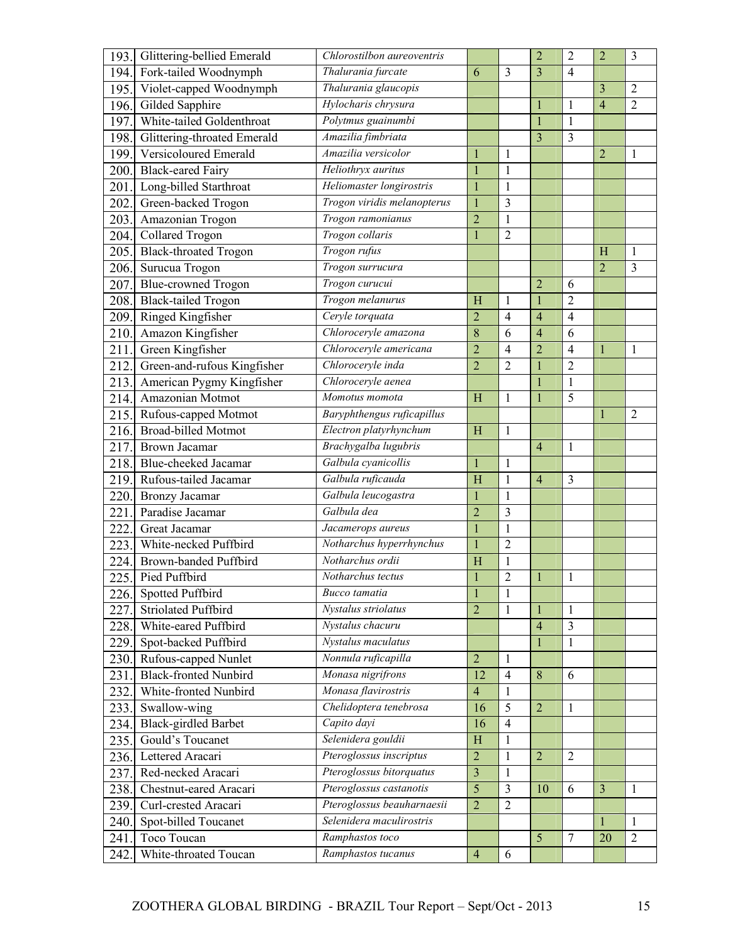| 193. | Glittering-bellied Emerald                         | Chlorostilbon aureoventris  |                         |                         | $\overline{2}$ | $\overline{2}$ | $\overline{2}$ | 3              |
|------|----------------------------------------------------|-----------------------------|-------------------------|-------------------------|----------------|----------------|----------------|----------------|
| 194. | Fork-tailed Woodnymph                              | Thalurania furcate          | 6                       | 3                       | $\overline{3}$ | $\overline{4}$ |                |                |
| 195. | Violet-capped Woodnymph                            | Thalurania glaucopis        |                         |                         |                |                | $\overline{3}$ | $\overline{2}$ |
| 196. | Gilded Sapphire                                    | Hylocharis chrysura         |                         |                         |                | 1              | $\overline{4}$ | $\overline{2}$ |
| 197. | White-tailed Goldenthroat                          | Polytmus guainumbi          |                         |                         | 1              | $\mathbf{1}$   |                |                |
| 198. | Glittering-throated Emerald                        | Amazilia fimbriata          |                         |                         | 3              | 3              |                |                |
| 199. | Versicoloured Emerald                              | Amazilia versicolor         | 1                       | 1                       |                |                | $\overline{2}$ | 1              |
| 200. | <b>Black-eared Fairy</b>                           | Heliothryx auritus          | 1                       | 1                       |                |                |                |                |
| 201. | Long-billed Starthroat                             | Heliomaster longirostris    | 1                       | 1                       |                |                |                |                |
| 202. | Green-backed Trogon                                | Trogon viridis melanopterus | $\mathbf{1}$            | 3                       |                |                |                |                |
| 203. | Amazonian Trogon                                   | Trogon ramonianus           | $\overline{2}$          | 1                       |                |                |                |                |
| 204. | Collared Trogon                                    | Trogon collaris             | $\mathbf{1}$            | $\overline{2}$          |                |                |                |                |
| 205. | <b>Black-throated Trogon</b>                       | Trogon rufus                |                         |                         |                |                | H              | $\mathbf{1}$   |
| 206. | Surucua Trogon                                     | Trogon surrucura            |                         |                         |                |                | $\overline{2}$ | $\overline{3}$ |
| 207. | <b>Blue-crowned Trogon</b>                         | Trogon curucui              |                         |                         | $\overline{2}$ | 6              |                |                |
| 208. | Black-tailed Trogon                                | Trogon melanurus            | H                       | 1                       |                | $\overline{2}$ |                |                |
| 209. | Ringed Kingfisher                                  | Ceryle torquata             | $\overline{2}$          | $\overline{4}$          | $\overline{4}$ | $\overline{4}$ |                |                |
| 210. | Amazon Kingfisher                                  | Chloroceryle amazona        | 8                       | 6                       | $\overline{4}$ | 6              |                |                |
| 211. | Green Kingfisher                                   | Chloroceryle americana      | $\overline{2}$          | 4                       | $\overline{2}$ | 4              |                | 1              |
| 212. | Green-and-rufous Kingfisher                        | Chloroceryle inda           | $\overline{2}$          | $\overline{2}$          |                | $\overline{2}$ |                |                |
| 213. | American Pygmy Kingfisher                          | Chloroceryle aenea          |                         |                         |                | $\mathbf{1}$   |                |                |
| 214. | Amazonian Motmot                                   | Momotus momota              | H                       | $\mathbf{1}$            |                | 5              |                |                |
|      |                                                    | Baryphthengus ruficapillus  |                         |                         |                |                |                |                |
| 215. | Rufous-capped Motmot<br><b>Broad-billed Motmot</b> | Electron platyrhynchum      |                         |                         |                |                |                | $\overline{2}$ |
| 216. |                                                    | Brachygalba lugubris        | H                       | 1                       |                |                |                |                |
| 217. | Brown Jacamar                                      | Galbula cyanicollis         |                         |                         | $\overline{4}$ | 1              |                |                |
| 218. | Blue-cheeked Jacamar                               |                             | $\mathbf{1}$            | 1                       |                |                |                |                |
| 219. | Rufous-tailed Jacamar                              | Galbula ruficauda           | H                       | 1                       | $\overline{4}$ | 3              |                |                |
| 220. | Bronzy Jacamar                                     | Galbula leucogastra         | $\mathbf{1}$            | $\mathbf{1}$            |                |                |                |                |
| 221  | Paradise Jacamar                                   | Galbula dea                 | $\overline{2}$          | 3                       |                |                |                |                |
| 222  | Great Jacamar                                      | Jacamerops aureus           | $\mathbf{1}$            | 1                       |                |                |                |                |
| 223. | White-necked Puffbird                              | Notharchus hyperrhynchus    | $\mathbf{1}$            | $\overline{2}$          |                |                |                |                |
| 224. | Brown-banded Puffbird                              | Notharchus ordii            | H                       | 1                       |                |                |                |                |
| 225. | Pied Puffbird                                      | Notharchus tectus           | $\mathbf{1}$            | $\overline{2}$          |                | 1              |                |                |
| 226. | Spotted Puffbird                                   | Bucco tamatia               | $\mathbf{1}$            | $\mathbf{1}$            |                |                |                |                |
| 227. | <b>Striolated Puffbird</b>                         | Nystalus striolatus         | $\overline{2}$          | $\mathbf{1}$            | $\mathbf{1}$   | $\mathbf{1}$   |                |                |
| 228. | White-eared Puffbird                               | Nystalus chacuru            |                         |                         | $\overline{4}$ | $\overline{3}$ |                |                |
| 229. | Spot-backed Puffbird                               | Nystalus maculatus          |                         |                         |                | $\mathbbm{1}$  |                |                |
| 230. | Rufous-capped Nunlet                               | Nonnula ruficapilla         | $\overline{2}$          | $\mathbf{1}$            |                |                |                |                |
| 231. | <b>Black-fronted Nunbird</b>                       | Monasa nigrifrons           | 12                      | $\overline{4}$          | 8              | 6              |                |                |
| 232. | White-fronted Nunbird                              | Monasa flavirostris         | $\overline{4}$          | 1                       |                |                |                |                |
| 233. | Swallow-wing                                       | Chelidoptera tenebrosa      | 16                      | 5                       | $\overline{2}$ | 1              |                |                |
| 234. | <b>Black-girdled Barbet</b>                        | Capito dayi                 | 16                      | $\overline{4}$          |                |                |                |                |
| 235. | Gould's Toucanet                                   | Selenidera gouldii          | H                       | $\mathbf{1}$            |                |                |                |                |
| 236. | Lettered Aracari                                   | Pteroglossus inscriptus     | $\boldsymbol{2}$        | $\mathbf{1}$            | $\overline{2}$ | $\overline{2}$ |                |                |
| 237. | Red-necked Aracari                                 | Pteroglossus bitorquatus    | $\overline{\mathbf{3}}$ | 1                       |                |                |                |                |
| 238. | Chestnut-eared Aracari                             | Pteroglossus castanotis     | $\overline{5}$          | $\overline{\mathbf{3}}$ | 10             | 6              | $\overline{3}$ | 1              |
| 239. | Curl-crested Aracari                               | Pteroglossus beauharnaesii  | $\overline{2}$          | $\overline{2}$          |                |                |                |                |
| 240. | Spot-billed Toucanet                               | Selenidera maculirostris    |                         |                         |                |                | $\mathbf{1}$   | 1              |
| 241  | Toco Toucan                                        | Ramphastos toco             |                         |                         | 5              | $\tau$         | 20             | $\overline{2}$ |
| 242  | White-throated Toucan                              | Ramphastos tucanus          | $\overline{4}$          | 6                       |                |                |                |                |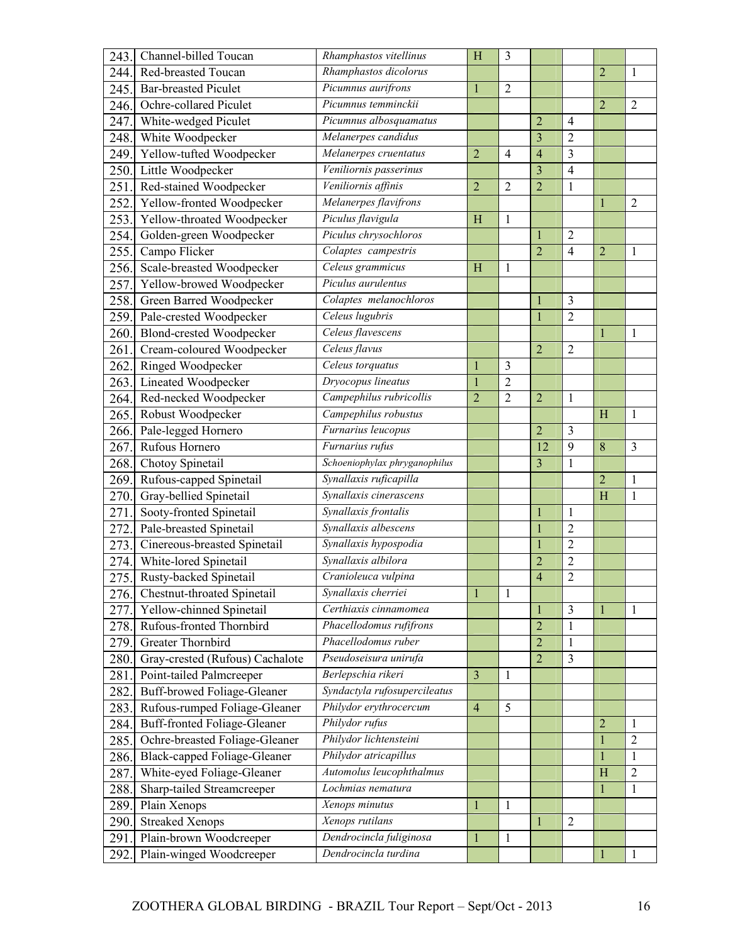| 243.         | Channel-billed Toucan                                          | Rhamphastos vitellinus                          | H              | 3              |                |                         |                |                |
|--------------|----------------------------------------------------------------|-------------------------------------------------|----------------|----------------|----------------|-------------------------|----------------|----------------|
| 244.         | Red-breasted Toucan                                            | Rhamphastos dicolorus                           |                |                |                |                         | $\overline{2}$ | 1              |
| 245.         | <b>Bar-breasted Piculet</b>                                    | Picumnus aurifrons                              | 1              | $\overline{2}$ |                |                         |                |                |
| 246.         | Ochre-collared Piculet                                         | Picumnus temminckii                             |                |                |                |                         | $\overline{2}$ | $\overline{2}$ |
| 247.         | White-wedged Piculet                                           | Picumnus albosquamatus                          |                |                | $\overline{2}$ | $\overline{4}$          |                |                |
| 248.         | White Woodpecker                                               | Melanerpes candidus                             |                |                | $\overline{3}$ | $\overline{2}$          |                |                |
| 249.         | Yellow-tufted Woodpecker                                       | Melanerpes cruentatus                           | $\overline{2}$ | $\overline{4}$ | $\overline{4}$ | 3                       |                |                |
| 250.         | Little Woodpecker                                              | Veniliornis passerinus                          |                |                | 3              | $\overline{4}$          |                |                |
| 251          | Red-stained Woodpecker                                         | Veniliornis affinis                             | $\overline{2}$ | $\overline{2}$ | $\overline{2}$ | $\mathbf{1}$            |                |                |
| 252.         | Yellow-fronted Woodpecker                                      | Melanerpes flavifrons                           |                |                |                |                         | 1              | $\overline{2}$ |
| 253.         | Yellow-throated Woodpecker                                     | Piculus flavigula                               | H              | 1              |                |                         |                |                |
| 254.         | Golden-green Woodpecker                                        | Piculus chrysochloros                           |                |                |                | 2                       |                |                |
| 255.         | Campo Flicker                                                  | Colaptes campestris                             |                |                | $\overline{2}$ | $\overline{4}$          | $\overline{2}$ | 1              |
| 256.         | Scale-breasted Woodpecker                                      | Celeus grammicus                                | H              | $\mathbf{1}$   |                |                         |                |                |
| 257          | Yellow-browed Woodpecker                                       | Piculus aurulentus                              |                |                |                |                         |                |                |
| 258.         | Green Barred Woodpecker                                        | Colaptes melanochloros                          |                |                |                | 3                       |                |                |
| 259.         | Pale-crested Woodpecker                                        | Celeus lugubris                                 |                |                | $\mathbf{1}$   | $\overline{2}$          |                |                |
| 260.         | Blond-crested Woodpecker                                       | Celeus flavescens                               |                |                |                |                         | 1              | 1              |
| 261          | Cream-coloured Woodpecker                                      | Celeus flavus                                   |                |                | $\overline{2}$ | $\overline{2}$          |                |                |
| 262.         | <b>Ringed Woodpecker</b>                                       | Celeus torquatus                                | -1             | 3              |                |                         |                |                |
| 263.         | Lineated Woodpecker                                            | Dryocopus lineatus                              | $\mathbf{1}$   | $\overline{2}$ |                |                         |                |                |
| 264.         | Red-necked Woodpecker                                          | Campephilus rubricollis                         | $\overline{2}$ | $\overline{2}$ | $\overline{2}$ | $\mathbf{1}$            |                |                |
| 265.         | Robust Woodpecker                                              | Campephilus robustus                            |                |                |                |                         | H              | 1              |
| 266.         | Pale-legged Hornero                                            | Furnarius leucopus                              |                |                | $\overline{2}$ | 3                       |                |                |
| 267.         | Rufous Hornero                                                 | Furnarius rufus                                 |                |                | 12             | 9                       | 8              | 3              |
| 268.         | Chotoy Spinetail                                               | Schoeniophylax phryganophilus                   |                |                | 3              | 1                       |                |                |
| 269.         | Rufous-capped Spinetail                                        | Synallaxis ruficapilla                          |                |                |                |                         | $\overline{2}$ | 1              |
| 270.         | Gray-bellied Spinetail                                         | Synallaxis cinerascens                          |                |                |                |                         | H              | $\mathbf{1}$   |
| 271          | Sooty-fronted Spinetail                                        | Synallaxis frontalis                            |                |                |                | $\mathbf{1}$            |                |                |
| 272          | Pale-breasted Spinetail                                        | Synallaxis albescens                            |                |                |                | $\overline{2}$          |                |                |
| 273.         | Cinereous-breasted Spinetail                                   | Synallaxis hypospodia                           |                |                | $\mathbf{1}$   | $\overline{2}$          |                |                |
| 274.         | White-lored Spinetail                                          | Synallaxis albilora                             |                |                | $\overline{c}$ | $\overline{c}$          |                |                |
| 275.         | Rusty-backed Spinetail                                         | Cranioleuca vulpina                             |                |                | $\overline{4}$ | $\overline{2}$          |                |                |
| 276.         | <b>Chestnut-throated Spinetail</b>                             | Synallaxis cherriei                             | 1              | 1              |                |                         |                |                |
| 277.         | Yellow-chinned Spinetail                                       | Certhiaxis cinnamomea                           |                |                | 1              | 3                       | $\mathbf{1}$   | 1              |
| 278.         | Rufous-fronted Thornbird                                       | Phacellodomus rufifrons                         |                |                | $\overline{2}$ | $\mathbf{1}$            |                |                |
| 279.         | Greater Thornbird                                              | Phacellodomus ruber                             |                |                | $\overline{2}$ | 1                       |                |                |
| 280.         | Gray-crested (Rufous) Cachalote                                | Pseudoseisura unirufa                           |                |                | $\overline{2}$ | $\overline{\mathbf{3}}$ |                |                |
| 281.         | Point-tailed Palmcreeper                                       | Berlepschia rikeri                              | $\overline{3}$ | 1              |                |                         |                |                |
| 282.         | <b>Buff-browed Foliage-Gleaner</b>                             | Syndactyla rufosupercileatus                    |                |                |                |                         |                |                |
| 283.         | Rufous-rumped Foliage-Gleaner                                  | Philydor erythrocercum                          | $\overline{4}$ | 5              |                |                         |                |                |
| 284.         | <b>Buff-fronted Foliage-Gleaner</b>                            | Philydor rufus                                  |                |                |                |                         | $\overline{2}$ | 1              |
|              |                                                                | Philydor lichtensteini                          |                |                |                |                         |                | $\overline{2}$ |
| 285.         | Ochre-breasted Foliage-Gleaner<br>Black-capped Foliage-Gleaner | Philydor atricapillus                           |                |                |                |                         | $\mathbf{1}$   |                |
| 286.<br>287. |                                                                |                                                 |                |                |                |                         | $\mathbf{1}$   | 1              |
|              |                                                                |                                                 |                |                |                |                         |                |                |
|              | White-eyed Foliage-Gleaner                                     | Automolus leucophthalmus                        |                |                |                |                         | H              | $\overline{2}$ |
| 288.         | Sharp-tailed Streamcreeper                                     | Lochmias nematura                               |                |                |                |                         | $\mathbf{1}$   | 1              |
| 289.         | Plain Xenops                                                   | Xenops minutus                                  | -1             | $\mathbf{1}$   |                |                         |                |                |
| 290.         | <b>Streaked Xenops</b>                                         | Xenops rutilans                                 |                |                | 1              | $\overline{2}$          |                |                |
| 291<br>292.  | Plain-brown Woodcreeper<br>Plain-winged Woodcreeper            | Dendrocincla fuliginosa<br>Dendrocincla turdina | 1              | $\mathbf{1}$   |                |                         | 1              | 1              |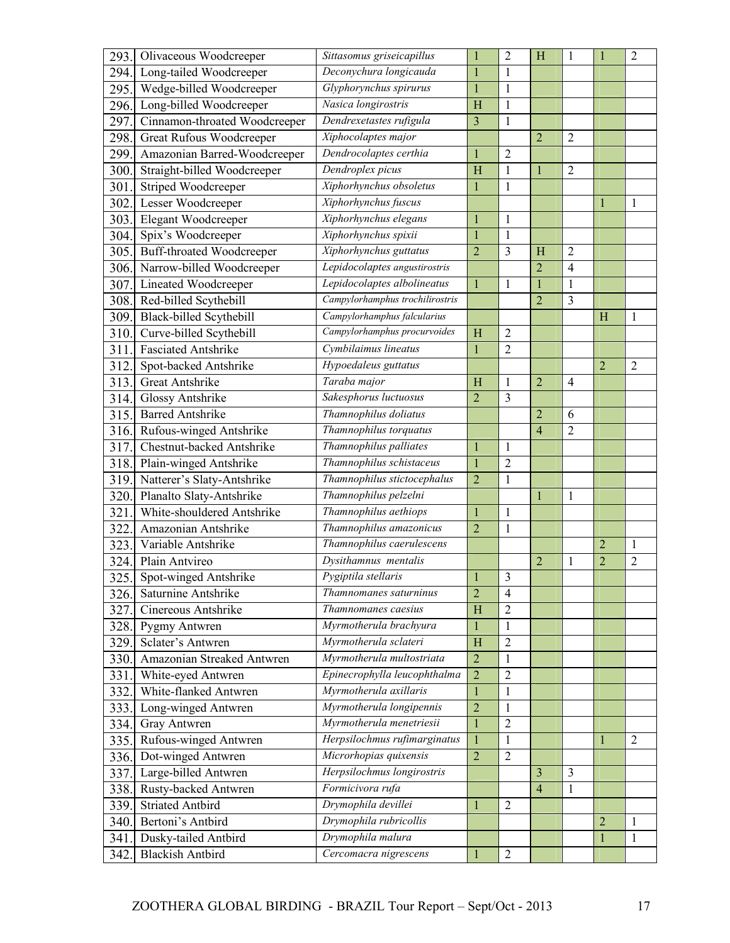| 293. | Olivaceous Woodcreeper           | Sittasomus griseicapillus       | $\mathbf 1$      | $\overline{2}$ | H              | 1              | 1              | $\overline{2}$ |
|------|----------------------------------|---------------------------------|------------------|----------------|----------------|----------------|----------------|----------------|
| 294. | Long-tailed Woodcreeper          | Deconychura longicauda          | $\mathbf{1}$     | 1              |                |                |                |                |
| 295. | Wedge-billed Woodcreeper         | Glyphorynchus spirurus          | $\mathbf{1}$     | 1              |                |                |                |                |
| 296. | Long-billed Woodcreeper          | Nasica longirostris             | H                | 1              |                |                |                |                |
| 297  | Cinnamon-throated Woodcreeper    | Dendrexetastes rufigula         | $\overline{3}$   | $\mathbf{1}$   |                |                |                |                |
| 298. | <b>Great Rufous Woodcreeper</b>  | Xiphocolaptes major             |                  |                | $\overline{2}$ | $\overline{2}$ |                |                |
| 299. | Amazonian Barred-Woodcreeper     | Dendrocolaptes certhia          | $\mathbf{1}$     | $\overline{2}$ |                |                |                |                |
| 300. | Straight-billed Woodcreeper      | Dendroplex picus                | H                | $\mathbf{1}$   |                | $\overline{2}$ |                |                |
| 301  | Striped Woodcreeper              | Xiphorhynchus obsoletus         | $\mathbf{1}$     | 1              |                |                |                |                |
| 302  | Lesser Woodcreeper               | Xiphorhynchus fuscus            |                  |                |                |                | 1              | 1              |
| 303. | <b>Elegant Woodcreeper</b>       | Xiphorhynchus elegans           | $\mathbf 1$      | 1              |                |                |                |                |
| 304. | Spix's Woodcreeper               | Xiphorhynchus spixii            | $\mathbf{1}$     | 1              |                |                |                |                |
| 305. | <b>Buff-throated Woodcreeper</b> | Xiphorhynchus guttatus          | $\overline{2}$   | $\overline{3}$ | H              | $\overline{2}$ |                |                |
| 306. | Narrow-billed Woodcreeper        | Lepidocolaptes angustirostris   |                  |                | $\overline{2}$ | $\overline{4}$ |                |                |
| 307. | Lineated Woodcreeper             | Lepidocolaptes albolineatus     | 1                | 1              |                | $\mathbf{1}$   |                |                |
| 308. | Red-billed Scythebill            | Campylorhamphus trochilirostris |                  |                | $\overline{2}$ | 3              |                |                |
| 309. | Black-billed Scythebill          | Campylorhamphus falcularius     |                  |                |                |                | H              | 1              |
| 310. | Curve-billed Scythebill          | Campylorhamphus procurvoides    | H                | $\overline{2}$ |                |                |                |                |
| 311  | <b>Fasciated Antshrike</b>       | Cymbilaimus lineatus            | 1                | $\overline{2}$ |                |                |                |                |
| 312  | Spot-backed Antshrike            | Hypoedaleus guttatus            |                  |                |                |                | $\overline{2}$ | $\overline{2}$ |
| 313. | Great Antshrike                  | Taraba major                    | H                | $\mathbf{1}$   | $\overline{2}$ | $\overline{4}$ |                |                |
| 314. | Glossy Antshrike                 | Sakesphorus luctuosus           | $\overline{2}$   | 3              |                |                |                |                |
| 315. | <b>Barred Antshrike</b>          | Thamnophilus doliatus           |                  |                | $\overline{2}$ | 6              |                |                |
| 316. | Rufous-winged Antshrike          | Thamnophilus torquatus          |                  |                | $\overline{4}$ | $\overline{2}$ |                |                |
| 317. | Chestnut-backed Antshrike        | Thamnophilus palliates          | $\mathbf{1}$     | 1              |                |                |                |                |
| 318. | Plain-winged Antshrike           | Thamnophilus schistaceus        | $\mathbf{1}$     | $\sqrt{2}$     |                |                |                |                |
| 319. | Natterer's Slaty-Antshrike       | Thamnophilus stictocephalus     | $\overline{2}$   | 1              |                |                |                |                |
| 320. | Planalto Slaty-Antshrike         | Thamnophilus pelzelni           |                  |                |                | 1              |                |                |
| 321  | White-shouldered Antshrike       | Thamnophilus aethiops           | 1                | 1              |                |                |                |                |
| 322  | Amazonian Antshrike              | Thamnophilus amazonicus         | $\overline{2}$   | 1              |                |                |                |                |
| 323. | Variable Antshrike               | Thamnophilus caerulescens       |                  |                |                |                | $\overline{2}$ | 1              |
| 324. | Plain Antvireo                   | Dysithamnus mentalis            |                  |                | $\overline{2}$ | 1              | $\overline{2}$ | $\overline{2}$ |
| 325. | Spot-winged Antshrike            | Pygiptila stellaris             | П                | 3              |                |                |                |                |
| 326. | Saturnine Antshrike              | Thamnomanes saturninus          | $\overline{2}$   | $\overline{4}$ |                |                |                |                |
| 327. | Cinereous Antshrike              | Thamnomanes caesius             | H                | $\overline{2}$ |                |                |                |                |
|      | 328. Pygmy Antwren               | Myrmotherula brachyura          | 1                | 1              |                |                |                |                |
| 329. | Sclater's Antwren                | Myrmotherula sclateri           | H                | $\mathbf{2}$   |                |                |                |                |
| 330. | Amazonian Streaked Antwren       | Myrmotherula multostriata       | $\overline{2}$   | 1              |                |                |                |                |
| 331. | White-eyed Antwren               | Epinecrophylla leucophthalma    | $\overline{2}$   | $\overline{2}$ |                |                |                |                |
| 332. | White-flanked Antwren            | Myrmotherula axillaris          | 1                | $\,1$          |                |                |                |                |
| 333. | Long-winged Antwren              | Myrmotherula longipennis        | $\overline{2}$   | 1              |                |                |                |                |
| 334. | Gray Antwren                     | Myrmotherula menetriesii        | 1                | $\overline{2}$ |                |                |                |                |
| 335. | Rufous-winged Antwren            | Herpsilochmus rufimarginatus    | $\mathbf{1}$     | 1              |                |                | 1              | $\overline{2}$ |
| 336. | Dot-winged Antwren               | Microrhopias quixensis          | $\boldsymbol{2}$ | $\sqrt{2}$     |                |                |                |                |
| 337. | Large-billed Antwren             | Herpsilochmus longirostris      |                  |                | 3              | 3              |                |                |
| 338. | Rusty-backed Antwren             | Formicivora rufa                |                  |                | $\overline{4}$ | $\mathbf{1}$   |                |                |
| 339. | <b>Striated Antbird</b>          | Drymophila devillei             | 1                | $\overline{2}$ |                |                |                |                |
| 340. | Bertoni's Antbird                | Drymophila rubricollis          |                  |                |                |                | $\overline{2}$ | 1              |
| 341. | Dusky-tailed Antbird             | Drymophila malura               |                  |                |                |                | 1              | 1              |
|      | <b>Blackish Antbird</b>          | Cercomacra nigrescens           | $\mathbf{1}$     | $\sqrt{2}$     |                |                |                |                |
| 342. |                                  |                                 |                  |                |                |                |                |                |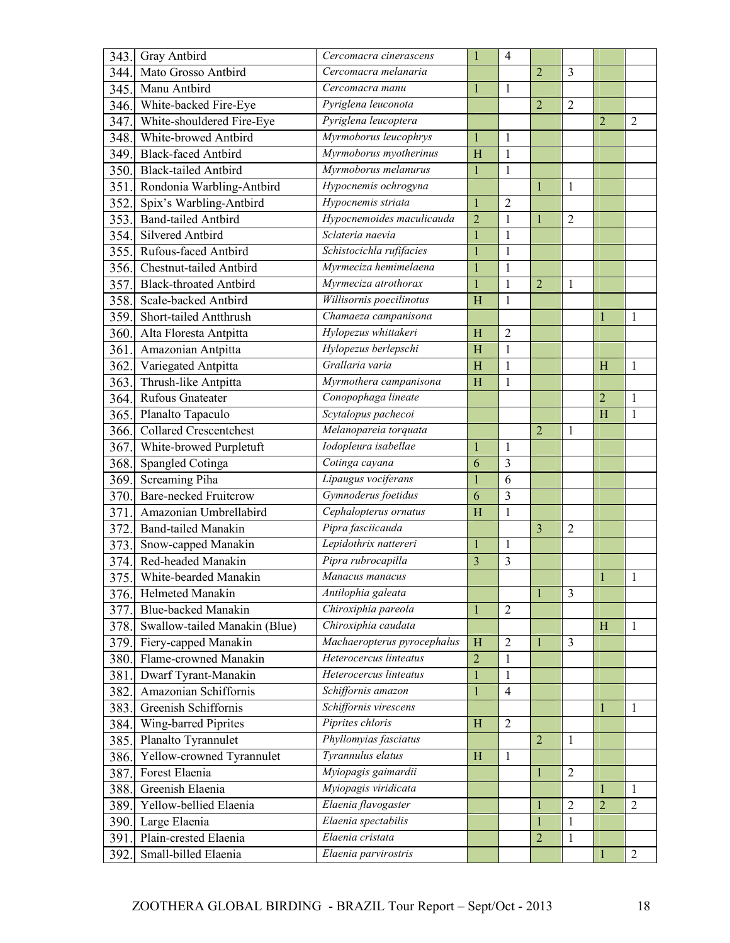| 343. | Gray Antbird                  | Cercomacra cinerascens      | $\mathbf{1}$   | $\overline{4}$ |                |                |                |                |
|------|-------------------------------|-----------------------------|----------------|----------------|----------------|----------------|----------------|----------------|
| 344. | Mato Grosso Antbird           | Cercomacra melanaria        |                |                | $\overline{2}$ | 3              |                |                |
| 345. | Manu Antbird                  | Cercomacra manu             | $\mathbf{1}$   | $\mathbf{1}$   |                |                |                |                |
|      | 346. White-backed Fire-Eye    | Pyriglena leuconota         |                |                | $\overline{2}$ | $\overline{c}$ |                |                |
| 347. | White-shouldered Fire-Eye     | Pyriglena leucoptera        |                |                |                |                | $\overline{2}$ | 2              |
| 348. | White-browed Antbird          | Myrmoborus leucophrys       | $\mathbf{1}$   | $\mathbf{1}$   |                |                |                |                |
| 349. | <b>Black-faced Antbird</b>    | Myrmoborus myotherinus      | H              | 1              |                |                |                |                |
| 350. | <b>Black-tailed Antbird</b>   | Myrmoborus melanurus        | $\mathbf{1}$   | $\mathbf{1}$   |                |                |                |                |
| 351. | Rondonia Warbling-Antbird     | Hypocnemis ochrogyna        |                |                | 1              | 1              |                |                |
| 352. | Spix's Warbling-Antbird       | Hypocnemis striata          | $\mathbf{1}$   | $\overline{2}$ |                |                |                |                |
| 353. | <b>Band-tailed Antbird</b>    | Hypocnemoides maculicauda   | $\overline{c}$ | $\mathbf{1}$   | 1              | $\overline{c}$ |                |                |
| 354. | Silvered Antbird              | Sclateria naevia            | $\mathbf{1}$   | $\mathbf{1}$   |                |                |                |                |
| 355. | Rufous-faced Antbird          | Schistocichla rufifacies    | $\mathbf{1}$   | $\mathbf{1}$   |                |                |                |                |
| 356. | Chestnut-tailed Antbird       | Myrmeciza hemimelaena       | $\mathbf{1}$   | $\mathbf{1}$   |                |                |                |                |
| 357. | <b>Black-throated Antbird</b> | Myrmeciza atrothorax        | $\mathbf{1}$   | 1              | $\overline{2}$ | 1              |                |                |
| 358. | Scale-backed Antbird          | Willisornis poecilinotus    | H              | $\mathbf{1}$   |                |                |                |                |
| 359. | Short-tailed Antthrush        | Chamaeza campanisona        |                |                |                |                | 1              | 1              |
| 360. | Alta Floresta Antpitta        | Hylopezus whittakeri        | H              | $\overline{2}$ |                |                |                |                |
| 361. | Amazonian Antpitta            | Hylopezus berlepschi        | H              | $\mathbf{1}$   |                |                |                |                |
| 362. | Variegated Antpitta           | Grallaria varia             | H              | $\mathbf{1}$   |                |                | H              | 1              |
| 363. | Thrush-like Antpitta          | Myrmothera campanisona      | H              | $\mathbf{1}$   |                |                |                |                |
| 364. | Rufous Gnateater              | Conopophaga lineate         |                |                |                |                | $\overline{c}$ | 1              |
| 365. | Planalto Tapaculo             | Scytalopus pachecoi         |                |                |                |                | H              | 1              |
| 366. | <b>Collared Crescentchest</b> | Melanopareia torquata       |                |                | $\overline{2}$ | 1              |                |                |
| 367. | White-browed Purpletuft       | Iodopleura isabellae        | 1              | 1              |                |                |                |                |
| 368. | Spangled Cotinga              | Cotinga cayana              | 6              | 3              |                |                |                |                |
| 369. | Screaming Piha                | Lipaugus vociferans         | $\mathbf{1}$   | 6              |                |                |                |                |
| 370. | <b>Bare-necked Fruitcrow</b>  | Gymnoderus foetidus         | 6              | 3              |                |                |                |                |
| 371  | Amazonian Umbrellabird        | Cephalopterus ornatus       | H              | $\mathbf{1}$   |                |                |                |                |
| 372  | <b>Band-tailed Manakin</b>    | Pipra fasciicauda           |                |                | $\overline{3}$ | 2              |                |                |
| 373. | Snow-capped Manakin           | Lepidothrix nattereri       | $\mathbf{1}$   | $\mathbf{1}$   |                |                |                |                |
| 374. | Red-headed Manakin            | Pipra rubrocapilla          | 3              | 3              |                |                |                |                |
| 375. | White-bearded Manakin         | Manacus manacus             |                |                |                |                |                |                |
|      | 376. Helmeted Manakin         | Antilophia galeata          |                |                | $\mathbf{1}$   | 3              |                |                |
| 377. | Blue-backed Manakin           | Chiroxiphia pareola         | $\mathbf{1}$   | $\overline{2}$ |                |                |                |                |
| 378. | Swallow-tailed Manakin (Blue) | Chiroxiphia caudata         |                |                |                |                | H              | $\mathbf{1}$   |
| 379. | Fiery-capped Manakin          | Machaeropterus pyrocephalus | H              | $\overline{2}$ | 1              | 3              |                |                |
| 380. | Flame-crowned Manakin         | Heterocercus linteatus      | $\overline{2}$ | $\mathbf 1$    |                |                |                |                |
| 381. | Dwarf Tyrant-Manakin          | Heterocercus linteatus      | $\mathbf{1}$   | $\mathbf{1}$   |                |                |                |                |
| 382. | Amazonian Schiffornis         | Schiffornis amazon          | $\mathbf{1}$   | $\overline{4}$ |                |                |                |                |
| 383. | Greenish Schiffornis          | Schiffornis virescens       |                |                |                |                | 1              | 1              |
| 384. | Wing-barred Piprites          | Piprites chloris            | H              | $\overline{2}$ |                |                |                |                |
| 385. | Planalto Tyrannulet           | Phyllomyias fasciatus       |                |                | $\overline{2}$ | 1              |                |                |
| 386. | Yellow-crowned Tyrannulet     | Tyrannulus elatus           | H              | $\mathbf{1}$   |                |                |                |                |
| 387. | Forest Elaenia                | Myiopagis gaimardii         |                |                | 1              | $\overline{2}$ |                |                |
| 388. | Greenish Elaenia              | Myiopagis viridicata        |                |                |                |                | $\mathbf{1}$   | 1              |
| 389. | Yellow-bellied Elaenia        | Elaenia flavogaster         |                |                | 1              | $\overline{c}$ | $\overline{2}$ | $\overline{2}$ |
| 390. | Large Elaenia                 | Elaenia spectabilis         |                |                | $\mathbf{1}$   | 1              |                |                |
| 391  | Plain-crested Elaenia         | Elaenia cristata            |                |                | $\overline{2}$ | $\mathbf{1}$   |                |                |
| 392  | Small-billed Elaenia          | Elaenia parvirostris        |                |                |                |                | 1              | $\overline{2}$ |
|      |                               |                             |                |                |                |                |                |                |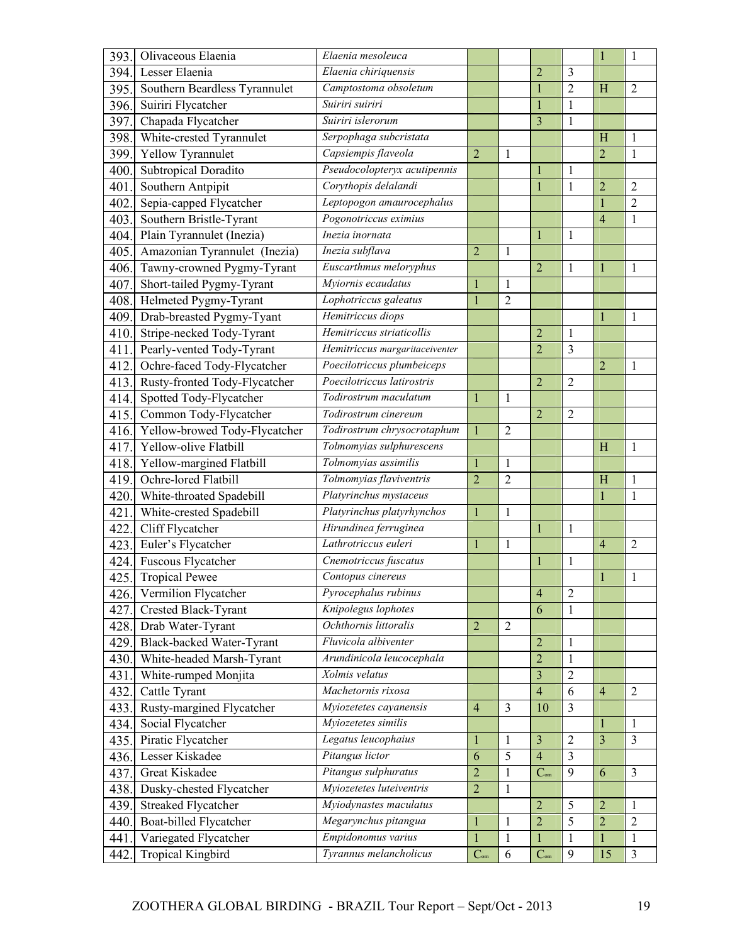| 393. | Olivaceous Elaenia            | Elaenia mesoleuca                    |                          |                |                          |                         | $\mathbf{1}$   | $\mathbf{1}$   |
|------|-------------------------------|--------------------------------------|--------------------------|----------------|--------------------------|-------------------------|----------------|----------------|
| 394. | Lesser Elaenia                | Elaenia chiriquensis                 |                          |                | $\overline{2}$           | 3                       |                |                |
| 395. | Southern Beardless Tyrannulet | Camptostoma obsoletum                |                          |                | $\mathbf{1}$             | $\overline{2}$          | H              | $\overline{2}$ |
| 396. | Suiriri Flycatcher            | Suiriri suiriri                      |                          |                | 1                        | $\mathbf{1}$            |                |                |
| 397. | Chapada Flycatcher            | Suiriri islerorum                    |                          |                | $\overline{3}$           | $\mathbf 1$             |                |                |
| 398. | White-crested Tyrannulet      | Serpophaga subcristata               |                          |                |                          |                         | H              | $\mathbf{1}$   |
| 399. | Yellow Tyrannulet             | Capsiempis flaveola                  | $\overline{2}$           | 1              |                          |                         | $\overline{2}$ | 1              |
| 400  | Subtropical Doradito          | Pseudocolopteryx acutipennis         |                          |                | 1                        | 1                       |                |                |
| 401  | Southern Antpipit             | Corythopis delalandi                 |                          |                | $\mathbf{1}$             | $\mathbf{1}$            | $\overline{2}$ | $\overline{2}$ |
| 402  | Sepia-capped Flycatcher       | Leptopogon amaurocephalus            |                          |                |                          |                         | $\mathbf{1}$   | $\overline{2}$ |
| 403. | Southern Bristle-Tyrant       | Pogonotriccus eximius                |                          |                |                          |                         | 4              | $\mathbf{1}$   |
| 404. | Plain Tyrannulet (Inezia)     | Inezia inornata                      |                          |                |                          | 1                       |                |                |
| 405. | Amazonian Tyrannulet (Inezia) | Inezia subflava                      | $\overline{2}$           | $\mathbf{1}$   |                          |                         |                |                |
| 406. | Tawny-crowned Pygmy-Tyrant    | Euscarthmus meloryphus               |                          |                | $\overline{2}$           | 1                       | $\mathbf{1}$   | 1              |
| 407  | Short-tailed Pygmy-Tyrant     | Myiornis ecaudatus                   | $\mathbf{1}$             | 1              |                          |                         |                |                |
| 408. | Helmeted Pygmy-Tyrant         | Lophotriccus galeatus                | $\mathbf{1}$             | $\overline{2}$ |                          |                         |                |                |
| 409. | Drab-breasted Pygmy-Tyant     | Hemitriccus diops                    |                          |                |                          |                         | $\mathbf{1}$   | $\mathbf{1}$   |
| 410. | Stripe-necked Tody-Tyrant     | Hemitriccus striaticollis            |                          |                | $\overline{2}$           | $\mathbf{1}$            |                |                |
| 411  | Pearly-vented Tody-Tyrant     | Hemitriccus margaritaceiventer       |                          |                | $\overline{2}$           | 3                       |                |                |
| 412  | Ochre-faced Tody-Flycatcher   | Poecilotriccus plumbeiceps           |                          |                |                          |                         | $\overline{2}$ | $\mathbf{1}$   |
| 413. | Rusty-fronted Tody-Flycatcher | Poecilotriccus latirostris           |                          |                | $\overline{2}$           | $\overline{2}$          |                |                |
| 414. | Spotted Tody-Flycatcher       | Todirostrum maculatum                | $\mathbf{1}$             | $\mathbf{1}$   |                          |                         |                |                |
| 415  | Common Tody-Flycatcher        | Todirostrum cinereum                 |                          |                | $\overline{2}$           | $\overline{2}$          |                |                |
| 416. | Yellow-browed Tody-Flycatcher | Todirostrum chrysocrotaphum          | $\mathbf{1}$             | $\overline{2}$ |                          |                         |                |                |
| 417  | Yellow-olive Flatbill         | Tolmomyias sulphurescens             |                          |                |                          |                         | H              | 1              |
| 418  | Yellow-margined Flatbill      | Tolmomyias assimilis                 | $\mathbf{1}$             | 1              |                          |                         |                |                |
| 419. | Ochre-lored Flatbill          | Tolmomyias flaviventris              | $\overline{2}$           | $\overline{2}$ |                          |                         | H              | $\mathbf{1}$   |
| 420. | White-throated Spadebill      | Platyrinchus mystaceus               |                          |                |                          |                         |                | $\mathbf{1}$   |
| 421  | White-crested Spadebill       | Platyrinchus platyrhynchos           | $\mathbf{1}$             | 1              |                          |                         |                |                |
| 422  | Cliff Flycatcher              | Hirundinea ferruginea                |                          |                | $\mathbf{1}$             | 1                       |                |                |
| 423. | Euler's Flycatcher            | Lathrotriccus euleri                 | $\mathbf{1}$             | $\mathbf{1}$   |                          |                         | $\overline{4}$ | $\overline{2}$ |
| 424. | Fuscous Flycatcher            | Cnemotriccus fuscatus                |                          |                | 1                        | 1                       |                |                |
| 425. | <b>Tropical Pewee</b>         | Contopus cinereus                    |                          |                |                          |                         |                | 1              |
| 426. | Vermilion Flycatcher          | Pyrocephalus rubinus                 |                          |                | $\overline{4}$           | $\overline{2}$          |                |                |
| 427. | Crested Black-Tyrant          | Knipolegus lophotes                  |                          |                | 6                        | 1                       |                |                |
| 428. | Drab Water-Tyrant             | Ochthornis littoralis                | $\overline{2}$           | $\overline{2}$ |                          |                         |                |                |
| 429. | Black-backed Water-Tyrant     | Fluvicola albiventer                 |                          |                | $\overline{2}$           | 1                       |                |                |
| 430. | White-headed Marsh-Tyrant     | Arundinicola leucocephala            |                          |                | $\overline{2}$           | $\mathbf{1}$            |                |                |
| 431. | White-rumped Monjita          | Xolmis velatus                       |                          |                | $\overline{\mathbf{3}}$  | $\overline{2}$          |                |                |
| 432. | Cattle Tyrant                 | Machetornis rixosa                   |                          |                | $\overline{4}$           | 6                       | $\overline{4}$ | $\overline{2}$ |
| 433. | Rusty-margined Flycatcher     | $\overline{M}$ yiozetetes cayanensis | $\overline{4}$           | 3              | 10                       | 3                       |                |                |
| 434. | Social Flycatcher             | Myiozetetes similis                  |                          |                |                          |                         | 1              | $\mathbf{1}$   |
| 435. | Piratic Flycatcher            | Legatus leucophaius                  | $\mathbf{1}$             | 1              | $\overline{3}$           | $\overline{2}$          | $\overline{3}$ | $\overline{3}$ |
| 436. | Lesser Kiskadee               | Pitangus lictor                      | 6                        | 5              | $\overline{4}$           | $\overline{\mathbf{3}}$ |                |                |
| 437. | Great Kiskadee                | Pitangus sulphuratus                 | $\overline{2}$           | 1              | $C_{\mbox{\tiny\rm om}}$ | 9                       | 6              | $\overline{3}$ |
| 438. | Dusky-chested Flycatcher      | Myiozetetes luteiventris             | $\overline{2}$           | $\mathbf{1}$   |                          |                         |                |                |
| 439. | Streaked Flycatcher           | Myiodynastes maculatus               |                          |                | $\overline{2}$           | 5                       | $\overline{2}$ | 1              |
| 440. | Boat-billed Flycatcher        | Megarynchus pitangua                 | $\mathbf{1}$             | 1              | $\overline{2}$           | $\overline{5}$          | $\overline{2}$ | $\overline{2}$ |
| 441  | Variegated Flycatcher         | Empidonomus varius                   | $\mathbf{1}$             | $\mathbf{1}$   | $\mathbf{1}$             | $\mathbf{1}$            | $\mathbf{1}$   | $\mathbf{1}$   |
| 442  | <b>Tropical Kingbird</b>      | Tyrannus melancholicus               | $C_{\hbox{\tiny\rm om}}$ | 6              | $C_{\text{om}}$          | $\boldsymbol{9}$        | 15             | $\mathfrak{Z}$ |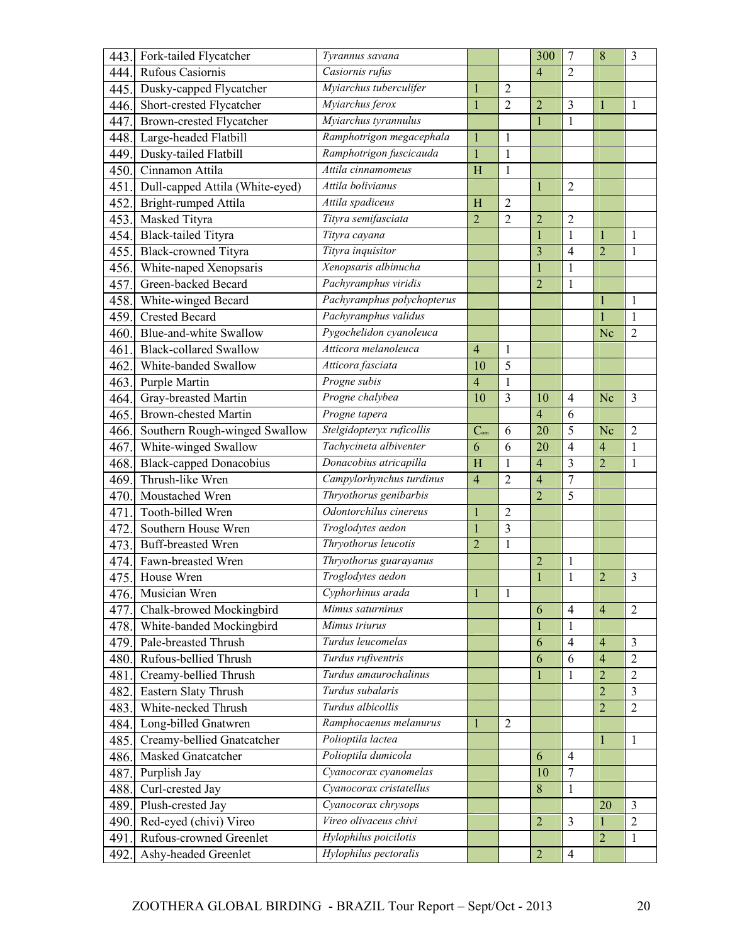| 443. | Fork-tailed Flycatcher          | Tyrannus savana            |                 |                  | 300            | $\overline{7}$ | 8              | 3              |
|------|---------------------------------|----------------------------|-----------------|------------------|----------------|----------------|----------------|----------------|
| 444. | Rufous Casiornis                | Casiornis rufus            |                 |                  | $\overline{4}$ | $\overline{2}$ |                |                |
| 445. | Dusky-capped Flycatcher         | Myiarchus tuberculifer     | $\mathbf{1}$    | $\overline{2}$   |                |                |                |                |
| 446. | Short-crested Flycatcher        | Myiarchus ferox            | $\mathbf{1}$    | $\overline{2}$   | $\overline{c}$ | 3              | 1              | 1              |
| 447. | Brown-crested Flycatcher        | Myiarchus tyrannulus       |                 |                  | $\mathbf{1}$   | $\mathbf{1}$   |                |                |
| 448. | Large-headed Flatbill           | Ramphotrigon megacephala   | $\mathbf{1}$    | $\mathbf{1}$     |                |                |                |                |
| 449. | Dusky-tailed Flatbill           | Ramphotrigon fuscicauda    | $\mathbf{1}$    | 1                |                |                |                |                |
| 450. | Cinnamon Attila                 | Attila cinnamomeus         | H               | $\mathbf{1}$     |                |                |                |                |
| 451. | Dull-capped Attila (White-eyed) | Attila bolivianus          |                 |                  | 1              | $\overline{2}$ |                |                |
| 452. | Bright-rumped Attila            | Attila spadiceus           | H               | $\overline{2}$   |                |                |                |                |
| 453. | Masked Tityra                   | Tityra semifasciata        | $\overline{2}$  | $\overline{c}$   | $\overline{c}$ | $\overline{c}$ |                |                |
| 454. | <b>Black-tailed Tityra</b>      | Tityra cayana              |                 |                  | $\mathbf{1}$   | $\mathbf{1}$   | 1              | 1              |
| 455. | <b>Black-crowned Tityra</b>     | Tityra inquisitor          |                 |                  | $\overline{3}$ | 4              | $\overline{2}$ | $\mathbf{1}$   |
| 456. | White-naped Xenopsaris          | Xenopsaris albinucha       |                 |                  | $\mathbf{1}$   | $\mathbf{1}$   |                |                |
| 457. | Green-backed Becard             | Pachyramphus viridis       |                 |                  | $\overline{2}$ | 1              |                |                |
| 458. | White-winged Becard             | Pachyramphus polychopterus |                 |                  |                |                | 1              | 1              |
| 459. | <b>Crested Becard</b>           | Pachyramphus validus       |                 |                  |                |                | $\mathbf{1}$   | $\mathbf{1}$   |
| 460. | Blue-and-white Swallow          | Pygochelidon cyanoleuca    |                 |                  |                |                | Nc             | $\overline{2}$ |
| 461  | <b>Black-collared Swallow</b>   | Atticora melanoleuca       | $\overline{4}$  | $\mathbf{1}$     |                |                |                |                |
| 462. | White-banded Swallow            | Atticora fasciata          | 10              | 5                |                |                |                |                |
| 463. | Purple Martin                   | Progne subis               | $\overline{4}$  | $\mathbf{1}$     |                |                |                |                |
| 464. | Gray-breasted Martin            | Progne chalybea            | 10              | 3                | 10             | $\overline{4}$ | Nc             | $\overline{3}$ |
| 465. | <b>Brown-chested Martin</b>     | Progne tapera              |                 |                  | $\overline{4}$ | 6              |                |                |
| 466. | Southern Rough-winged Swallow   | Stelgidopteryx ruficollis  | $C_{\text{om}}$ | 6                | 20             | 5              | Nc             | $\overline{2}$ |
| 467. | White-winged Swallow            | Tachycineta albiventer     | 6               | 6                | 20             | $\overline{4}$ | $\overline{4}$ | 1              |
| 468. | <b>Black-capped Donacobius</b>  | Donacobius atricapilla     | H               | $\mathbf{1}$     | $\overline{4}$ | 3              | $\overline{2}$ | 1              |
| 469. | Thrush-like Wren                | Campylorhynchus turdinus   | $\overline{4}$  | $\overline{2}$   | $\overline{4}$ | $\overline{7}$ |                |                |
| 470. | Moustached Wren                 | Thryothorus genibarbis     |                 |                  | $\overline{2}$ | 5              |                |                |
| 471  | Tooth-billed Wren               | Odontorchilus cinereus     | $\mathbf{1}$    | $\boldsymbol{2}$ |                |                |                |                |
| 472  | Southern House Wren             | Troglodytes aedon          | $\mathbf{1}$    | 3                |                |                |                |                |
| 473. | Buff-breasted Wren              | Thryothorus leucotis       | $\overline{2}$  | $\mathbf{1}$     |                |                |                |                |
| 474. | Fawn-breasted Wren              | Thryothorus guarayanus     |                 |                  | $\overline{c}$ | 1              |                |                |
| 475. | House Wren                      | Troglodytes aedon          |                 |                  |                | $\mathbf{1}$   | $\overline{c}$ | 3              |
| 476. | Musician Wren                   | Cyphorhinus arada          | $\mathbf{1}$    | $\mathbf{1}$     |                |                |                |                |
| 477. | Chalk-browed Mockingbird        | Mimus saturninus           |                 |                  | 6              | $\overline{4}$ | $\overline{4}$ | $\overline{2}$ |
| 478. | White-banded Mockingbird        | Mimus triurus              |                 |                  | $\mathbf{1}$   | $\mathbf{1}$   |                |                |
| 479. | Pale-breasted Thrush            | Turdus leucomelas          |                 |                  | 6              | $\overline{4}$ | $\overline{4}$ | 3              |
| 480. | Rufous-bellied Thrush           | Turdus rufiventris         |                 |                  | 6              | 6              | $\overline{4}$ | $\overline{2}$ |
| 481. | Creamy-bellied Thrush           | Turdus amaurochalinus      |                 |                  | $\mathbf{1}$   | $\mathbf{1}$   | $\overline{2}$ | $\overline{2}$ |
| 482. | Eastern Slaty Thrush            | Turdus subalaris           |                 |                  |                |                | $\overline{2}$ | $\overline{3}$ |
| 483. | White-necked Thrush             | Turdus albicollis          |                 |                  |                |                | $\overline{2}$ | $\overline{2}$ |
| 484. | Long-billed Gnatwren            | Ramphocaenus melanurus     | 1               | $\overline{2}$   |                |                |                |                |
| 485. | Creamy-bellied Gnatcatcher      | Polioptila lactea          |                 |                  |                |                | 1              | $\mathbf{1}$   |
| 486. | Masked Gnatcatcher              | Polioptila dumicola        |                 |                  | 6              | $\overline{4}$ |                |                |
| 487. | Purplish Jay                    | Cyanocorax cyanomelas      |                 |                  | 10             | 7              |                |                |
| 488. | Curl-crested Jay                | Cyanocorax cristatellus    |                 |                  | 8              | $\mathbf{1}$   |                |                |
| 489. | Plush-crested Jay               | Cyanocorax chrysops        |                 |                  |                |                | 20             | 3              |
| 490. | Red-eyed (chivi) Vireo          | Vireo olivaceus chivi      |                 |                  | $\overline{2}$ | 3              | $\mathbf{1}$   | $\overline{2}$ |
| 491  | Rufous-crowned Greenlet         | Hylophilus poicilotis      |                 |                  |                |                | $\overline{2}$ | 1              |
| 492  | Ashy-headed Greenlet            | Hylophilus pectoralis      |                 |                  | $\overline{c}$ | $\overline{4}$ |                |                |
|      |                                 |                            |                 |                  |                |                |                |                |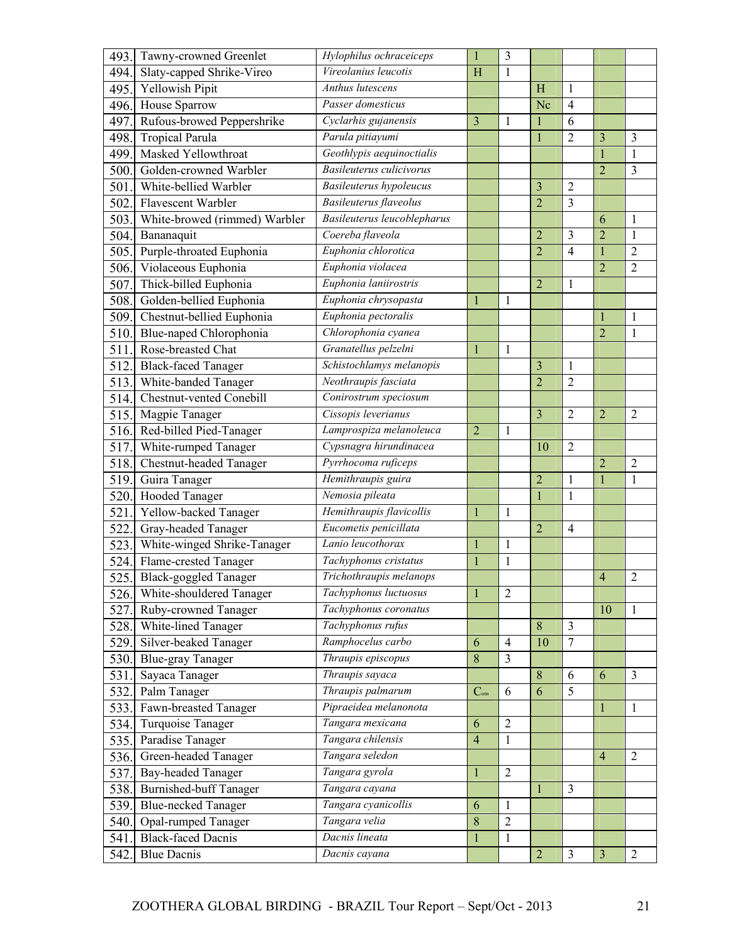| 493. | Tawny-crowned Greenlet                            | Hylophilus ochraceiceps        | $\mathbf{1}$    | 3              |                |                |                |                |
|------|---------------------------------------------------|--------------------------------|-----------------|----------------|----------------|----------------|----------------|----------------|
| 494. | Slaty-capped Shrike-Vireo                         | Vireolanius leucotis           | H               | 1              |                |                |                |                |
| 495. | Yellowish Pipit                                   | <b>Anthus lutescens</b>        |                 |                | H              | $\mathbf{1}$   |                |                |
| 496. | House Sparrow                                     | Passer domesticus              |                 |                | Nc             | $\overline{4}$ |                |                |
| 497  | Rufous-browed Peppershrike                        | Cyclarhis gujanensis           | 3               | 1              | 1              | 6              |                |                |
| 498. | <b>Tropical Parula</b>                            | Parula pitiayumi               |                 |                |                | $\overline{2}$ | 3              | 3              |
| 499. | Masked Yellowthroat                               | Geothlypis aequinoctialis      |                 |                |                |                | $\mathbf{1}$   | $\mathbf{1}$   |
| 500. | Golden-crowned Warbler                            | Basileuterus culicivorus       |                 |                |                |                | $\overline{2}$ | 3              |
| 501. | White-bellied Warbler                             | <b>Basileuterus</b> hypoleucus |                 |                | 3              | $\overline{2}$ |                |                |
| 502  | Flavescent Warbler                                | Basileuterus flaveolus         |                 |                | $\overline{2}$ | 3              |                |                |
| 503. | White-browed (rimmed) Warbler                     | Basileuterus leucoblepharus    |                 |                |                |                | 6              | $\mathbf{1}$   |
| 504. | Bananaquit                                        | Coereba flaveola               |                 |                | $\overline{2}$ | 3              | $\overline{c}$ | $\mathbf{1}$   |
| 505. | Purple-throated Euphonia                          | Euphonia chlorotica            |                 |                | $\overline{2}$ | $\overline{4}$ | 1              | $\overline{2}$ |
| 506. | Violaceous Euphonia                               | Euphonia violacea              |                 |                |                |                | $\overline{2}$ | $\overline{2}$ |
| 507. | Thick-billed Euphonia                             | Euphonia laniirostris          |                 |                | $\overline{2}$ | $\mathbf{1}$   |                |                |
| 508. | Golden-bellied Euphonia                           | Euphonia chrysopasta           | $\mathbf{1}$    | 1              |                |                |                |                |
| 509. | Chestnut-bellied Euphonia                         | Euphonia pectoralis            |                 |                |                |                |                | 1              |
| 510. | Blue-naped Chlorophonia                           | Chlorophonia cyanea            |                 |                |                |                | $\overline{2}$ | $\mathbf{1}$   |
| 511  | Rose-breasted Chat                                | Granatellus pelzelni           | $\mathbf{1}$    | $\mathbf{1}$   |                |                |                |                |
| 512. | <b>Black-faced Tanager</b>                        | Schistochlamys melanopis       |                 |                | $\overline{3}$ | 1              |                |                |
| 513. | White-banded Tanager                              | Neothraupis fasciata           |                 |                | $\overline{2}$ | $\overline{2}$ |                |                |
| 514. | Chestnut-vented Conebill                          | Conirostrum speciosum          |                 |                |                |                |                |                |
| 515. | Magpie Tanager                                    | Cissopis leverianus            |                 |                | $\overline{3}$ | 2              | $\overline{2}$ | $\overline{2}$ |
| 516. | Red-billed Pied-Tanager                           | Lamprospiza melanoleuca        | $\overline{2}$  | 1              |                |                |                |                |
| 517. | White-rumped Tanager                              | Cypsnagra hirundinacea         |                 |                | 10             | $\overline{2}$ |                |                |
| 518. | Chestnut-headed Tanager                           | Pyrrhocoma ruficeps            |                 |                |                |                | $\overline{c}$ | $\overline{2}$ |
| 519. | Guira Tanager                                     | Hemithraupis guira             |                 |                | $\overline{2}$ | 1              |                | 1              |
| 520. | Hooded Tanager                                    | Nemosia pileata                |                 |                | $\mathbf{1}$   | $\mathbf{1}$   |                |                |
| 521. | Yellow-backed Tanager                             | Hemithraupis flavicollis       | $\mathbf{1}$    | 1              |                |                |                |                |
| 522  | Gray-headed Tanager                               | Eucometis penicillata          |                 |                | $\overline{2}$ | $\overline{4}$ |                |                |
| 523. | White-winged Shrike-Tanager                       | Lanio leucothorax              | 1               | 1              |                |                |                |                |
| 524. | Flame-crested Tanager                             | Tachyphonus cristatus          | $\mathbf{1}$    | $\mathbf{1}$   |                |                |                |                |
|      | 525. Black-goggled Tanager                        | Trichothraupis melanops        |                 |                |                |                | 4              | $\overline{2}$ |
| 526. |                                                   | Tachyphonus luctuosus          | $\mathbf{1}$    | $\overline{2}$ |                |                |                |                |
| 527. | White-shouldered Tanager<br>Ruby-crowned Tanager  | Tachyphonus coronatus          |                 |                |                |                | 10             | $\mathbf{1}$   |
|      | 528. White-lined Tanager                          | Tachyphonus rufus              |                 |                | 8              | $\overline{3}$ |                |                |
|      |                                                   | Ramphocelus carbo              | 6               | $\overline{4}$ | 10             | $\overline{7}$ |                |                |
| 529. | Silver-beaked Tanager<br><b>Blue-gray Tanager</b> | Thraupis episcopus             | 8               | 3              |                |                |                |                |
| 530. |                                                   | Thraupis sayaca                |                 |                |                | 6              |                | $\overline{3}$ |
| 531. | Sayaca Tanager                                    | Thraupis palmarum              |                 |                | 8<br>6         | 5              | 6              |                |
| 532. | Palm Tanager                                      | Pipraeidea melanonota          | $C_{\text{om}}$ | 6              |                |                |                |                |
| 533. | Fawn-breasted Tanager                             |                                |                 |                |                |                | 1              | $\mathbf{1}$   |
| 534. | Turquoise Tanager                                 | Tangara mexicana               | 6               | $\overline{2}$ |                |                |                |                |
| 535. | Paradise Tanager                                  | Tangara chilensis              | $\overline{4}$  | 1              |                |                |                |                |
| 536. | Green-headed Tanager                              | Tangara seledon                |                 |                |                |                | $\overline{4}$ | $\overline{2}$ |
| 537. | <b>Bay-headed Tanager</b>                         | Tangara gyrola                 | $\mathbf{1}$    | $\overline{2}$ |                |                |                |                |
| 538. | <b>Burnished-buff Tanager</b>                     | Tangara cayana                 |                 |                | $\mathbf{1}$   | 3              |                |                |
| 539. | <b>Blue-necked Tanager</b>                        | Tangara cyanicollis            | 6               | $\mathbf{1}$   |                |                |                |                |
| 540. | Opal-rumped Tanager                               | Tangara velia                  | 8               | $\overline{2}$ |                |                |                |                |
| 541. | <b>Black-faced Dacnis</b>                         | Dacnis lineata                 | $\mathbf{1}$    | $\mathbf{1}$   |                |                |                |                |
| 542. | <b>Blue Dacnis</b>                                | Dacnis cayana                  |                 |                | $\overline{2}$ | $\overline{3}$ | $\overline{3}$ | $\overline{2}$ |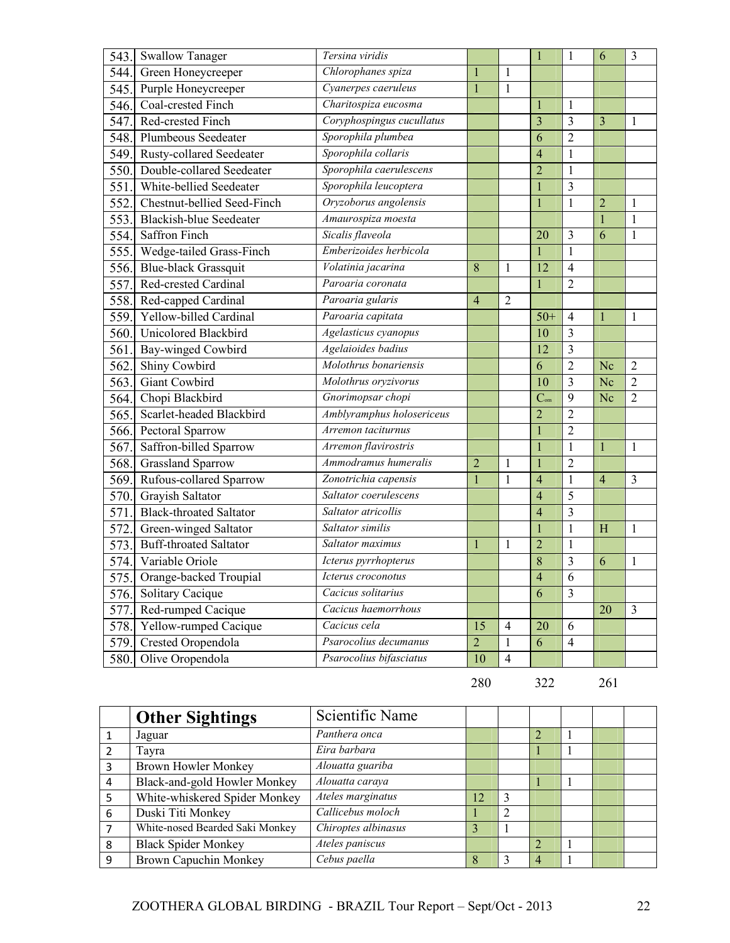| 543. | <b>Swallow Tanager</b>         | Tersina viridis           |                |                |                 | 1              | 6              | $\overline{3}$ |
|------|--------------------------------|---------------------------|----------------|----------------|-----------------|----------------|----------------|----------------|
| 544. | Green Honeycreeper             | Chlorophanes spiza        | $\mathbf{1}$   | $\mathbf{1}$   |                 |                |                |                |
| 545. | Purple Honeycreeper            | Cyanerpes caeruleus       | $\mathbf{1}$   | $\mathbf{1}$   |                 |                |                |                |
| 546. | Coal-crested Finch             | Charitospiza eucosma      |                |                |                 | 1              |                |                |
| 547. | Red-crested Finch              | Coryphospingus cucullatus |                |                | $\overline{3}$  | 3              | 3              | 1              |
| 548. | <b>Plumbeous Seedeater</b>     | Sporophila plumbea        |                |                | 6               | $\overline{2}$ |                |                |
| 549. | Rusty-collared Seedeater       | Sporophila collaris       |                |                | $\overline{4}$  | $\mathbf 1$    |                |                |
| 550. | Double-collared Seedeater      | Sporophila caerulescens   |                |                | $\overline{2}$  | $\mathbf{1}$   |                |                |
| 551. | White-bellied Seedeater        | Sporophila leucoptera     |                |                |                 | 3              |                |                |
| 552. | Chestnut-bellied Seed-Finch    | Oryzoborus angolensis     |                |                |                 | $\mathbf{1}$   | $\overline{2}$ | 1              |
| 553. | <b>Blackish-blue Seedeater</b> | Amaurospiza moesta        |                |                |                 |                | $\mathbf{1}$   | $\mathbf{1}$   |
| 554. | Saffron Finch                  | Sicalis flaveola          |                |                | 20              | 3              | 6              | $\mathbf{1}$   |
| 555. | Wedge-tailed Grass-Finch       | Emberizoides herbicola    |                |                | $\mathbf{1}$    | $\mathbf{1}$   |                |                |
| 556. | <b>Blue-black Grassquit</b>    | Volatinia jacarina        | 8              | 1              | 12              | $\overline{4}$ |                |                |
| 557  | Red-crested Cardinal           | Paroaria coronata         |                |                | $\mathbf{1}$    | $\overline{2}$ |                |                |
| 558. | Red-capped Cardinal            | Paroaria gularis          | $\overline{4}$ | $\overline{2}$ |                 |                |                |                |
| 559. | Yellow-billed Cardinal         | Paroaria capitata         |                |                | $50+$           | $\overline{4}$ | 1              | 1              |
| 560. | Unicolored Blackbird           | Agelasticus cyanopus      |                |                | 10              | 3              |                |                |
| 561  | Bay-winged Cowbird             | Agelaioides badius        |                |                | 12              | 3              |                |                |
| 562  | Shiny Cowbird                  | Molothrus bonariensis     |                |                | 6               | $\overline{2}$ | Nc             | $\overline{2}$ |
| 563. | Giant Cowbird                  | Molothrus oryzivorus      |                |                | 10              | 3              | Nc             | $\overline{2}$ |
| 564. | Chopi Blackbird                | Gnorimopsar chopi         |                |                | $C_{\text{om}}$ | 9              | Nc             | $\overline{2}$ |
| 565  | Scarlet-headed Blackbird       | Amblyramphus holosericeus |                |                | $\overline{2}$  | 2              |                |                |
| 566. | Pectoral Sparrow               | Arremon taciturnus        |                |                | $\overline{1}$  | $\overline{2}$ |                |                |
| 567  | Saffron-billed Sparrow         | Arremon flavirostris      |                |                | $\mathbf{1}$    | $\mathbf{1}$   | 1              | $\mathbf{1}$   |
| 568. | <b>Grassland Sparrow</b>       | Ammodramus humeralis      | $\overline{c}$ | 1              |                 | $\overline{2}$ |                |                |
| 569. | Rufous-collared Sparrow        | Zonotrichia capensis      | $\mathbf{1}$   | $\mathbf{1}$   | $\overline{4}$  | $\mathbf{1}$   | $\overline{4}$ | $\overline{3}$ |
| 570. | Grayish Saltator               | Saltator coerulescens     |                |                | $\overline{4}$  | 5              |                |                |
| 571  | <b>Black-throated Saltator</b> | Saltator atricollis       |                |                | $\overline{4}$  | 3              |                |                |
| 572  | Green-winged Saltator          | Saltator similis          |                |                |                 | 1              | H              | $\mathbf{1}$   |
| 573  | <b>Buff-throated Saltator</b>  | Saltator maximus          | 1              | 1              | $\overline{2}$  | $\mathbf{1}$   |                |                |
| 574. | Variable Oriole                | Icterus pyrrhopterus      |                |                | 8               | 3              | 6              | $\mathbf{1}$   |
| 575. | Orange-backed Troupial         | Icterus croconotus        |                |                | $\overline{4}$  | 6              |                |                |
|      | 576. Solitary Cacique          | Cacicus solitarius        |                |                | 6               | 3              |                |                |
| 577. | Red-rumped Cacique             | Cacicus haemorrhous       |                |                |                 |                | 20             | $\overline{3}$ |
| 578. | Yellow-rumped Cacique          | Cacicus cela              | 15             | $\overline{4}$ | 20              | 6              |                |                |
| 579. | Crested Oropendola             | Psarocolius decumanus     | $\overline{2}$ | 1              | 6               | $\overline{4}$ |                |                |
| 580. | Olive Oropendola               | Psarocolius bifasciatus   | 10             | $\overline{4}$ |                 |                |                |                |

280 322 261

|                | <b>Other Sightings</b>          | Scientific Name     |    |   |                |  |  |
|----------------|---------------------------------|---------------------|----|---|----------------|--|--|
|                | Jaguar                          | Panthera onca       |    |   |                |  |  |
| 2              | Tayra                           | Eira barbara        |    |   |                |  |  |
| 3              | <b>Brown Howler Monkey</b>      | Alouatta guariba    |    |   |                |  |  |
| $\overline{4}$ | Black-and-gold Howler Monkey    | Alouatta carava     |    |   |                |  |  |
| 5              | White-whiskered Spider Monkey   | Ateles marginatus   | 12 | 3 |                |  |  |
| 6              | Duski Titi Monkey               | Callicebus moloch   |    | 2 |                |  |  |
| $\overline{7}$ | White-nosed Bearded Saki Monkey | Chiroptes albinasus | 3  |   |                |  |  |
| 8              | <b>Black Spider Monkey</b>      | Ateles paniscus     |    |   |                |  |  |
| q              | <b>Brown Capuchin Monkey</b>    | Cebus paella        | 8  |   | $\overline{4}$ |  |  |